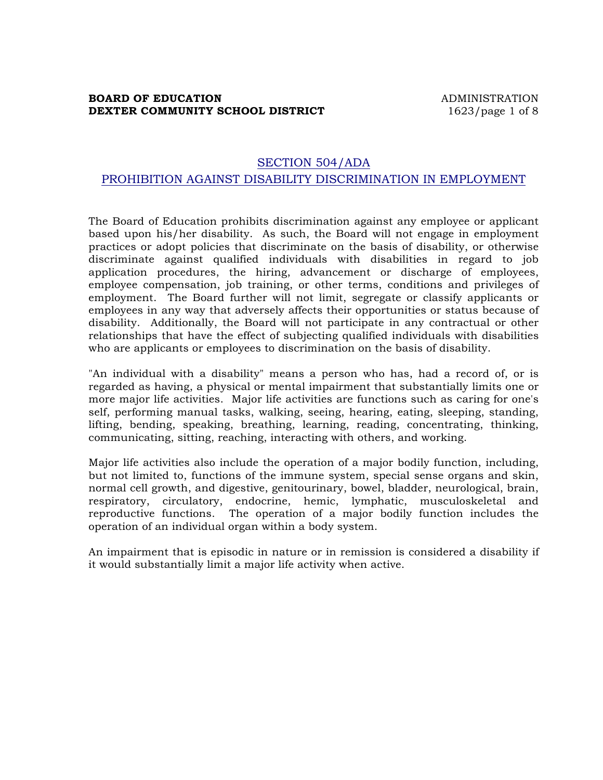## **BOARD OF EDUCATION ADMINISTRATION DEXTER COMMUNITY SCHOOL DISTRICT** 1623/page 1 of 8

# SECTION 504/ADA PROHIBITION AGAINST DISABILITY DISCRIMINATION IN EMPLOYMENT

The Board of Education prohibits discrimination against any employee or applicant based upon his/her disability. As such, the Board will not engage in employment practices or adopt policies that discriminate on the basis of disability, or otherwise discriminate against qualified individuals with disabilities in regard to job application procedures, the hiring, advancement or discharge of employees, employee compensation, job training, or other terms, conditions and privileges of employment. The Board further will not limit, segregate or classify applicants or employees in any way that adversely affects their opportunities or status because of disability. Additionally, the Board will not participate in any contractual or other relationships that have the effect of subjecting qualified individuals with disabilities who are applicants or employees to discrimination on the basis of disability.

"An individual with a disability" means a person who has, had a record of, or is regarded as having, a physical or mental impairment that substantially limits one or more major life activities. Major life activities are functions such as caring for one's self, performing manual tasks, walking, seeing, hearing, eating, sleeping, standing, lifting, bending, speaking, breathing, learning, reading, concentrating, thinking, communicating, sitting, reaching, interacting with others, and working.

Major life activities also include the operation of a major bodily function, including, but not limited to, functions of the immune system, special sense organs and skin, normal cell growth, and digestive, genitourinary, bowel, bladder, neurological, brain, respiratory, circulatory, endocrine, hemic, lymphatic, musculoskeletal and reproductive functions. The operation of a major bodily function includes the operation of an individual organ within a body system.

An impairment that is episodic in nature or in remission is considered a disability if it would substantially limit a major life activity when active.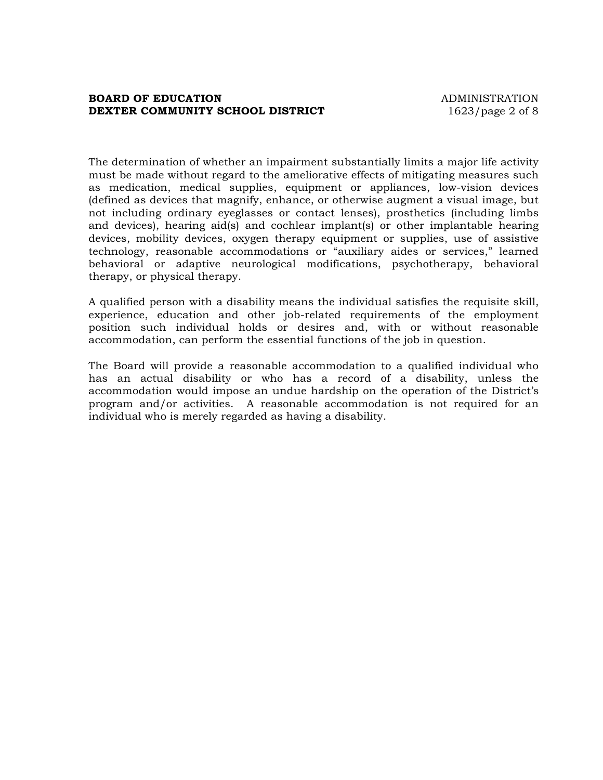#### **BOARD OF EDUCATION ADMINISTRATION DEXTER COMMUNITY SCHOOL DISTRICT** 1623/page 2 of 8

The determination of whether an impairment substantially limits a major life activity must be made without regard to the ameliorative effects of mitigating measures such as medication, medical supplies, equipment or appliances, low-vision devices (defined as devices that magnify, enhance, or otherwise augment a visual image, but not including ordinary eyeglasses or contact lenses), prosthetics (including limbs and devices), hearing aid(s) and cochlear implant(s) or other implantable hearing devices, mobility devices, oxygen therapy equipment or supplies, use of assistive technology, reasonable accommodations or "auxiliary aides or services," learned behavioral or adaptive neurological modifications, psychotherapy, behavioral therapy, or physical therapy.

A qualified person with a disability means the individual satisfies the requisite skill, experience, education and other job-related requirements of the employment position such individual holds or desires and, with or without reasonable accommodation, can perform the essential functions of the job in question.

The Board will provide a reasonable accommodation to a qualified individual who has an actual disability or who has a record of a disability, unless the accommodation would impose an undue hardship on the operation of the District's program and/or activities. A reasonable accommodation is not required for an individual who is merely regarded as having a disability.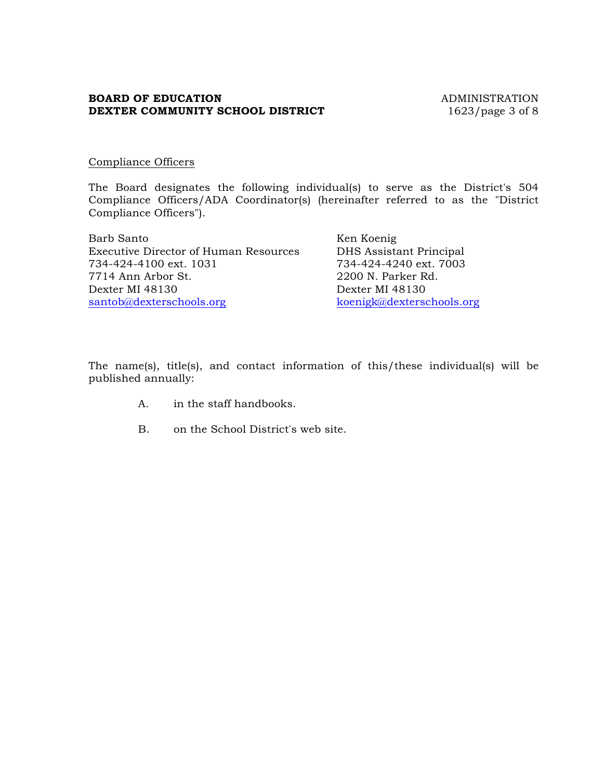## **BOARD OF EDUCATION** ADMINISTRATION **DEXTER COMMUNITY SCHOOL DISTRICT** 1623/page 3 of 8

#### Compliance Officers

The Board designates the following individual(s) to serve as the District's 504 Compliance Officers/ADA Coordinator(s) (hereinafter referred to as the "District Compliance Officers").

Barb Santo Ken Koenig Executive Director of Human Resources DHS Assistant Principal 734-424-4100 ext. 1031 734-424-4240 ext. 7003 7714 Ann Arbor St. 2200 N. Parker Rd. Dexter MI 48130 Dexter MI 48130 santob@dexterschools.org koenigk@dexterschools.org

The name(s), title(s), and contact information of this/these individual(s) will be published annually:

- A. in the staff handbooks.
- B. on the School District's web site.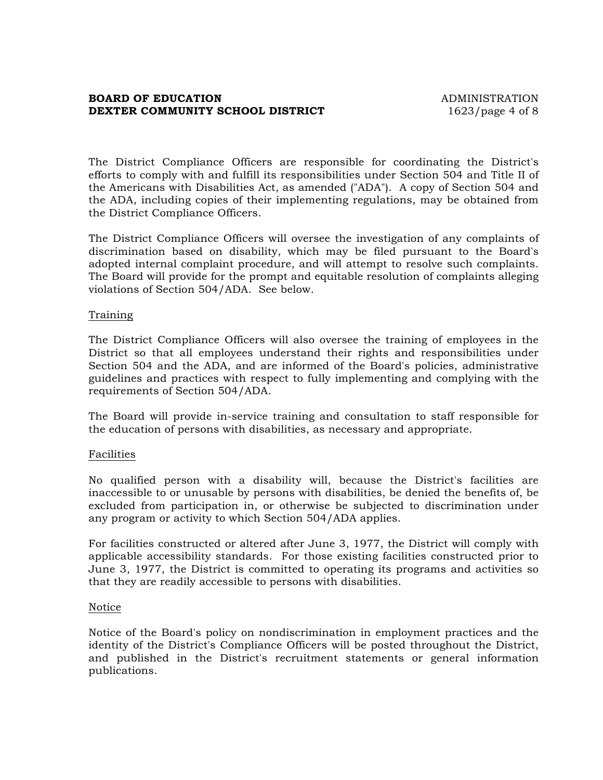#### **BOARD OF EDUCATION ADMINISTRATION DEXTER COMMUNITY SCHOOL DISTRICT** 1623/page 4 of 8

The District Compliance Officers are responsible for coordinating the District's efforts to comply with and fulfill its responsibilities under Section 504 and Title II of the Americans with Disabilities Act, as amended ("ADA"). A copy of Section 504 and the ADA, including copies of their implementing regulations, may be obtained from the District Compliance Officers.

The District Compliance Officers will oversee the investigation of any complaints of discrimination based on disability, which may be filed pursuant to the Board's adopted internal complaint procedure, and will attempt to resolve such complaints. The Board will provide for the prompt and equitable resolution of complaints alleging violations of Section 504/ADA. See below.

#### Training

The District Compliance Officers will also oversee the training of employees in the District so that all employees understand their rights and responsibilities under Section 504 and the ADA, and are informed of the Board's policies, administrative guidelines and practices with respect to fully implementing and complying with the requirements of Section 504/ADA.

The Board will provide in-service training and consultation to staff responsible for the education of persons with disabilities, as necessary and appropriate.

#### Facilities

No qualified person with a disability will, because the District's facilities are inaccessible to or unusable by persons with disabilities, be denied the benefits of, be excluded from participation in, or otherwise be subjected to discrimination under any program or activity to which Section 504/ADA applies.

For facilities constructed or altered after June 3, 1977, the District will comply with applicable accessibility standards. For those existing facilities constructed prior to June 3, 1977, the District is committed to operating its programs and activities so that they are readily accessible to persons with disabilities.

#### Notice

Notice of the Board's policy on nondiscrimination in employment practices and the identity of the District's Compliance Officers will be posted throughout the District, and published in the District's recruitment statements or general information publications.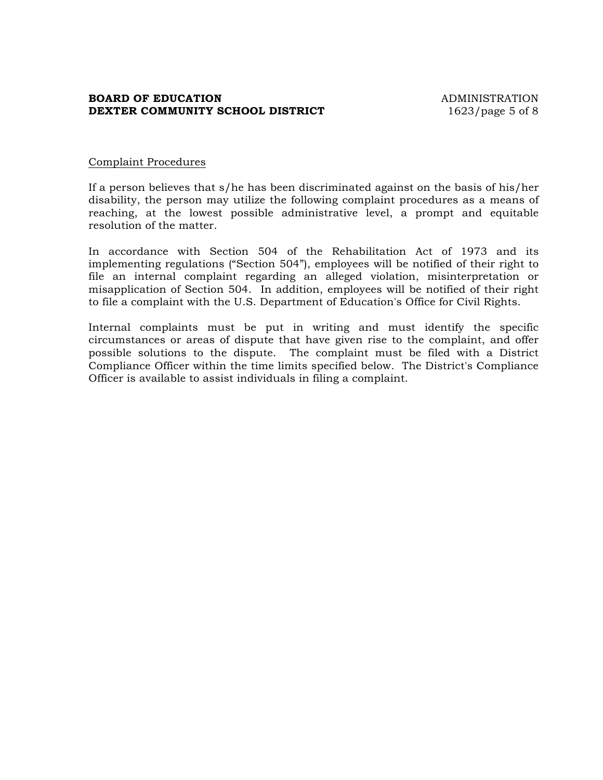## **BOARD OF EDUCATION ADMINISTRATION DEXTER COMMUNITY SCHOOL DISTRICT** 1623/page 5 of 8

#### Complaint Procedures

If a person believes that s/he has been discriminated against on the basis of his/her disability, the person may utilize the following complaint procedures as a means of reaching, at the lowest possible administrative level, a prompt and equitable resolution of the matter.

In accordance with Section 504 of the Rehabilitation Act of 1973 and its implementing regulations ("Section 504"), employees will be notified of their right to file an internal complaint regarding an alleged violation, misinterpretation or misapplication of Section 504. In addition, employees will be notified of their right to file a complaint with the U.S. Department of Education's Office for Civil Rights.

Internal complaints must be put in writing and must identify the specific circumstances or areas of dispute that have given rise to the complaint, and offer possible solutions to the dispute. The complaint must be filed with a District Compliance Officer within the time limits specified below. The District's Compliance Officer is available to assist individuals in filing a complaint.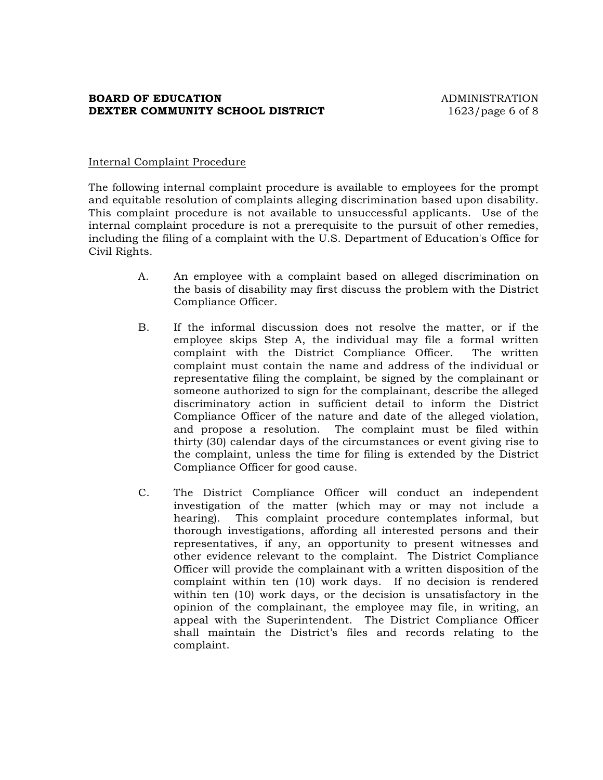## **BOARD OF EDUCATION ADMINISTRATION DEXTER COMMUNITY SCHOOL DISTRICT** 1623/page 6 of 8

#### Internal Complaint Procedure

The following internal complaint procedure is available to employees for the prompt and equitable resolution of complaints alleging discrimination based upon disability. This complaint procedure is not available to unsuccessful applicants. Use of the internal complaint procedure is not a prerequisite to the pursuit of other remedies, including the filing of a complaint with the U.S. Department of Education's Office for Civil Rights.

- A. An employee with a complaint based on alleged discrimination on the basis of disability may first discuss the problem with the District Compliance Officer.
- B. If the informal discussion does not resolve the matter, or if the employee skips Step A, the individual may file a formal written complaint with the District Compliance Officer. The written complaint must contain the name and address of the individual or representative filing the complaint, be signed by the complainant or someone authorized to sign for the complainant, describe the alleged discriminatory action in sufficient detail to inform the District Compliance Officer of the nature and date of the alleged violation, and propose a resolution. The complaint must be filed within thirty (30) calendar days of the circumstances or event giving rise to the complaint, unless the time for filing is extended by the District Compliance Officer for good cause.
- C. The District Compliance Officer will conduct an independent investigation of the matter (which may or may not include a hearing). This complaint procedure contemplates informal, but thorough investigations, affording all interested persons and their representatives, if any, an opportunity to present witnesses and other evidence relevant to the complaint. The District Compliance Officer will provide the complainant with a written disposition of the complaint within ten (10) work days. If no decision is rendered within ten (10) work days, or the decision is unsatisfactory in the opinion of the complainant, the employee may file, in writing, an appeal with the Superintendent. The District Compliance Officer shall maintain the District's files and records relating to the complaint.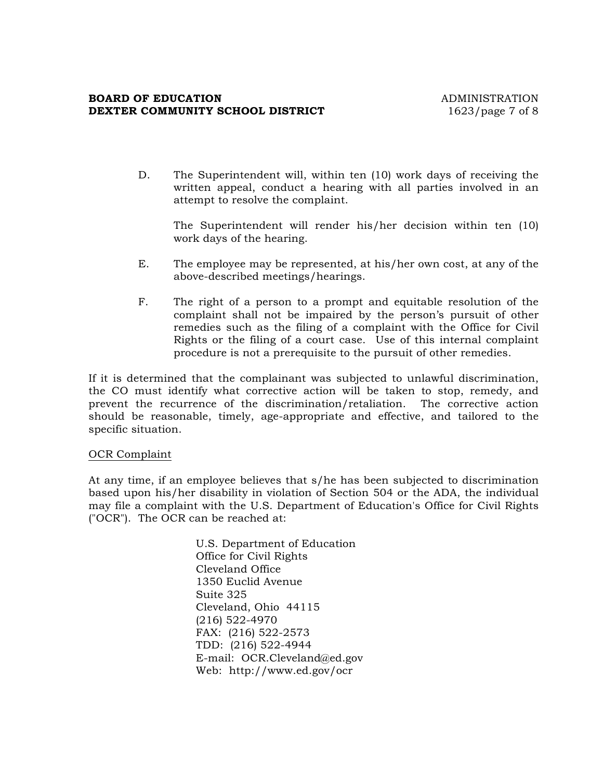#### **BOARD OF EDUCATION ADMINISTRATION DEXTER COMMUNITY SCHOOL DISTRICT** 1623/page 7 of 8

D. The Superintendent will, within ten (10) work days of receiving the written appeal, conduct a hearing with all parties involved in an attempt to resolve the complaint.

The Superintendent will render his/her decision within ten (10) work days of the hearing.

- E. The employee may be represented, at his/her own cost, at any of the above-described meetings/hearings.
- F. The right of a person to a prompt and equitable resolution of the complaint shall not be impaired by the person's pursuit of other remedies such as the filing of a complaint with the Office for Civil Rights or the filing of a court case. Use of this internal complaint procedure is not a prerequisite to the pursuit of other remedies.

If it is determined that the complainant was subjected to unlawful discrimination, the CO must identify what corrective action will be taken to stop, remedy, and prevent the recurrence of the discrimination/retaliation. The corrective action should be reasonable, timely, age-appropriate and effective, and tailored to the specific situation.

#### OCR Complaint

At any time, if an employee believes that s/he has been subjected to discrimination based upon his/her disability in violation of Section 504 or the ADA, the individual may file a complaint with the U.S. Department of Education's Office for Civil Rights ("OCR"). The OCR can be reached at:

> U.S. Department of Education Office for Civil Rights Cleveland Office 1350 Euclid Avenue Suite 325 Cleveland, Ohio 44115 (216) 522-4970 FAX: (216) 522-2573 TDD: (216) 522-4944 E-mail: OCR.Cleveland@ed.gov Web: http://www.ed.gov/ocr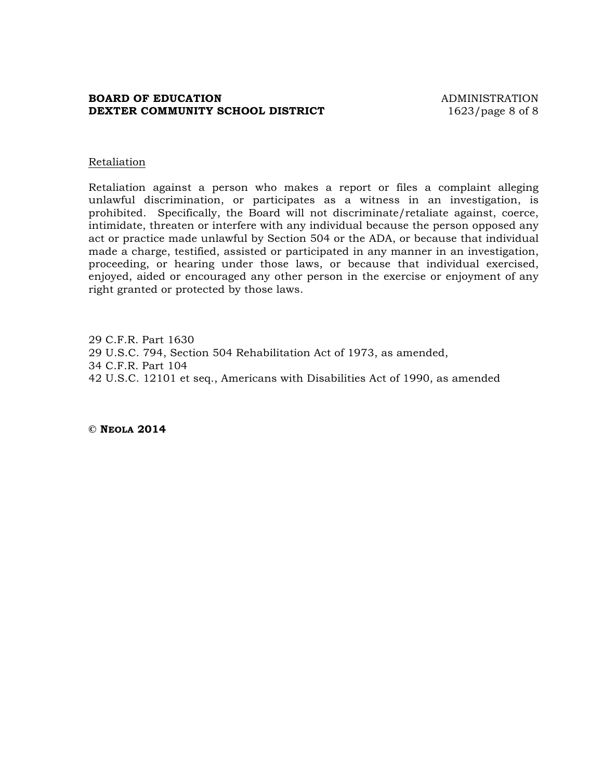#### **BOARD OF EDUCATION ADMINISTRATION DEXTER COMMUNITY SCHOOL DISTRICT** 1623/page 8 of 8

#### Retaliation

Retaliation against a person who makes a report or files a complaint alleging unlawful discrimination, or participates as a witness in an investigation, is prohibited. Specifically, the Board will not discriminate/retaliate against, coerce, intimidate, threaten or interfere with any individual because the person opposed any act or practice made unlawful by Section 504 or the ADA, or because that individual made a charge, testified, assisted or participated in any manner in an investigation, proceeding, or hearing under those laws, or because that individual exercised, enjoyed, aided or encouraged any other person in the exercise or enjoyment of any right granted or protected by those laws.

29 C.F.R. Part 1630 29 U.S.C. 794, Section 504 Rehabilitation Act of 1973, as amended, 34 C.F.R. Part 104 42 U.S.C. 12101 et seq., Americans with Disabilities Act of 1990, as amended

**© NEOLA 2014**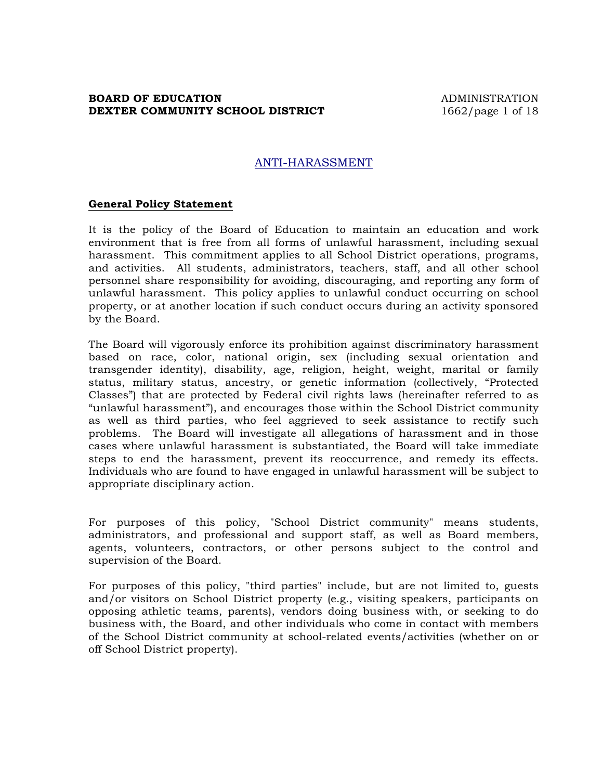#### **BOARD OF EDUCATION ADMINISTRATION DEXTER COMMUNITY SCHOOL DISTRICT** 1662/page 1 of 18

## ANTI-HARASSMENT

#### **General Policy Statement**

It is the policy of the Board of Education to maintain an education and work environment that is free from all forms of unlawful harassment, including sexual harassment. This commitment applies to all School District operations, programs, and activities. All students, administrators, teachers, staff, and all other school personnel share responsibility for avoiding, discouraging, and reporting any form of unlawful harassment. This policy applies to unlawful conduct occurring on school property, or at another location if such conduct occurs during an activity sponsored by the Board.

The Board will vigorously enforce its prohibition against discriminatory harassment based on race, color, national origin, sex (including sexual orientation and transgender identity), disability, age, religion, height, weight, marital or family status, military status, ancestry, or genetic information (collectively, "Protected Classes") that are protected by Federal civil rights laws (hereinafter referred to as "unlawful harassment"), and encourages those within the School District community as well as third parties, who feel aggrieved to seek assistance to rectify such problems. The Board will investigate all allegations of harassment and in those cases where unlawful harassment is substantiated, the Board will take immediate steps to end the harassment, prevent its reoccurrence, and remedy its effects. Individuals who are found to have engaged in unlawful harassment will be subject to appropriate disciplinary action.

For purposes of this policy, "School District community" means students, administrators, and professional and support staff, as well as Board members, agents, volunteers, contractors, or other persons subject to the control and supervision of the Board.

For purposes of this policy, "third parties" include, but are not limited to, guests and/or visitors on School District property (e.g., visiting speakers, participants on opposing athletic teams, parents), vendors doing business with, or seeking to do business with, the Board, and other individuals who come in contact with members of the School District community at school-related events/activities (whether on or off School District property).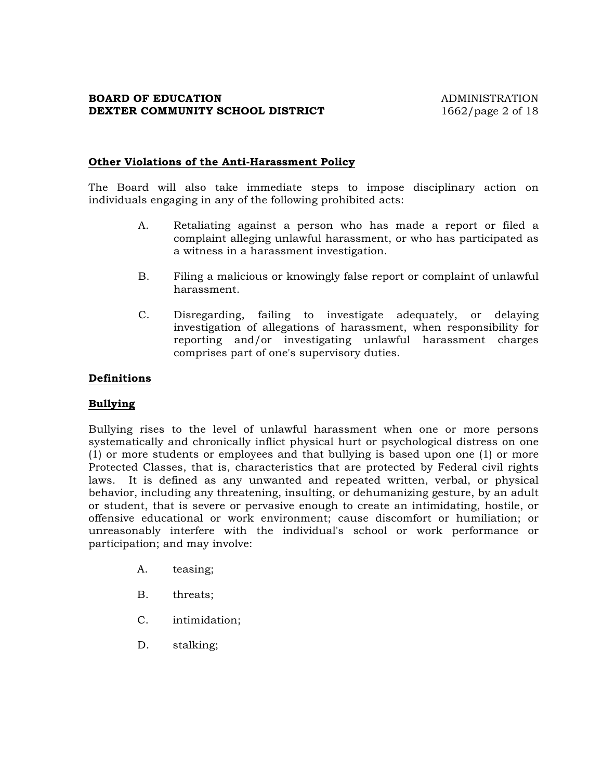#### **Other Violations of the Anti-Harassment Policy**

The Board will also take immediate steps to impose disciplinary action on individuals engaging in any of the following prohibited acts:

- A. Retaliating against a person who has made a report or filed a complaint alleging unlawful harassment, or who has participated as a witness in a harassment investigation.
- B. Filing a malicious or knowingly false report or complaint of unlawful harassment.
- C. Disregarding, failing to investigate adequately, or delaying investigation of allegations of harassment, when responsibility for reporting and/or investigating unlawful harassment charges comprises part of one's supervisory duties.

#### **Definitions**

## **Bullying**

Bullying rises to the level of unlawful harassment when one or more persons systematically and chronically inflict physical hurt or psychological distress on one (1) or more students or employees and that bullying is based upon one (1) or more Protected Classes, that is, characteristics that are protected by Federal civil rights laws. It is defined as any unwanted and repeated written, verbal, or physical behavior, including any threatening, insulting, or dehumanizing gesture, by an adult or student, that is severe or pervasive enough to create an intimidating, hostile, or offensive educational or work environment; cause discomfort or humiliation; or unreasonably interfere with the individual's school or work performance or participation; and may involve:

- A. teasing;
- B. threats;
- C. intimidation;
- D. stalking;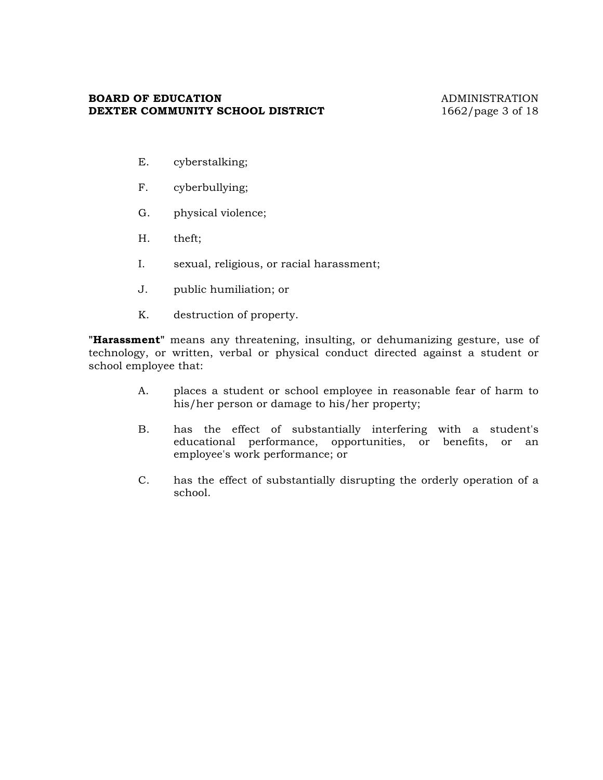#### **BOARD OF EDUCATION** ADMINISTRATION **DEXTER COMMUNITY SCHOOL DISTRICT** 1662/page 3 of 18

- E. cyberstalking;
- F. cyberbullying;
- G. physical violence;
- H. theft;
- I. sexual, religious, or racial harassment;
- J. public humiliation; or
- K. destruction of property.

**"Harassment"** means any threatening, insulting, or dehumanizing gesture, use of technology, or written, verbal or physical conduct directed against a student or school employee that:

- A. places a student or school employee in reasonable fear of harm to his/her person or damage to his/her property;
- B. has the effect of substantially interfering with a student's educational performance, opportunities, or benefits, or an employee's work performance; or
- C. has the effect of substantially disrupting the orderly operation of a school.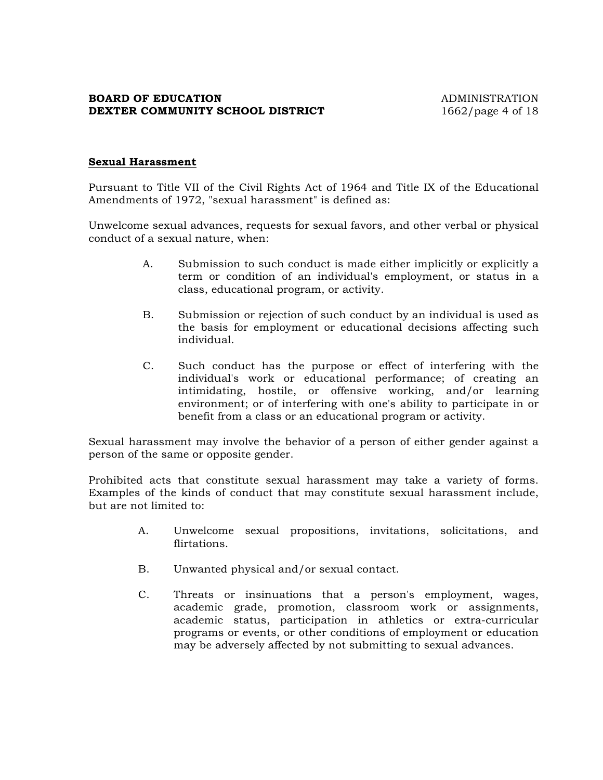## **BOARD OF EDUCATION ADMINISTRATION DEXTER COMMUNITY SCHOOL DISTRICT** 1662/page 4 of 18

## **Sexual Harassment**

Pursuant to Title VII of the Civil Rights Act of 1964 and Title IX of the Educational Amendments of 1972, "sexual harassment" is defined as:

Unwelcome sexual advances, requests for sexual favors, and other verbal or physical conduct of a sexual nature, when:

- A. Submission to such conduct is made either implicitly or explicitly a term or condition of an individual's employment, or status in a class, educational program, or activity.
- B. Submission or rejection of such conduct by an individual is used as the basis for employment or educational decisions affecting such individual.
- C. Such conduct has the purpose or effect of interfering with the individual's work or educational performance; of creating an intimidating, hostile, or offensive working, and/or learning environment; or of interfering with one's ability to participate in or benefit from a class or an educational program or activity.

Sexual harassment may involve the behavior of a person of either gender against a person of the same or opposite gender.

Prohibited acts that constitute sexual harassment may take a variety of forms. Examples of the kinds of conduct that may constitute sexual harassment include, but are not limited to:

- A. Unwelcome sexual propositions, invitations, solicitations, and flirtations.
- B. Unwanted physical and/or sexual contact.
- C. Threats or insinuations that a person's employment, wages, academic grade, promotion, classroom work or assignments, academic status, participation in athletics or extra-curricular programs or events, or other conditions of employment or education may be adversely affected by not submitting to sexual advances.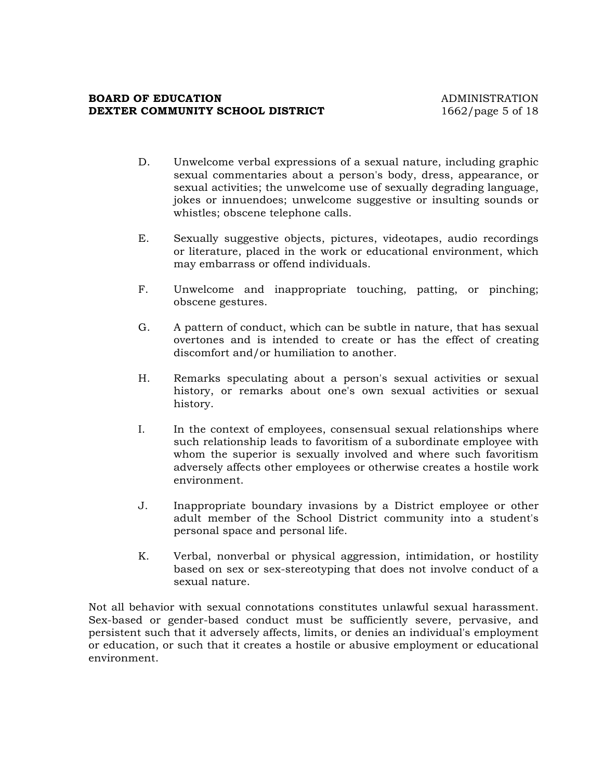#### **BOARD OF EDUCATION ADMINISTRATION DEXTER COMMUNITY SCHOOL DISTRICT** 1662/page 5 of 18

- D. Unwelcome verbal expressions of a sexual nature, including graphic sexual commentaries about a person's body, dress, appearance, or sexual activities; the unwelcome use of sexually degrading language, jokes or innuendoes; unwelcome suggestive or insulting sounds or whistles; obscene telephone calls.
- E. Sexually suggestive objects, pictures, videotapes, audio recordings or literature, placed in the work or educational environment, which may embarrass or offend individuals.
- F. Unwelcome and inappropriate touching, patting, or pinching; obscene gestures.
- G. A pattern of conduct, which can be subtle in nature, that has sexual overtones and is intended to create or has the effect of creating discomfort and/or humiliation to another.
- H. Remarks speculating about a person's sexual activities or sexual history, or remarks about one's own sexual activities or sexual history.
- I. In the context of employees, consensual sexual relationships where such relationship leads to favoritism of a subordinate employee with whom the superior is sexually involved and where such favoritism adversely affects other employees or otherwise creates a hostile work environment.
- J. Inappropriate boundary invasions by a District employee or other adult member of the School District community into a student's personal space and personal life.
- K. Verbal, nonverbal or physical aggression, intimidation, or hostility based on sex or sex-stereotyping that does not involve conduct of a sexual nature.

Not all behavior with sexual connotations constitutes unlawful sexual harassment. Sex-based or gender-based conduct must be sufficiently severe, pervasive, and persistent such that it adversely affects, limits, or denies an individual's employment or education, or such that it creates a hostile or abusive employment or educational environment.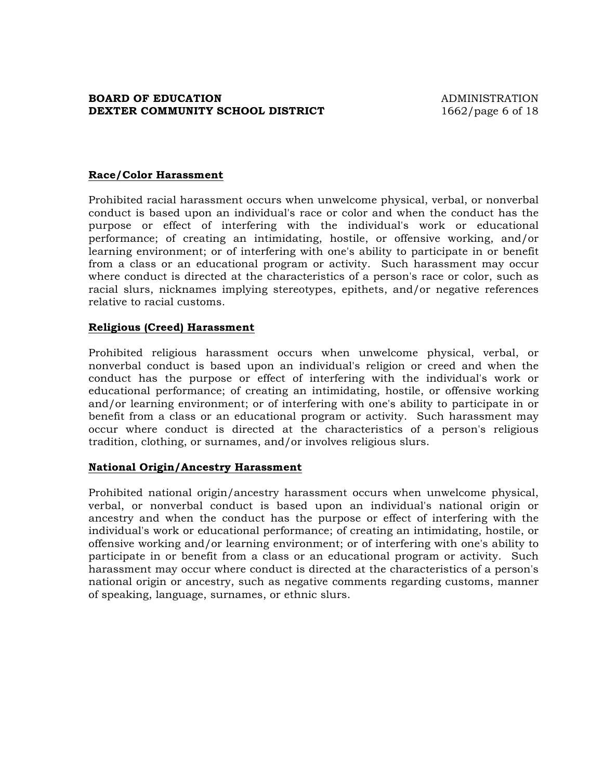## **BOARD OF EDUCATION ADMINISTRATION DEXTER COMMUNITY SCHOOL DISTRICT** 1662/page 6 of 18

#### **Race/Color Harassment**

Prohibited racial harassment occurs when unwelcome physical, verbal, or nonverbal conduct is based upon an individual's race or color and when the conduct has the purpose or effect of interfering with the individual's work or educational performance; of creating an intimidating, hostile, or offensive working, and/or learning environment; or of interfering with one's ability to participate in or benefit from a class or an educational program or activity. Such harassment may occur where conduct is directed at the characteristics of a person's race or color, such as racial slurs, nicknames implying stereotypes, epithets, and/or negative references relative to racial customs.

#### **Religious (Creed) Harassment**

Prohibited religious harassment occurs when unwelcome physical, verbal, or nonverbal conduct is based upon an individual's religion or creed and when the conduct has the purpose or effect of interfering with the individual's work or educational performance; of creating an intimidating, hostile, or offensive working and/or learning environment; or of interfering with one's ability to participate in or benefit from a class or an educational program or activity. Such harassment may occur where conduct is directed at the characteristics of a person's religious tradition, clothing, or surnames, and/or involves religious slurs.

#### **National Origin/Ancestry Harassment**

Prohibited national origin/ancestry harassment occurs when unwelcome physical, verbal, or nonverbal conduct is based upon an individual's national origin or ancestry and when the conduct has the purpose or effect of interfering with the individual's work or educational performance; of creating an intimidating, hostile, or offensive working and/or learning environment; or of interfering with one's ability to participate in or benefit from a class or an educational program or activity. Such harassment may occur where conduct is directed at the characteristics of a person's national origin or ancestry, such as negative comments regarding customs, manner of speaking, language, surnames, or ethnic slurs.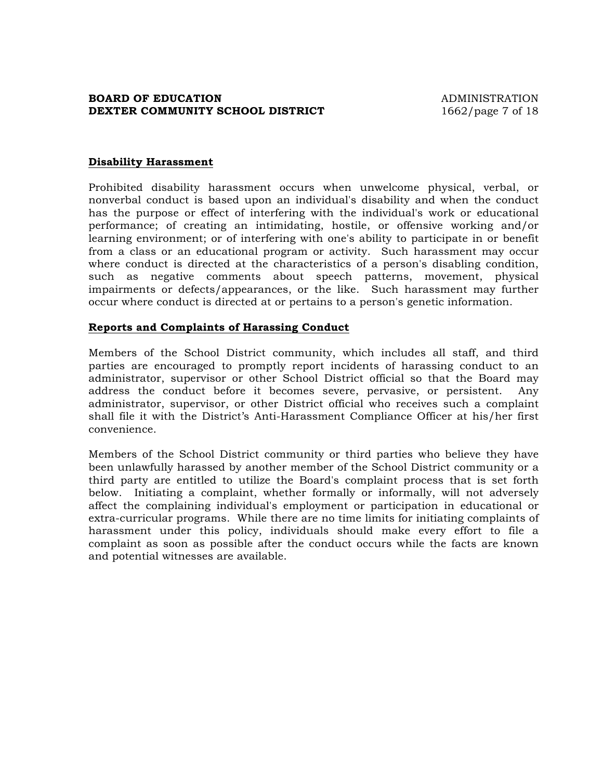#### **BOARD OF EDUCATION ADMINISTRATION DEXTER COMMUNITY SCHOOL DISTRICT** 1662/page 7 of 18

#### **Disability Harassment**

Prohibited disability harassment occurs when unwelcome physical, verbal, or nonverbal conduct is based upon an individual's disability and when the conduct has the purpose or effect of interfering with the individual's work or educational performance; of creating an intimidating, hostile, or offensive working and/or learning environment; or of interfering with one's ability to participate in or benefit from a class or an educational program or activity. Such harassment may occur where conduct is directed at the characteristics of a person's disabling condition, such as negative comments about speech patterns, movement, physical impairments or defects/appearances, or the like. Such harassment may further occur where conduct is directed at or pertains to a person's genetic information.

#### **Reports and Complaints of Harassing Conduct**

Members of the School District community, which includes all staff, and third parties are encouraged to promptly report incidents of harassing conduct to an administrator, supervisor or other School District official so that the Board may address the conduct before it becomes severe, pervasive, or persistent. Any administrator, supervisor, or other District official who receives such a complaint shall file it with the District's Anti-Harassment Compliance Officer at his/her first convenience.

Members of the School District community or third parties who believe they have been unlawfully harassed by another member of the School District community or a third party are entitled to utilize the Board's complaint process that is set forth below. Initiating a complaint, whether formally or informally, will not adversely affect the complaining individual's employment or participation in educational or extra-curricular programs. While there are no time limits for initiating complaints of harassment under this policy, individuals should make every effort to file a complaint as soon as possible after the conduct occurs while the facts are known and potential witnesses are available.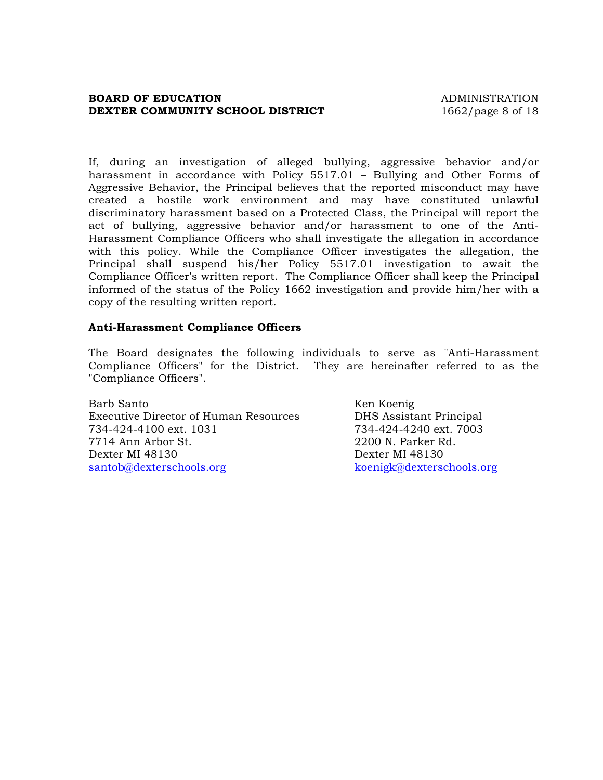#### **BOARD OF EDUCATION ADMINISTRATION DEXTER COMMUNITY SCHOOL DISTRICT** 1662/page 8 of 18

If, during an investigation of alleged bullying, aggressive behavior and/or harassment in accordance with Policy 5517.01 – Bullying and Other Forms of Aggressive Behavior, the Principal believes that the reported misconduct may have created a hostile work environment and may have constituted unlawful discriminatory harassment based on a Protected Class, the Principal will report the act of bullying, aggressive behavior and/or harassment to one of the Anti-Harassment Compliance Officers who shall investigate the allegation in accordance with this policy. While the Compliance Officer investigates the allegation, the Principal shall suspend his/her Policy 5517.01 investigation to await the Compliance Officer's written report. The Compliance Officer shall keep the Principal informed of the status of the Policy 1662 investigation and provide him/her with a copy of the resulting written report.

#### **Anti-Harassment Compliance Officers**

The Board designates the following individuals to serve as "Anti-Harassment Compliance Officers" for the District. They are hereinafter referred to as the "Compliance Officers".

Barb Santo Ken Koenig Executive Director of Human Resources DHS Assistant Principal 734-424-4100 ext. 1031 734-424-4240 ext. 7003 7714 Ann Arbor St. 2200 N. Parker Rd. Dexter MI 48130 Dexter MI 48130 santob@dexterschools.org koenigk@dexterschools.org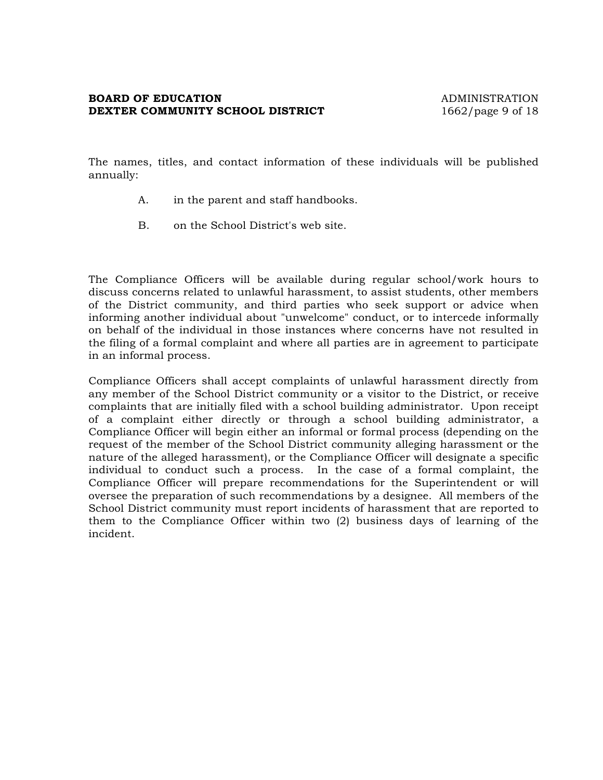#### **BOARD OF EDUCATION ADMINISTRATION DEXTER COMMUNITY SCHOOL DISTRICT** 1662/page 9 of 18

The names, titles, and contact information of these individuals will be published annually:

- A. in the parent and staff handbooks.
- B. on the School District's web site.

The Compliance Officers will be available during regular school/work hours to discuss concerns related to unlawful harassment, to assist students, other members of the District community, and third parties who seek support or advice when informing another individual about "unwelcome" conduct, or to intercede informally on behalf of the individual in those instances where concerns have not resulted in the filing of a formal complaint and where all parties are in agreement to participate in an informal process.

Compliance Officers shall accept complaints of unlawful harassment directly from any member of the School District community or a visitor to the District, or receive complaints that are initially filed with a school building administrator. Upon receipt of a complaint either directly or through a school building administrator, a Compliance Officer will begin either an informal or formal process (depending on the request of the member of the School District community alleging harassment or the nature of the alleged harassment), or the Compliance Officer will designate a specific individual to conduct such a process. In the case of a formal complaint, the Compliance Officer will prepare recommendations for the Superintendent or will oversee the preparation of such recommendations by a designee. All members of the School District community must report incidents of harassment that are reported to them to the Compliance Officer within two (2) business days of learning of the incident.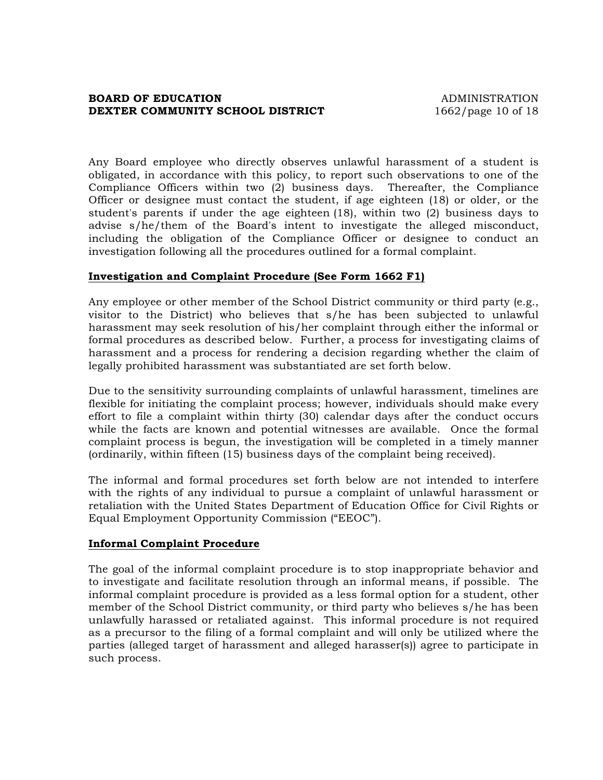#### **BOARD OF EDUCATION ADMINISTRATION DEXTER COMMUNITY SCHOOL DISTRICT** 1662/page 10 of 18

Any Board employee who directly observes unlawful harassment of a student is obligated, in accordance with this policy, to report such observations to one of the Compliance Officers within two (2) business days. Thereafter, the Compliance Officer or designee must contact the student, if age eighteen (18) or older, or the student's parents if under the age eighteen (18), within two (2) business days to advise s/he/them of the Board's intent to investigate the alleged misconduct, including the obligation of the Compliance Officer or designee to conduct an investigation following all the procedures outlined for a formal complaint.

#### **Investigation and Complaint Procedure (See Form 1662 F1)**

Any employee or other member of the School District community or third party (e.g., visitor to the District) who believes that s/he has been subjected to unlawful harassment may seek resolution of his/her complaint through either the informal or formal procedures as described below. Further, a process for investigating claims of harassment and a process for rendering a decision regarding whether the claim of legally prohibited harassment was substantiated are set forth below.

Due to the sensitivity surrounding complaints of unlawful harassment, timelines are flexible for initiating the complaint process; however, individuals should make every effort to file a complaint within thirty (30) calendar days after the conduct occurs while the facts are known and potential witnesses are available. Once the formal complaint process is begun, the investigation will be completed in a timely manner (ordinarily, within fifteen (15) business days of the complaint being received).

The informal and formal procedures set forth below are not intended to interfere with the rights of any individual to pursue a complaint of unlawful harassment or retaliation with the United States Department of Education Office for Civil Rights or Equal Employment Opportunity Commission ("EEOC").

#### **Informal Complaint Procedure**

The goal of the informal complaint procedure is to stop inappropriate behavior and to investigate and facilitate resolution through an informal means, if possible. The informal complaint procedure is provided as a less formal option for a student, other member of the School District community, or third party who believes s/he has been unlawfully harassed or retaliated against. This informal procedure is not required as a precursor to the filing of a formal complaint and will only be utilized where the parties (alleged target of harassment and alleged harasser(s)) agree to participate in such process.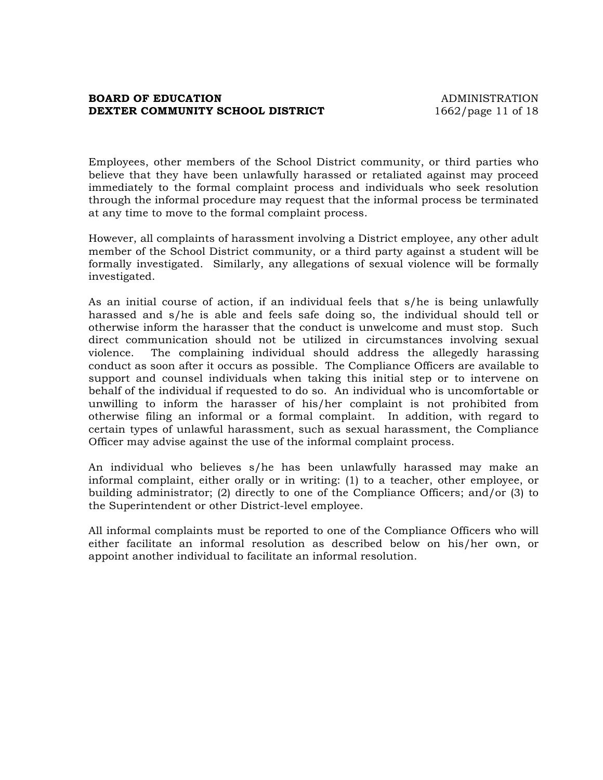## **BOARD OF EDUCATION** ADMINISTRATION **DEXTER COMMUNITY SCHOOL DISTRICT** 1662/page 11 of 18

Employees, other members of the School District community, or third parties who believe that they have been unlawfully harassed or retaliated against may proceed immediately to the formal complaint process and individuals who seek resolution through the informal procedure may request that the informal process be terminated at any time to move to the formal complaint process.

However, all complaints of harassment involving a District employee, any other adult member of the School District community, or a third party against a student will be formally investigated. Similarly, any allegations of sexual violence will be formally investigated.

As an initial course of action, if an individual feels that s/he is being unlawfully harassed and s/he is able and feels safe doing so, the individual should tell or otherwise inform the harasser that the conduct is unwelcome and must stop. Such direct communication should not be utilized in circumstances involving sexual violence. The complaining individual should address the allegedly harassing conduct as soon after it occurs as possible. The Compliance Officers are available to support and counsel individuals when taking this initial step or to intervene on behalf of the individual if requested to do so. An individual who is uncomfortable or unwilling to inform the harasser of his/her complaint is not prohibited from otherwise filing an informal or a formal complaint. In addition, with regard to certain types of unlawful harassment, such as sexual harassment, the Compliance Officer may advise against the use of the informal complaint process.

An individual who believes s/he has been unlawfully harassed may make an informal complaint, either orally or in writing: (1) to a teacher, other employee, or building administrator; (2) directly to one of the Compliance Officers; and/or (3) to the Superintendent or other District-level employee.

All informal complaints must be reported to one of the Compliance Officers who will either facilitate an informal resolution as described below on his/her own, or appoint another individual to facilitate an informal resolution.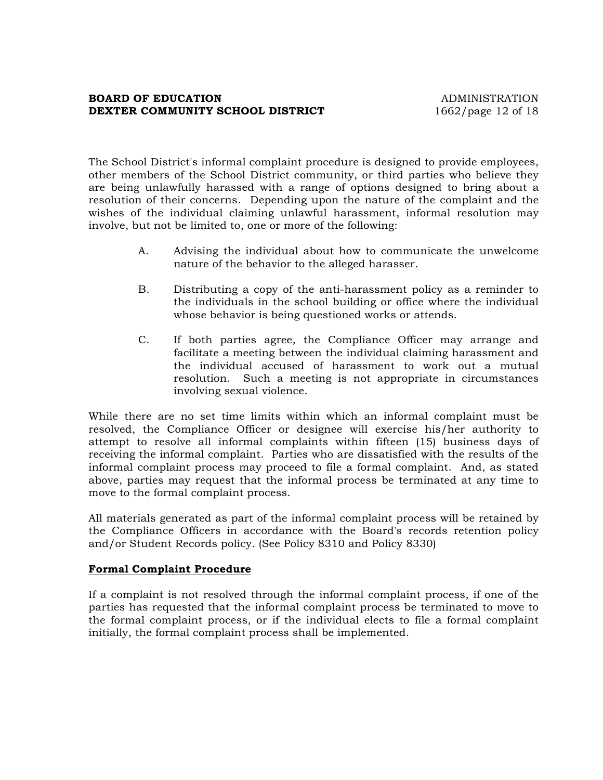## **BOARD OF EDUCATION ADMINISTRATION DEXTER COMMUNITY SCHOOL DISTRICT** 1662/page 12 of 18

The School District's informal complaint procedure is designed to provide employees, other members of the School District community, or third parties who believe they are being unlawfully harassed with a range of options designed to bring about a resolution of their concerns. Depending upon the nature of the complaint and the wishes of the individual claiming unlawful harassment, informal resolution may involve, but not be limited to, one or more of the following:

- A. Advising the individual about how to communicate the unwelcome nature of the behavior to the alleged harasser.
- B. Distributing a copy of the anti-harassment policy as a reminder to the individuals in the school building or office where the individual whose behavior is being questioned works or attends.
- C. If both parties agree, the Compliance Officer may arrange and facilitate a meeting between the individual claiming harassment and the individual accused of harassment to work out a mutual resolution. Such a meeting is not appropriate in circumstances involving sexual violence.

While there are no set time limits within which an informal complaint must be resolved, the Compliance Officer or designee will exercise his/her authority to attempt to resolve all informal complaints within fifteen (15) business days of receiving the informal complaint. Parties who are dissatisfied with the results of the informal complaint process may proceed to file a formal complaint. And, as stated above, parties may request that the informal process be terminated at any time to move to the formal complaint process.

All materials generated as part of the informal complaint process will be retained by the Compliance Officers in accordance with the Board's records retention policy and/or Student Records policy. (See Policy 8310 and Policy 8330)

## **Formal Complaint Procedure**

If a complaint is not resolved through the informal complaint process, if one of the parties has requested that the informal complaint process be terminated to move to the formal complaint process, or if the individual elects to file a formal complaint initially, the formal complaint process shall be implemented.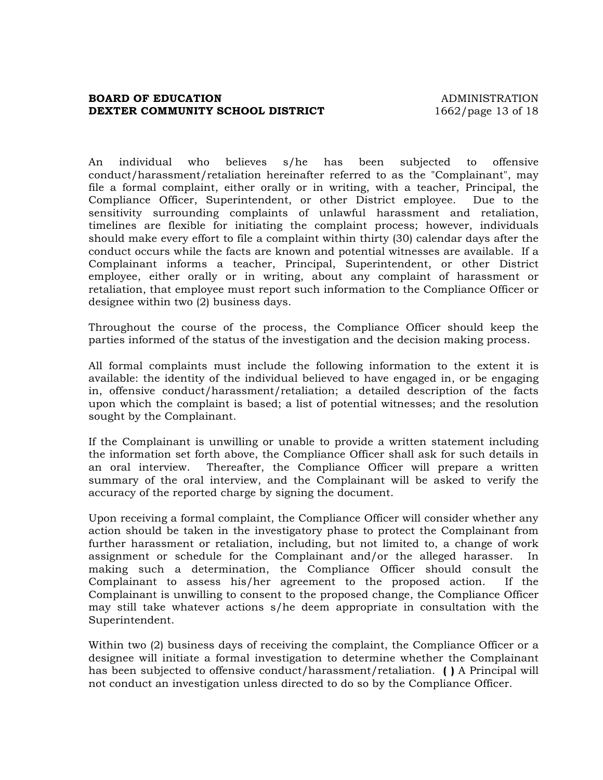#### **BOARD OF EDUCATION ADMINISTRATION DEXTER COMMUNITY SCHOOL DISTRICT** 1662/page 13 of 18

An individual who believes s/he has been subjected to offensive conduct/harassment/retaliation hereinafter referred to as the "Complainant", may file a formal complaint, either orally or in writing, with a teacher, Principal, the Compliance Officer, Superintendent, or other District employee. Due to the sensitivity surrounding complaints of unlawful harassment and retaliation, timelines are flexible for initiating the complaint process; however, individuals should make every effort to file a complaint within thirty (30) calendar days after the conduct occurs while the facts are known and potential witnesses are available. If a Complainant informs a teacher, Principal, Superintendent, or other District employee, either orally or in writing, about any complaint of harassment or retaliation, that employee must report such information to the Compliance Officer or designee within two (2) business days.

Throughout the course of the process, the Compliance Officer should keep the parties informed of the status of the investigation and the decision making process.

All formal complaints must include the following information to the extent it is available: the identity of the individual believed to have engaged in, or be engaging in, offensive conduct/harassment/retaliation; a detailed description of the facts upon which the complaint is based; a list of potential witnesses; and the resolution sought by the Complainant.

If the Complainant is unwilling or unable to provide a written statement including the information set forth above, the Compliance Officer shall ask for such details in an oral interview. Thereafter, the Compliance Officer will prepare a written summary of the oral interview, and the Complainant will be asked to verify the accuracy of the reported charge by signing the document.

Upon receiving a formal complaint, the Compliance Officer will consider whether any action should be taken in the investigatory phase to protect the Complainant from further harassment or retaliation, including, but not limited to, a change of work assignment or schedule for the Complainant and/or the alleged harasser. In making such a determination, the Compliance Officer should consult the Complainant to assess his/her agreement to the proposed action. If the Complainant is unwilling to consent to the proposed change, the Compliance Officer may still take whatever actions s/he deem appropriate in consultation with the Superintendent.

Within two (2) business days of receiving the complaint, the Compliance Officer or a designee will initiate a formal investigation to determine whether the Complainant has been subjected to offensive conduct/harassment/retaliation. **( )** A Principal will not conduct an investigation unless directed to do so by the Compliance Officer.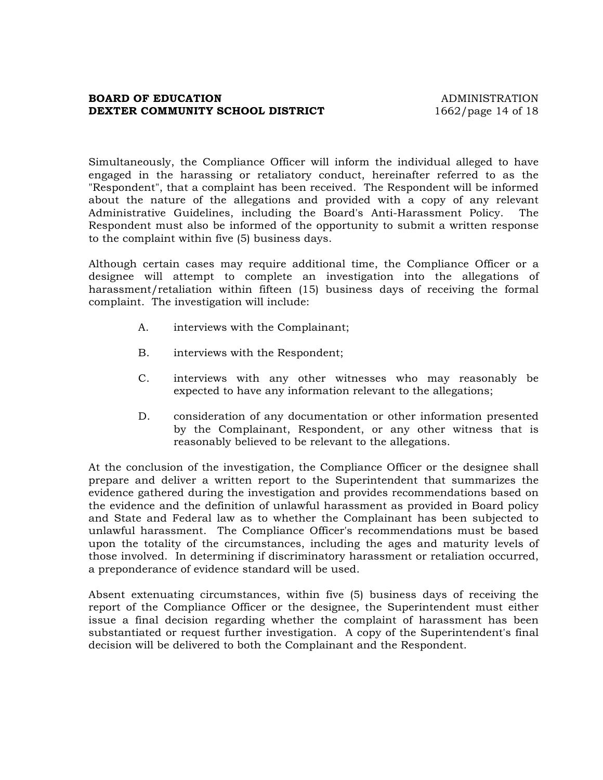#### **BOARD OF EDUCATION ADMINISTRATION DEXTER COMMUNITY SCHOOL DISTRICT** 1662/page 14 of 18

Simultaneously, the Compliance Officer will inform the individual alleged to have engaged in the harassing or retaliatory conduct, hereinafter referred to as the "Respondent", that a complaint has been received. The Respondent will be informed about the nature of the allegations and provided with a copy of any relevant Administrative Guidelines, including the Board's Anti-Harassment Policy. The Respondent must also be informed of the opportunity to submit a written response to the complaint within five (5) business days.

Although certain cases may require additional time, the Compliance Officer or a designee will attempt to complete an investigation into the allegations of harassment/retaliation within fifteen (15) business days of receiving the formal complaint. The investigation will include:

- A. interviews with the Complainant;
- B. interviews with the Respondent;
- C. interviews with any other witnesses who may reasonably be expected to have any information relevant to the allegations;
- D. consideration of any documentation or other information presented by the Complainant, Respondent, or any other witness that is reasonably believed to be relevant to the allegations.

At the conclusion of the investigation, the Compliance Officer or the designee shall prepare and deliver a written report to the Superintendent that summarizes the evidence gathered during the investigation and provides recommendations based on the evidence and the definition of unlawful harassment as provided in Board policy and State and Federal law as to whether the Complainant has been subjected to unlawful harassment. The Compliance Officer's recommendations must be based upon the totality of the circumstances, including the ages and maturity levels of those involved. In determining if discriminatory harassment or retaliation occurred, a preponderance of evidence standard will be used.

Absent extenuating circumstances, within five (5) business days of receiving the report of the Compliance Officer or the designee, the Superintendent must either issue a final decision regarding whether the complaint of harassment has been substantiated or request further investigation. A copy of the Superintendent's final decision will be delivered to both the Complainant and the Respondent.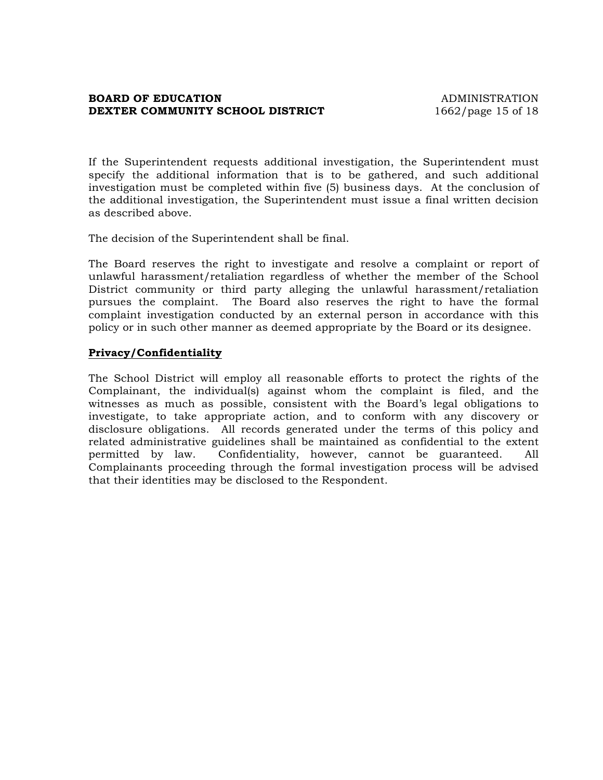#### **BOARD OF EDUCATION ADMINISTRATION DEXTER COMMUNITY SCHOOL DISTRICT** 1662/page 15 of 18

If the Superintendent requests additional investigation, the Superintendent must specify the additional information that is to be gathered, and such additional investigation must be completed within five (5) business days. At the conclusion of the additional investigation, the Superintendent must issue a final written decision as described above.

The decision of the Superintendent shall be final.

The Board reserves the right to investigate and resolve a complaint or report of unlawful harassment/retaliation regardless of whether the member of the School District community or third party alleging the unlawful harassment/retaliation pursues the complaint. The Board also reserves the right to have the formal complaint investigation conducted by an external person in accordance with this policy or in such other manner as deemed appropriate by the Board or its designee.

#### **Privacy/Confidentiality**

The School District will employ all reasonable efforts to protect the rights of the Complainant, the individual(s) against whom the complaint is filed, and the witnesses as much as possible, consistent with the Board's legal obligations to investigate, to take appropriate action, and to conform with any discovery or disclosure obligations. All records generated under the terms of this policy and related administrative guidelines shall be maintained as confidential to the extent permitted by law. Confidentiality, however, cannot be guaranteed. All Complainants proceeding through the formal investigation process will be advised that their identities may be disclosed to the Respondent.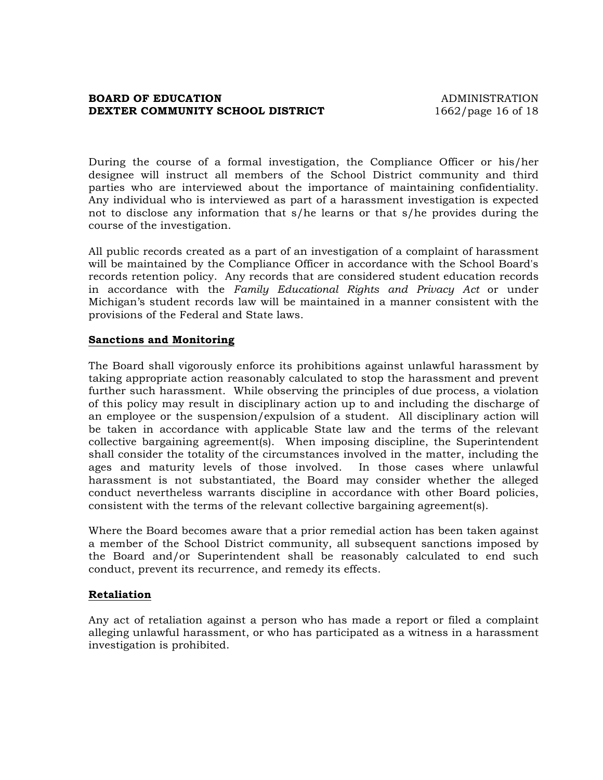#### **BOARD OF EDUCATION ADMINISTRATION DEXTER COMMUNITY SCHOOL DISTRICT** 1662/page 16 of 18

During the course of a formal investigation, the Compliance Officer or his/her designee will instruct all members of the School District community and third parties who are interviewed about the importance of maintaining confidentiality. Any individual who is interviewed as part of a harassment investigation is expected not to disclose any information that s/he learns or that s/he provides during the course of the investigation.

All public records created as a part of an investigation of a complaint of harassment will be maintained by the Compliance Officer in accordance with the School Board's records retention policy. Any records that are considered student education records in accordance with the *Family Educational Rights and Privacy Act* or under Michigan's student records law will be maintained in a manner consistent with the provisions of the Federal and State laws.

#### **Sanctions and Monitoring**

The Board shall vigorously enforce its prohibitions against unlawful harassment by taking appropriate action reasonably calculated to stop the harassment and prevent further such harassment. While observing the principles of due process, a violation of this policy may result in disciplinary action up to and including the discharge of an employee or the suspension/expulsion of a student. All disciplinary action will be taken in accordance with applicable State law and the terms of the relevant collective bargaining agreement(s). When imposing discipline, the Superintendent shall consider the totality of the circumstances involved in the matter, including the ages and maturity levels of those involved. In those cases where unlawful harassment is not substantiated, the Board may consider whether the alleged conduct nevertheless warrants discipline in accordance with other Board policies, consistent with the terms of the relevant collective bargaining agreement(s).

Where the Board becomes aware that a prior remedial action has been taken against a member of the School District community, all subsequent sanctions imposed by the Board and/or Superintendent shall be reasonably calculated to end such conduct, prevent its recurrence, and remedy its effects.

#### **Retaliation**

Any act of retaliation against a person who has made a report or filed a complaint alleging unlawful harassment, or who has participated as a witness in a harassment investigation is prohibited.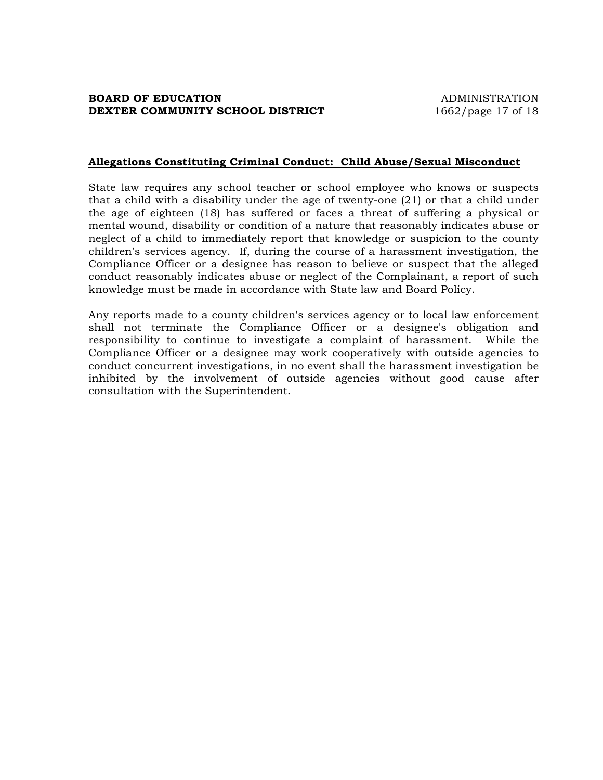#### **Allegations Constituting Criminal Conduct: Child Abuse/Sexual Misconduct**

State law requires any school teacher or school employee who knows or suspects that a child with a disability under the age of twenty-one (21) or that a child under the age of eighteen (18) has suffered or faces a threat of suffering a physical or mental wound, disability or condition of a nature that reasonably indicates abuse or neglect of a child to immediately report that knowledge or suspicion to the county children's services agency. If, during the course of a harassment investigation, the Compliance Officer or a designee has reason to believe or suspect that the alleged conduct reasonably indicates abuse or neglect of the Complainant, a report of such knowledge must be made in accordance with State law and Board Policy.

Any reports made to a county children's services agency or to local law enforcement shall not terminate the Compliance Officer or a designee's obligation and responsibility to continue to investigate a complaint of harassment. While the Compliance Officer or a designee may work cooperatively with outside agencies to conduct concurrent investigations, in no event shall the harassment investigation be inhibited by the involvement of outside agencies without good cause after consultation with the Superintendent.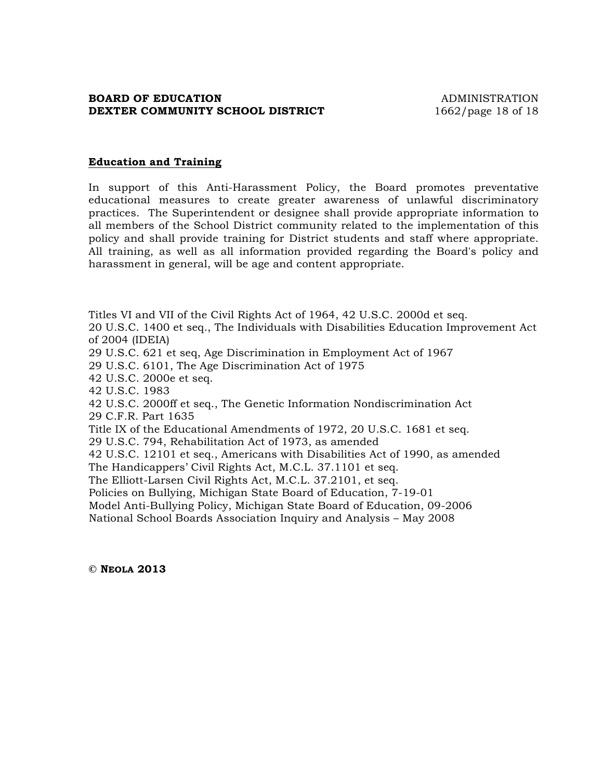#### **BOARD OF EDUCATION ADMINISTRATION DEXTER COMMUNITY SCHOOL DISTRICT** 1662/page 18 of 18

#### **Education and Training**

In support of this Anti-Harassment Policy, the Board promotes preventative educational measures to create greater awareness of unlawful discriminatory practices. The Superintendent or designee shall provide appropriate information to all members of the School District community related to the implementation of this policy and shall provide training for District students and staff where appropriate. All training, as well as all information provided regarding the Board's policy and harassment in general, will be age and content appropriate.

Titles VI and VII of the Civil Rights Act of 1964, 42 U.S.C. 2000d et seq. 20 U.S.C. 1400 et seq., The Individuals with Disabilities Education Improvement Act of 2004 (IDEIA)

29 U.S.C. 621 et seq, Age Discrimination in Employment Act of 1967

29 U.S.C. 6101, The Age Discrimination Act of 1975

42 U.S.C. 2000e et seq.

42 U.S.C. 1983

42 U.S.C. 2000ff et seq., The Genetic Information Nondiscrimination Act 29 C.F.R. Part 1635

Title IX of the Educational Amendments of 1972, 20 U.S.C. 1681 et seq.

29 U.S.C. 794, Rehabilitation Act of 1973, as amended

42 U.S.C. 12101 et seq., Americans with Disabilities Act of 1990, as amended

The Handicappers' Civil Rights Act, M.C.L. 37.1101 et seq.

The Elliott-Larsen Civil Rights Act, M.C.L. 37.2101, et seq.

Policies on Bullying, Michigan State Board of Education, 7-19-01

Model Anti-Bullying Policy, Michigan State Board of Education, 09-2006

National School Boards Association Inquiry and Analysis – May 2008

**© NEOLA 2013**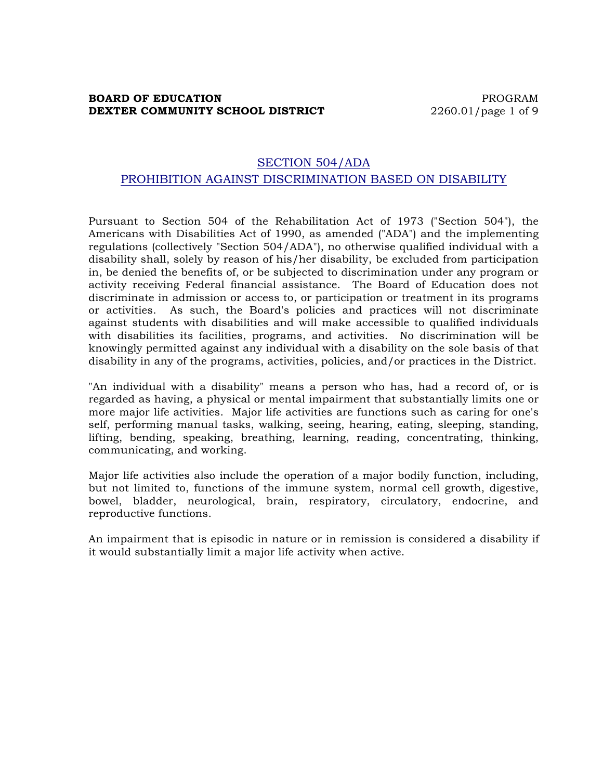## **BOARD OF EDUCATION PROGRAM DEXTER COMMUNITY SCHOOL DISTRICT** 2260.01/page 1 of 9

# SECTION 504/ADA PROHIBITION AGAINST DISCRIMINATION BASED ON DISABILITY

Pursuant to Section 504 of the Rehabilitation Act of 1973 ("Section 504"), the Americans with Disabilities Act of 1990, as amended ("ADA") and the implementing regulations (collectively "Section 504/ADA"), no otherwise qualified individual with a disability shall, solely by reason of his/her disability, be excluded from participation in, be denied the benefits of, or be subjected to discrimination under any program or activity receiving Federal financial assistance. The Board of Education does not discriminate in admission or access to, or participation or treatment in its programs or activities. As such, the Board's policies and practices will not discriminate against students with disabilities and will make accessible to qualified individuals with disabilities its facilities, programs, and activities. No discrimination will be knowingly permitted against any individual with a disability on the sole basis of that disability in any of the programs, activities, policies, and/or practices in the District.

"An individual with a disability" means a person who has, had a record of, or is regarded as having, a physical or mental impairment that substantially limits one or more major life activities. Major life activities are functions such as caring for one's self, performing manual tasks, walking, seeing, hearing, eating, sleeping, standing, lifting, bending, speaking, breathing, learning, reading, concentrating, thinking, communicating, and working.

Major life activities also include the operation of a major bodily function, including, but not limited to, functions of the immune system, normal cell growth, digestive, bowel, bladder, neurological, brain, respiratory, circulatory, endocrine, and reproductive functions.

An impairment that is episodic in nature or in remission is considered a disability if it would substantially limit a major life activity when active.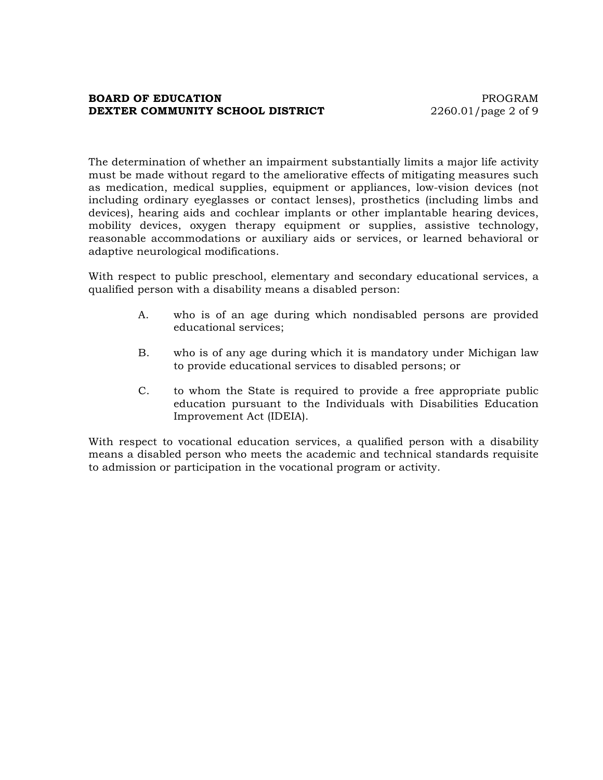#### **BOARD OF EDUCATION PROGRAM DEXTER COMMUNITY SCHOOL DISTRICT** 2260.01/page 2 of 9

The determination of whether an impairment substantially limits a major life activity must be made without regard to the ameliorative effects of mitigating measures such as medication, medical supplies, equipment or appliances, low-vision devices (not including ordinary eyeglasses or contact lenses), prosthetics (including limbs and devices), hearing aids and cochlear implants or other implantable hearing devices, mobility devices, oxygen therapy equipment or supplies, assistive technology, reasonable accommodations or auxiliary aids or services, or learned behavioral or adaptive neurological modifications.

With respect to public preschool, elementary and secondary educational services, a qualified person with a disability means a disabled person:

- A. who is of an age during which nondisabled persons are provided educational services;
- B. who is of any age during which it is mandatory under Michigan law to provide educational services to disabled persons; or
- C. to whom the State is required to provide a free appropriate public education pursuant to the Individuals with Disabilities Education Improvement Act (IDEIA).

With respect to vocational education services, a qualified person with a disability means a disabled person who meets the academic and technical standards requisite to admission or participation in the vocational program or activity.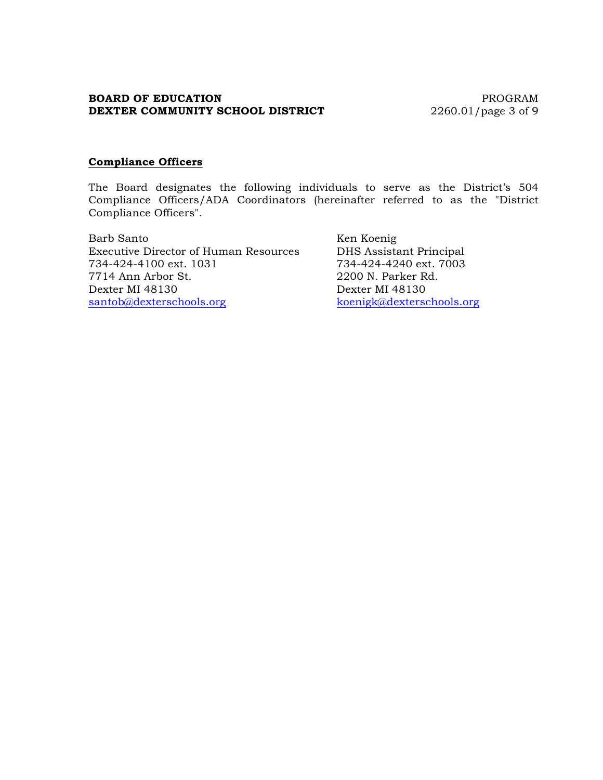## **BOARD OF EDUCATION** PROGRAM **DEXTER COMMUNITY SCHOOL DISTRICT** 2260.01/page 3 of 9

#### **Compliance Officers**

The Board designates the following individuals to serve as the District's 504 Compliance Officers/ADA Coordinators (hereinafter referred to as the "District Compliance Officers".

Barb Santo Ken Koenig Executive Director of Human Resources DHS Assistant Principal 734-424-4100 ext. 1031 734-424-4240 ext. 7003 7714 Ann Arbor St. 2200 N. Parker Rd. Dexter MI 48130 Dexter MI 48130 santob@dexterschools.org koenigk@dexterschools.org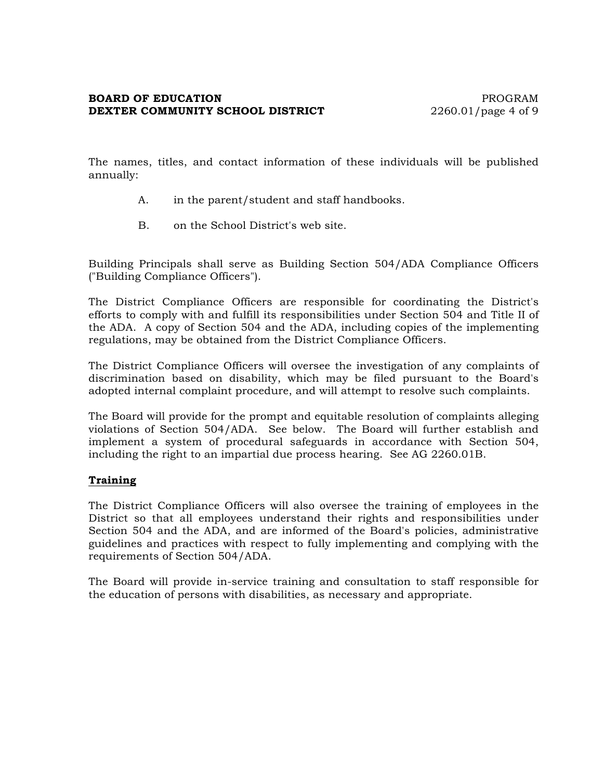#### **BOARD OF EDUCATION PROGRAM DEXTER COMMUNITY SCHOOL DISTRICT** 2260.01/page 4 of 9

The names, titles, and contact information of these individuals will be published annually:

- A. in the parent/student and staff handbooks.
- B. on the School District's web site.

Building Principals shall serve as Building Section 504/ADA Compliance Officers ("Building Compliance Officers").

The District Compliance Officers are responsible for coordinating the District's efforts to comply with and fulfill its responsibilities under Section 504 and Title II of the ADA. A copy of Section 504 and the ADA, including copies of the implementing regulations, may be obtained from the District Compliance Officers.

The District Compliance Officers will oversee the investigation of any complaints of discrimination based on disability, which may be filed pursuant to the Board's adopted internal complaint procedure, and will attempt to resolve such complaints.

The Board will provide for the prompt and equitable resolution of complaints alleging violations of Section 504/ADA. See below. The Board will further establish and implement a system of procedural safeguards in accordance with Section 504, including the right to an impartial due process hearing. See AG 2260.01B.

## **Training**

The District Compliance Officers will also oversee the training of employees in the District so that all employees understand their rights and responsibilities under Section 504 and the ADA, and are informed of the Board's policies, administrative guidelines and practices with respect to fully implementing and complying with the requirements of Section 504/ADA.

The Board will provide in-service training and consultation to staff responsible for the education of persons with disabilities, as necessary and appropriate.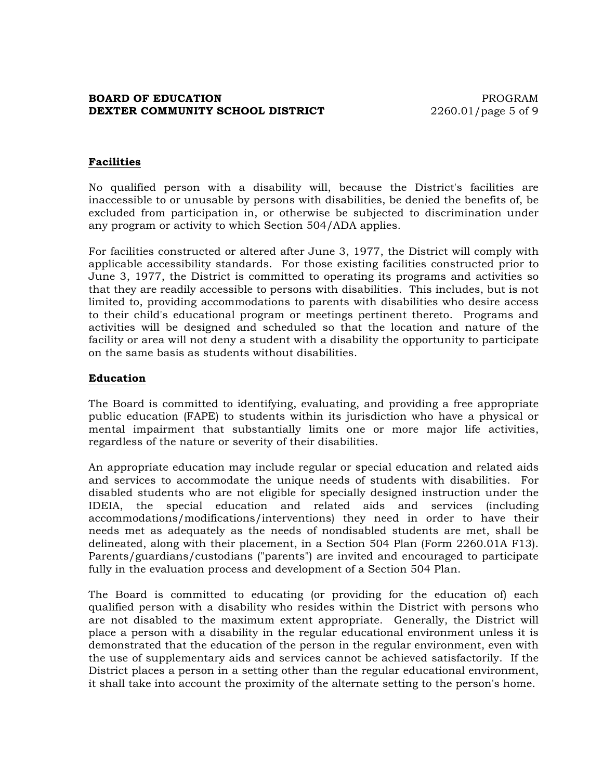## **BOARD OF EDUCATION PROGRAM DEXTER COMMUNITY SCHOOL DISTRICT** 2260.01/page 5 of 9

## **Facilities**

No qualified person with a disability will, because the District's facilities are inaccessible to or unusable by persons with disabilities, be denied the benefits of, be excluded from participation in, or otherwise be subjected to discrimination under any program or activity to which Section 504/ADA applies.

For facilities constructed or altered after June 3, 1977, the District will comply with applicable accessibility standards. For those existing facilities constructed prior to June 3, 1977, the District is committed to operating its programs and activities so that they are readily accessible to persons with disabilities. This includes, but is not limited to, providing accommodations to parents with disabilities who desire access to their child's educational program or meetings pertinent thereto. Programs and activities will be designed and scheduled so that the location and nature of the facility or area will not deny a student with a disability the opportunity to participate on the same basis as students without disabilities.

#### **Education**

The Board is committed to identifying, evaluating, and providing a free appropriate public education (FAPE) to students within its jurisdiction who have a physical or mental impairment that substantially limits one or more major life activities, regardless of the nature or severity of their disabilities.

An appropriate education may include regular or special education and related aids and services to accommodate the unique needs of students with disabilities. For disabled students who are not eligible for specially designed instruction under the IDEIA, the special education and related aids and services (including accommodations/modifications/interventions) they need in order to have their needs met as adequately as the needs of nondisabled students are met, shall be delineated, along with their placement, in a Section 504 Plan (Form 2260.01A F13). Parents/guardians/custodians ("parents") are invited and encouraged to participate fully in the evaluation process and development of a Section 504 Plan.

The Board is committed to educating (or providing for the education of) each qualified person with a disability who resides within the District with persons who are not disabled to the maximum extent appropriate. Generally, the District will place a person with a disability in the regular educational environment unless it is demonstrated that the education of the person in the regular environment, even with the use of supplementary aids and services cannot be achieved satisfactorily. If the District places a person in a setting other than the regular educational environment, it shall take into account the proximity of the alternate setting to the person's home.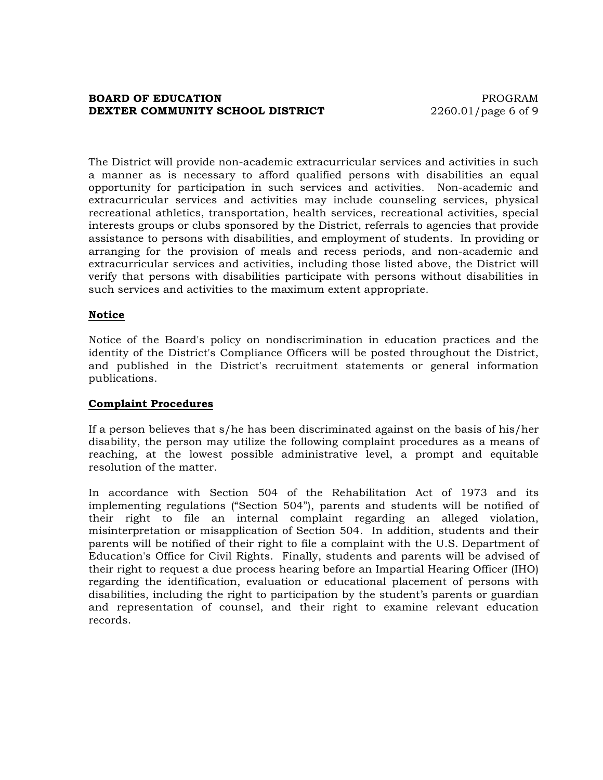#### **BOARD OF EDUCATION PROGRAM DEXTER COMMUNITY SCHOOL DISTRICT** 2260.01/page 6 of 9

The District will provide non-academic extracurricular services and activities in such a manner as is necessary to afford qualified persons with disabilities an equal opportunity for participation in such services and activities. Non-academic and extracurricular services and activities may include counseling services, physical recreational athletics, transportation, health services, recreational activities, special interests groups or clubs sponsored by the District, referrals to agencies that provide assistance to persons with disabilities, and employment of students. In providing or arranging for the provision of meals and recess periods, and non-academic and extracurricular services and activities, including those listed above, the District will verify that persons with disabilities participate with persons without disabilities in such services and activities to the maximum extent appropriate.

## **Notice**

Notice of the Board's policy on nondiscrimination in education practices and the identity of the District's Compliance Officers will be posted throughout the District, and published in the District's recruitment statements or general information publications.

## **Complaint Procedures**

If a person believes that s/he has been discriminated against on the basis of his/her disability, the person may utilize the following complaint procedures as a means of reaching, at the lowest possible administrative level, a prompt and equitable resolution of the matter.

In accordance with Section 504 of the Rehabilitation Act of 1973 and its implementing regulations ("Section 504"), parents and students will be notified of their right to file an internal complaint regarding an alleged violation, misinterpretation or misapplication of Section 504. In addition, students and their parents will be notified of their right to file a complaint with the U.S. Department of Education's Office for Civil Rights. Finally, students and parents will be advised of their right to request a due process hearing before an Impartial Hearing Officer (IHO) regarding the identification, evaluation or educational placement of persons with disabilities, including the right to participation by the student's parents or guardian and representation of counsel, and their right to examine relevant education records.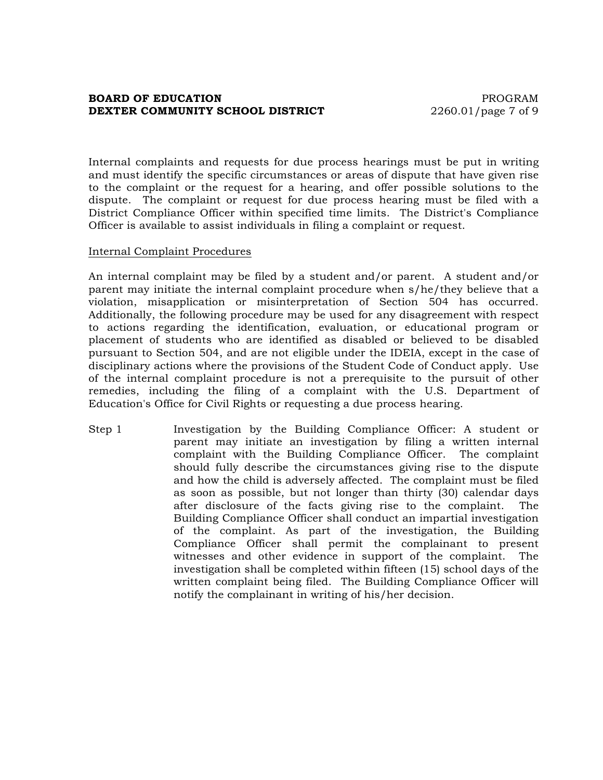#### **BOARD OF EDUCATION PROGRAM DEXTER COMMUNITY SCHOOL DISTRICT** 2260.01/page 7 of 9

Internal complaints and requests for due process hearings must be put in writing and must identify the specific circumstances or areas of dispute that have given rise to the complaint or the request for a hearing, and offer possible solutions to the dispute. The complaint or request for due process hearing must be filed with a District Compliance Officer within specified time limits. The District's Compliance Officer is available to assist individuals in filing a complaint or request.

#### Internal Complaint Procedures

An internal complaint may be filed by a student and/or parent. A student and/or parent may initiate the internal complaint procedure when s/he/they believe that a violation, misapplication or misinterpretation of Section 504 has occurred. Additionally, the following procedure may be used for any disagreement with respect to actions regarding the identification, evaluation, or educational program or placement of students who are identified as disabled or believed to be disabled pursuant to Section 504, and are not eligible under the IDEIA, except in the case of disciplinary actions where the provisions of the Student Code of Conduct apply. Use of the internal complaint procedure is not a prerequisite to the pursuit of other remedies, including the filing of a complaint with the U.S. Department of Education's Office for Civil Rights or requesting a due process hearing.

Step 1 Investigation by the Building Compliance Officer: A student or parent may initiate an investigation by filing a written internal complaint with the Building Compliance Officer. The complaint should fully describe the circumstances giving rise to the dispute and how the child is adversely affected. The complaint must be filed as soon as possible, but not longer than thirty (30) calendar days after disclosure of the facts giving rise to the complaint. The Building Compliance Officer shall conduct an impartial investigation of the complaint. As part of the investigation, the Building Compliance Officer shall permit the complainant to present witnesses and other evidence in support of the complaint. The investigation shall be completed within fifteen (15) school days of the written complaint being filed. The Building Compliance Officer will notify the complainant in writing of his/her decision.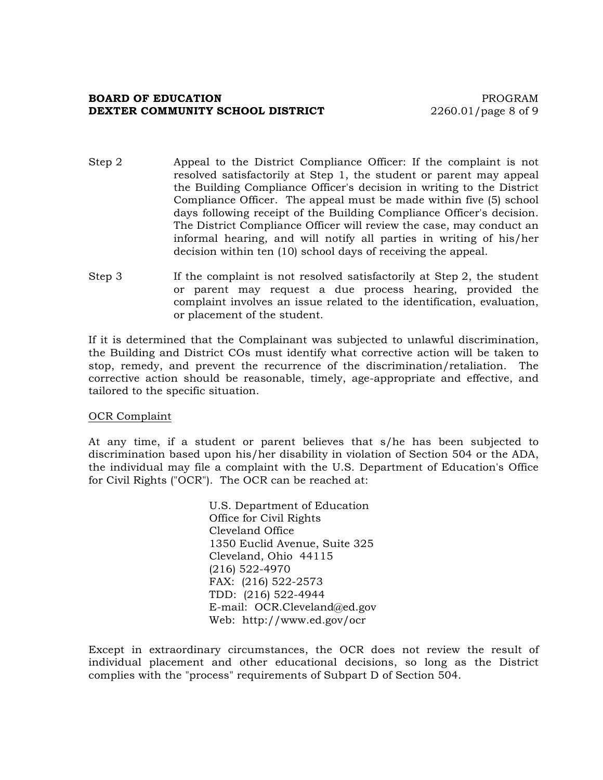#### **BOARD OF EDUCATION PROGRAM DEXTER COMMUNITY SCHOOL DISTRICT** 2260.01/page 8 of 9

- Step 2 Appeal to the District Compliance Officer: If the complaint is not resolved satisfactorily at Step 1, the student or parent may appeal the Building Compliance Officer's decision in writing to the District Compliance Officer. The appeal must be made within five (5) school days following receipt of the Building Compliance Officer's decision. The District Compliance Officer will review the case, may conduct an informal hearing, and will notify all parties in writing of his/her decision within ten (10) school days of receiving the appeal.
- Step 3 If the complaint is not resolved satisfactorily at Step 2, the student or parent may request a due process hearing, provided the complaint involves an issue related to the identification, evaluation, or placement of the student.

If it is determined that the Complainant was subjected to unlawful discrimination, the Building and District COs must identify what corrective action will be taken to stop, remedy, and prevent the recurrence of the discrimination/retaliation. The corrective action should be reasonable, timely, age-appropriate and effective, and tailored to the specific situation.

#### OCR Complaint

At any time, if a student or parent believes that s/he has been subjected to discrimination based upon his/her disability in violation of Section 504 or the ADA, the individual may file a complaint with the U.S. Department of Education's Office for Civil Rights ("OCR"). The OCR can be reached at:

> U.S. Department of Education Office for Civil Rights Cleveland Office 1350 Euclid Avenue, Suite 325 Cleveland, Ohio 44115 (216) 522-4970 FAX: (216) 522-2573 TDD: (216) 522-4944 E-mail: OCR.Cleveland@ed.gov Web: http://www.ed.gov/ocr

Except in extraordinary circumstances, the OCR does not review the result of individual placement and other educational decisions, so long as the District complies with the "process" requirements of Subpart D of Section 504.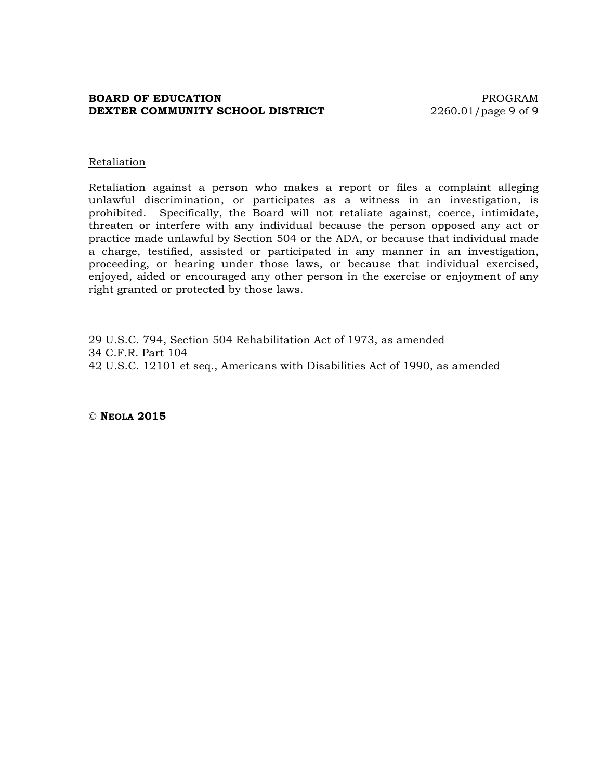## **BOARD OF EDUCATION PROGRAM DEXTER COMMUNITY SCHOOL DISTRICT** 2260.01/page 9 of 9

#### Retaliation

Retaliation against a person who makes a report or files a complaint alleging unlawful discrimination, or participates as a witness in an investigation, is prohibited. Specifically, the Board will not retaliate against, coerce, intimidate, threaten or interfere with any individual because the person opposed any act or practice made unlawful by Section 504 or the ADA, or because that individual made a charge, testified, assisted or participated in any manner in an investigation, proceeding, or hearing under those laws, or because that individual exercised, enjoyed, aided or encouraged any other person in the exercise or enjoyment of any right granted or protected by those laws.

29 U.S.C. 794, Section 504 Rehabilitation Act of 1973, as amended 34 C.F.R. Part 104 42 U.S.C. 12101 et seq., Americans with Disabilities Act of 1990, as amended

**© NEOLA 2015**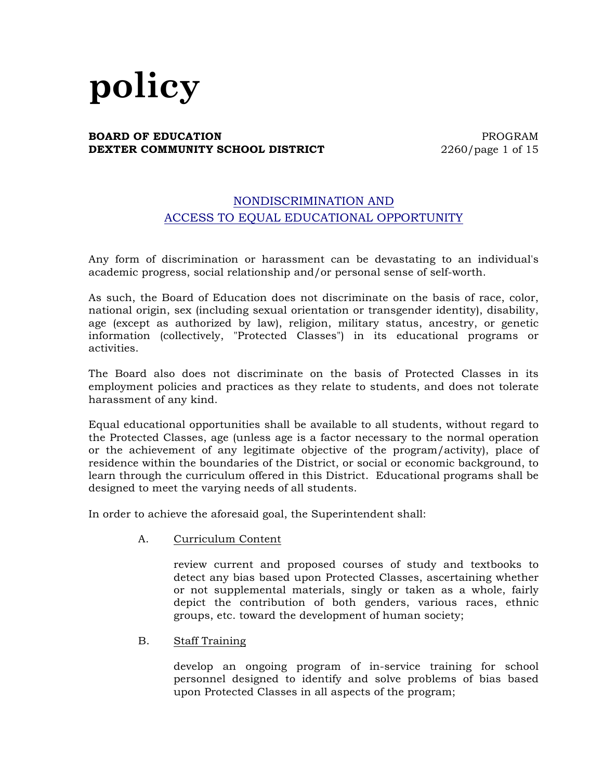# **policy**

#### **BOARD OF EDUCATION PROGRAM DEXTER COMMUNITY SCHOOL DISTRICT** 2260/page 1 of 15

# NONDISCRIMINATION AND ACCESS TO EQUAL EDUCATIONAL OPPORTUNITY

Any form of discrimination or harassment can be devastating to an individual's academic progress, social relationship and/or personal sense of self-worth.

As such, the Board of Education does not discriminate on the basis of race, color, national origin, sex (including sexual orientation or transgender identity), disability, age (except as authorized by law), religion, military status, ancestry, or genetic information (collectively, "Protected Classes") in its educational programs or activities.

The Board also does not discriminate on the basis of Protected Classes in its employment policies and practices as they relate to students, and does not tolerate harassment of any kind.

Equal educational opportunities shall be available to all students, without regard to the Protected Classes, age (unless age is a factor necessary to the normal operation or the achievement of any legitimate objective of the program/activity), place of residence within the boundaries of the District, or social or economic background, to learn through the curriculum offered in this District. Educational programs shall be designed to meet the varying needs of all students.

In order to achieve the aforesaid goal, the Superintendent shall:

A. Curriculum Content

review current and proposed courses of study and textbooks to detect any bias based upon Protected Classes, ascertaining whether or not supplemental materials, singly or taken as a whole, fairly depict the contribution of both genders, various races, ethnic groups, etc. toward the development of human society;

B. Staff Training

develop an ongoing program of in-service training for school personnel designed to identify and solve problems of bias based upon Protected Classes in all aspects of the program;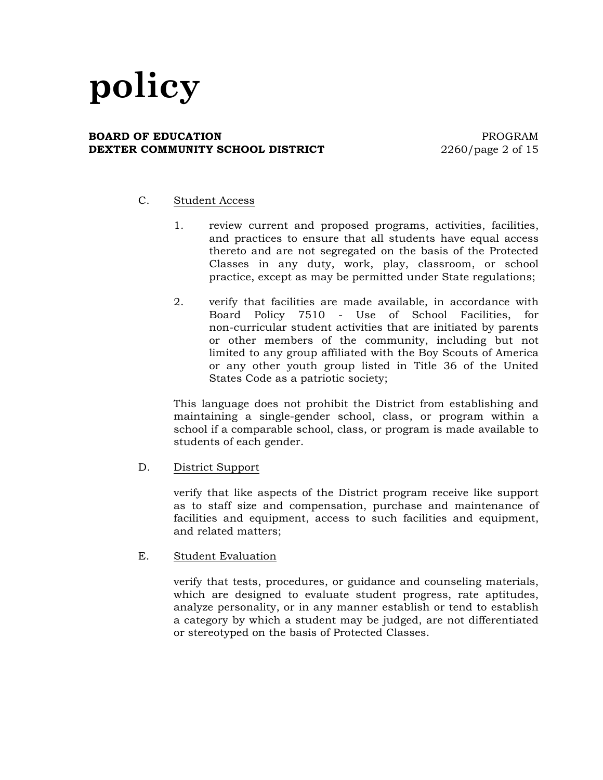#### **BOARD OF EDUCATION PROGRAM DEXTER COMMUNITY SCHOOL DISTRICT** 2260/page 2 of 15

## C. Student Access

- 1. review current and proposed programs, activities, facilities, and practices to ensure that all students have equal access thereto and are not segregated on the basis of the Protected Classes in any duty, work, play, classroom, or school practice, except as may be permitted under State regulations;
- 2. verify that facilities are made available, in accordance with Board Policy 7510 - Use of School Facilities, for non-curricular student activities that are initiated by parents or other members of the community, including but not limited to any group affiliated with the Boy Scouts of America or any other youth group listed in Title 36 of the United States Code as a patriotic society;

This language does not prohibit the District from establishing and maintaining a single-gender school, class, or program within a school if a comparable school, class, or program is made available to students of each gender.

D. District Support

verify that like aspects of the District program receive like support as to staff size and compensation, purchase and maintenance of facilities and equipment, access to such facilities and equipment, and related matters;

E. Student Evaluation

verify that tests, procedures, or guidance and counseling materials, which are designed to evaluate student progress, rate aptitudes, analyze personality, or in any manner establish or tend to establish a category by which a student may be judged, are not differentiated or stereotyped on the basis of Protected Classes.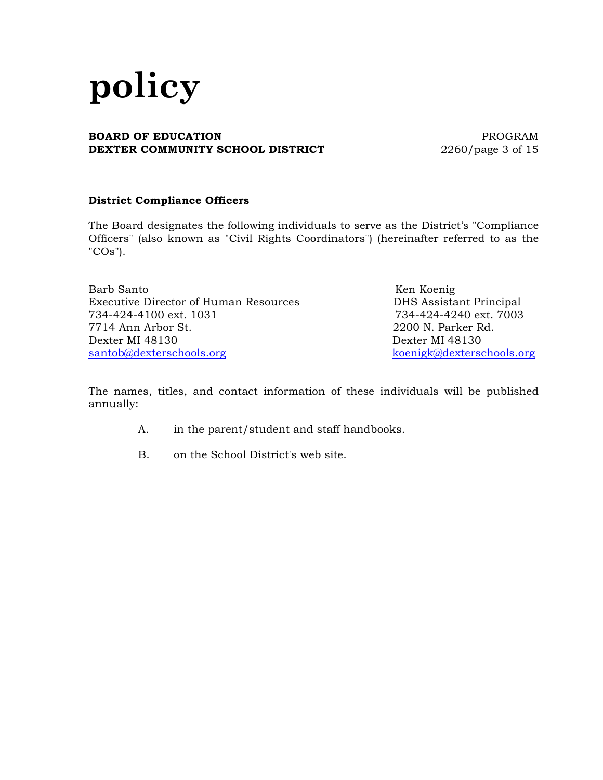## **BOARD OF EDUCATION PROGRAM DEXTER COMMUNITY SCHOOL DISTRICT** 2260/page 3 of 15

# **District Compliance Officers**

The Board designates the following individuals to serve as the District's "Compliance Officers" (also known as "Civil Rights Coordinators") (hereinafter referred to as the "COs").

Barb Santo Ken Koenig Executive Director of Human Resources DHS Assistant Principal 734-424-4100 ext. 1031 734-424-4240 ext. 7003 7714 Ann Arbor St. 2200 N. Parker Rd. Dexter MI 48130 Dexter MI 48130 santob@dexterschools.org koenigk@dexterschools.org

The names, titles, and contact information of these individuals will be published annually:

- A. in the parent/student and staff handbooks.
- B. on the School District's web site.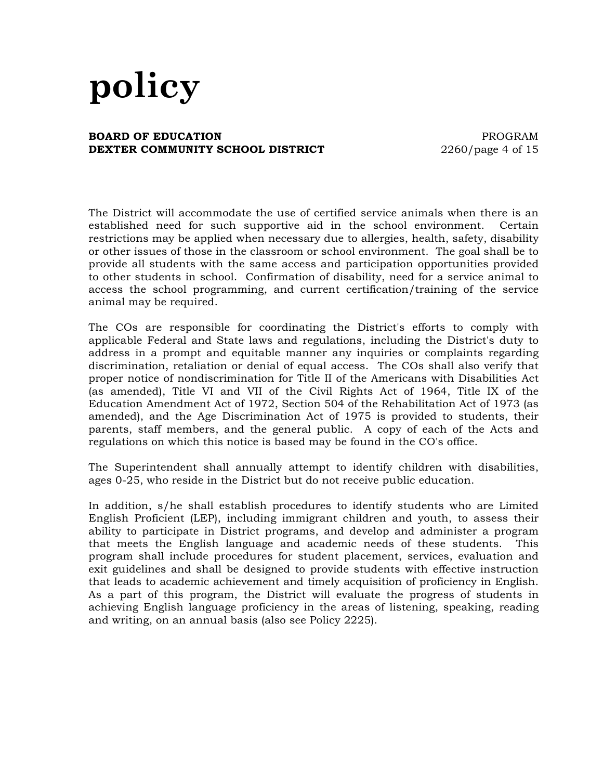#### **BOARD OF EDUCATION EXECUTE:** THE RESERVE ENDING PROGRAM **DEXTER COMMUNITY SCHOOL DISTRICT** 2260/page 4 of 15

The District will accommodate the use of certified service animals when there is an established need for such supportive aid in the school environment. Certain restrictions may be applied when necessary due to allergies, health, safety, disability or other issues of those in the classroom or school environment. The goal shall be to provide all students with the same access and participation opportunities provided to other students in school. Confirmation of disability, need for a service animal to access the school programming, and current certification/training of the service animal may be required.

The COs are responsible for coordinating the District's efforts to comply with applicable Federal and State laws and regulations, including the District's duty to address in a prompt and equitable manner any inquiries or complaints regarding discrimination, retaliation or denial of equal access. The COs shall also verify that proper notice of nondiscrimination for Title II of the Americans with Disabilities Act (as amended), Title VI and VII of the Civil Rights Act of 1964, Title IX of the Education Amendment Act of 1972, Section 504 of the Rehabilitation Act of 1973 (as amended), and the Age Discrimination Act of 1975 is provided to students, their parents, staff members, and the general public. A copy of each of the Acts and regulations on which this notice is based may be found in the CO's office.

The Superintendent shall annually attempt to identify children with disabilities, ages 0-25, who reside in the District but do not receive public education.

In addition, s/he shall establish procedures to identify students who are Limited English Proficient (LEP), including immigrant children and youth, to assess their ability to participate in District programs, and develop and administer a program that meets the English language and academic needs of these students. This program shall include procedures for student placement, services, evaluation and exit guidelines and shall be designed to provide students with effective instruction that leads to academic achievement and timely acquisition of proficiency in English. As a part of this program, the District will evaluate the progress of students in achieving English language proficiency in the areas of listening, speaking, reading and writing, on an annual basis (also see Policy 2225).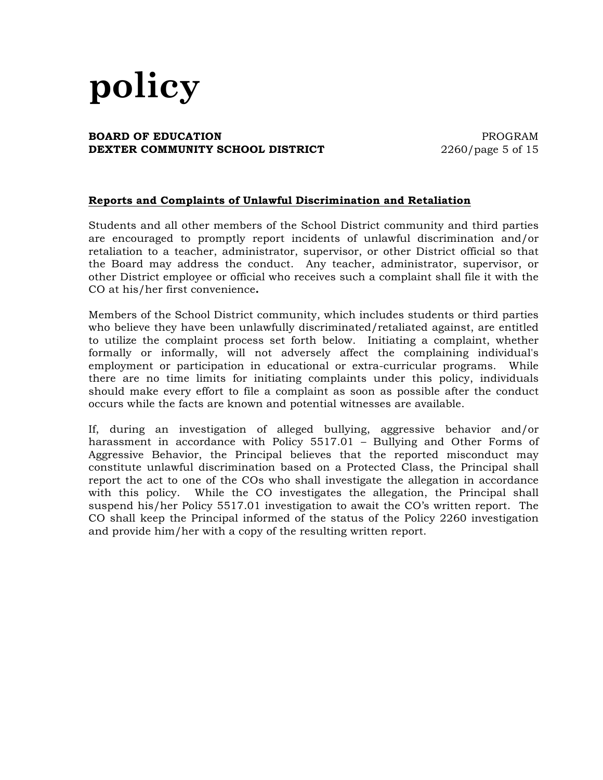## **BOARD OF EDUCATION EXECUTE:** THE RESERVE ENDING PROGRAM **DEXTER COMMUNITY SCHOOL DISTRICT** 2260/page 5 of 15

# **Reports and Complaints of Unlawful Discrimination and Retaliation**

Students and all other members of the School District community and third parties are encouraged to promptly report incidents of unlawful discrimination and/or retaliation to a teacher, administrator, supervisor, or other District official so that the Board may address the conduct. Any teacher, administrator, supervisor, or other District employee or official who receives such a complaint shall file it with the CO at his/her first convenience**.**

Members of the School District community, which includes students or third parties who believe they have been unlawfully discriminated/retaliated against, are entitled to utilize the complaint process set forth below. Initiating a complaint, whether formally or informally, will not adversely affect the complaining individual's employment or participation in educational or extra-curricular programs. While there are no time limits for initiating complaints under this policy, individuals should make every effort to file a complaint as soon as possible after the conduct occurs while the facts are known and potential witnesses are available.

If, during an investigation of alleged bullying, aggressive behavior and/or harassment in accordance with Policy 5517.01 – Bullying and Other Forms of Aggressive Behavior, the Principal believes that the reported misconduct may constitute unlawful discrimination based on a Protected Class, the Principal shall report the act to one of the COs who shall investigate the allegation in accordance with this policy. While the CO investigates the allegation, the Principal shall suspend his/her Policy 5517.01 investigation to await the CO's written report. The CO shall keep the Principal informed of the status of the Policy 2260 investigation and provide him/her with a copy of the resulting written report.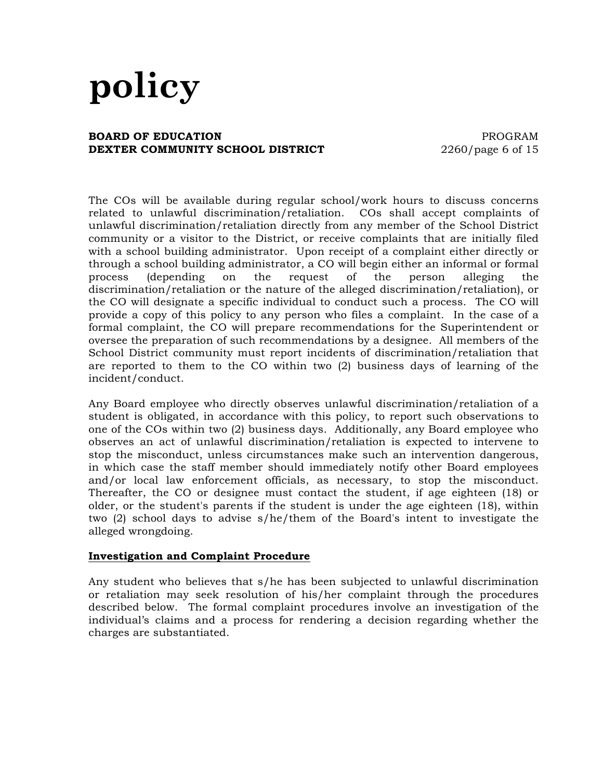#### **BOARD OF EDUCATION PROGRAM DEXTER COMMUNITY SCHOOL DISTRICT** 2260/page 6 of 15

The COs will be available during regular school/work hours to discuss concerns related to unlawful discrimination/retaliation. COs shall accept complaints of unlawful discrimination/retaliation directly from any member of the School District community or a visitor to the District, or receive complaints that are initially filed with a school building administrator. Upon receipt of a complaint either directly or through a school building administrator, a CO will begin either an informal or formal process (depending on the request of the person alleging the discrimination/retaliation or the nature of the alleged discrimination/retaliation), or the CO will designate a specific individual to conduct such a process. The CO will provide a copy of this policy to any person who files a complaint. In the case of a formal complaint, the CO will prepare recommendations for the Superintendent or oversee the preparation of such recommendations by a designee. All members of the School District community must report incidents of discrimination/retaliation that are reported to them to the CO within two (2) business days of learning of the incident/conduct.

Any Board employee who directly observes unlawful discrimination/retaliation of a student is obligated, in accordance with this policy, to report such observations to one of the COs within two (2) business days. Additionally, any Board employee who observes an act of unlawful discrimination/retaliation is expected to intervene to stop the misconduct, unless circumstances make such an intervention dangerous, in which case the staff member should immediately notify other Board employees and/or local law enforcement officials, as necessary, to stop the misconduct. Thereafter, the CO or designee must contact the student, if age eighteen (18) or older, or the student's parents if the student is under the age eighteen (18), within two (2) school days to advise s/he/them of the Board's intent to investigate the alleged wrongdoing.

#### **Investigation and Complaint Procedure**

Any student who believes that s/he has been subjected to unlawful discrimination or retaliation may seek resolution of his/her complaint through the procedures described below. The formal complaint procedures involve an investigation of the individual's claims and a process for rendering a decision regarding whether the charges are substantiated.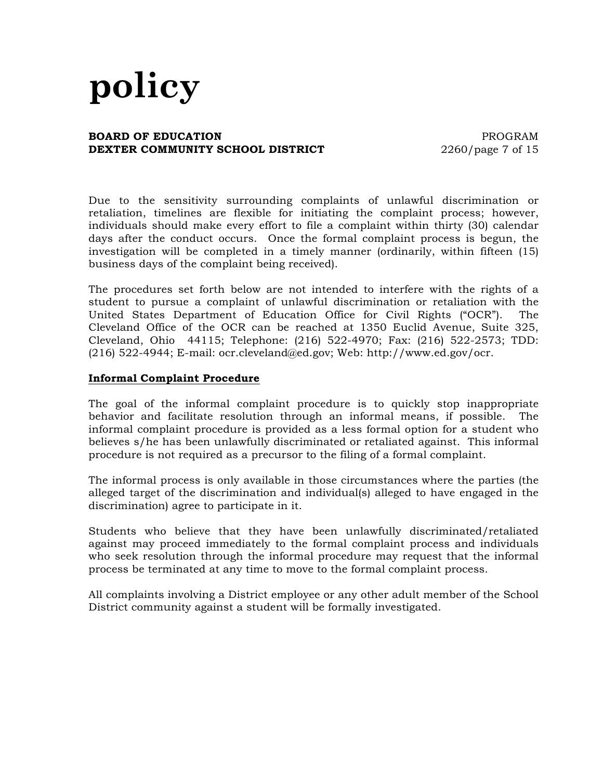### **BOARD OF EDUCATION EXECUTE: PROGRAM DEXTER COMMUNITY SCHOOL DISTRICT** 2260/page 7 of 15

Due to the sensitivity surrounding complaints of unlawful discrimination or retaliation, timelines are flexible for initiating the complaint process; however, individuals should make every effort to file a complaint within thirty (30) calendar days after the conduct occurs. Once the formal complaint process is begun, the investigation will be completed in a timely manner (ordinarily, within fifteen (15) business days of the complaint being received).

The procedures set forth below are not intended to interfere with the rights of a student to pursue a complaint of unlawful discrimination or retaliation with the United States Department of Education Office for Civil Rights ("OCR"). The Cleveland Office of the OCR can be reached at 1350 Euclid Avenue, Suite 325, Cleveland, Ohio 44115; Telephone: (216) 522-4970; Fax: (216) 522-2573; TDD: (216) 522-4944; E-mail: ocr.cleveland@ed.gov; Web: http://www.ed.gov/ocr.

#### **Informal Complaint Procedure**

The goal of the informal complaint procedure is to quickly stop inappropriate behavior and facilitate resolution through an informal means, if possible. The informal complaint procedure is provided as a less formal option for a student who believes s/he has been unlawfully discriminated or retaliated against. This informal procedure is not required as a precursor to the filing of a formal complaint.

The informal process is only available in those circumstances where the parties (the alleged target of the discrimination and individual(s) alleged to have engaged in the discrimination) agree to participate in it.

Students who believe that they have been unlawfully discriminated/retaliated against may proceed immediately to the formal complaint process and individuals who seek resolution through the informal procedure may request that the informal process be terminated at any time to move to the formal complaint process.

All complaints involving a District employee or any other adult member of the School District community against a student will be formally investigated.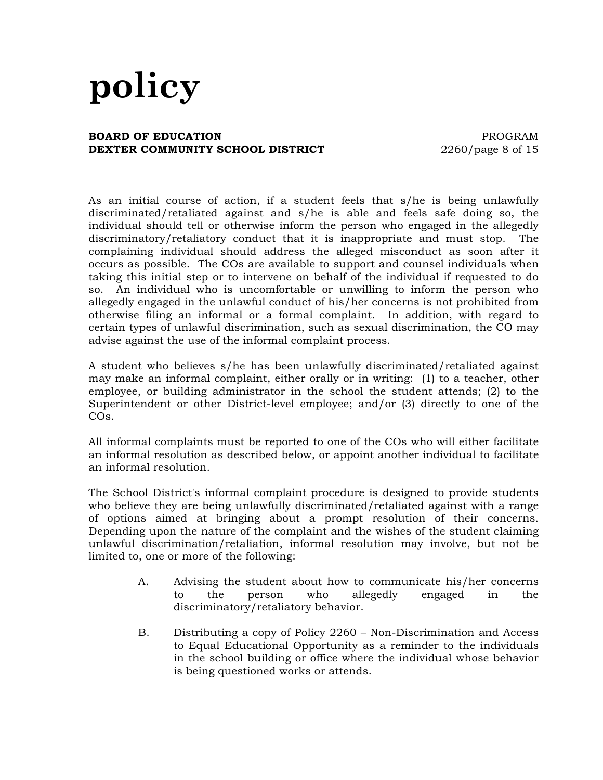#### **BOARD OF EDUCATION EXECUTE: PROGRAM DEXTER COMMUNITY SCHOOL DISTRICT** 2260/page 8 of 15

As an initial course of action, if a student feels that s/he is being unlawfully discriminated/retaliated against and s/he is able and feels safe doing so, the individual should tell or otherwise inform the person who engaged in the allegedly discriminatory/retaliatory conduct that it is inappropriate and must stop. The complaining individual should address the alleged misconduct as soon after it occurs as possible. The COs are available to support and counsel individuals when taking this initial step or to intervene on behalf of the individual if requested to do so. An individual who is uncomfortable or unwilling to inform the person who allegedly engaged in the unlawful conduct of his/her concerns is not prohibited from otherwise filing an informal or a formal complaint. In addition, with regard to certain types of unlawful discrimination, such as sexual discrimination, the CO may advise against the use of the informal complaint process.

A student who believes s/he has been unlawfully discriminated/retaliated against may make an informal complaint, either orally or in writing: (1) to a teacher, other employee, or building administrator in the school the student attends; (2) to the Superintendent or other District-level employee; and/or (3) directly to one of the COs.

All informal complaints must be reported to one of the COs who will either facilitate an informal resolution as described below, or appoint another individual to facilitate an informal resolution.

The School District's informal complaint procedure is designed to provide students who believe they are being unlawfully discriminated/retaliated against with a range of options aimed at bringing about a prompt resolution of their concerns. Depending upon the nature of the complaint and the wishes of the student claiming unlawful discrimination/retaliation, informal resolution may involve, but not be limited to, one or more of the following:

- A. Advising the student about how to communicate his/her concerns to the person who allegedly engaged in the discriminatory/retaliatory behavior.
- B. Distributing a copy of Policy 2260 Non-Discrimination and Access to Equal Educational Opportunity as a reminder to the individuals in the school building or office where the individual whose behavior is being questioned works or attends.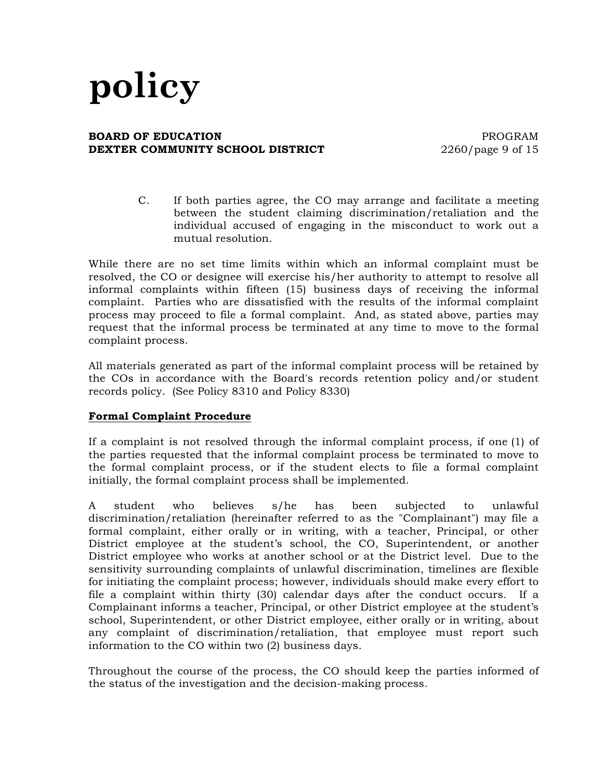### **BOARD OF EDUCATION EXECUTE: PROGRAM DEXTER COMMUNITY SCHOOL DISTRICT** 2260/page 9 of 15

C. If both parties agree, the CO may arrange and facilitate a meeting between the student claiming discrimination/retaliation and the individual accused of engaging in the misconduct to work out a mutual resolution.

While there are no set time limits within which an informal complaint must be resolved, the CO or designee will exercise his/her authority to attempt to resolve all informal complaints within fifteen (15) business days of receiving the informal complaint. Parties who are dissatisfied with the results of the informal complaint process may proceed to file a formal complaint. And, as stated above, parties may request that the informal process be terminated at any time to move to the formal complaint process.

All materials generated as part of the informal complaint process will be retained by the COs in accordance with the Board's records retention policy and/or student records policy. (See Policy 8310 and Policy 8330)

# **Formal Complaint Procedure**

If a complaint is not resolved through the informal complaint process, if one (1) of the parties requested that the informal complaint process be terminated to move to the formal complaint process, or if the student elects to file a formal complaint initially, the formal complaint process shall be implemented.

A student who believes s/he has been subjected to unlawful discrimination/retaliation (hereinafter referred to as the "Complainant") may file a formal complaint, either orally or in writing, with a teacher, Principal, or other District employee at the student's school, the CO, Superintendent, or another District employee who works at another school or at the District level. Due to the sensitivity surrounding complaints of unlawful discrimination, timelines are flexible for initiating the complaint process; however, individuals should make every effort to file a complaint within thirty (30) calendar days after the conduct occurs. If a Complainant informs a teacher, Principal, or other District employee at the student's school, Superintendent, or other District employee, either orally or in writing, about any complaint of discrimination/retaliation, that employee must report such information to the CO within two (2) business days.

Throughout the course of the process, the CO should keep the parties informed of the status of the investigation and the decision-making process.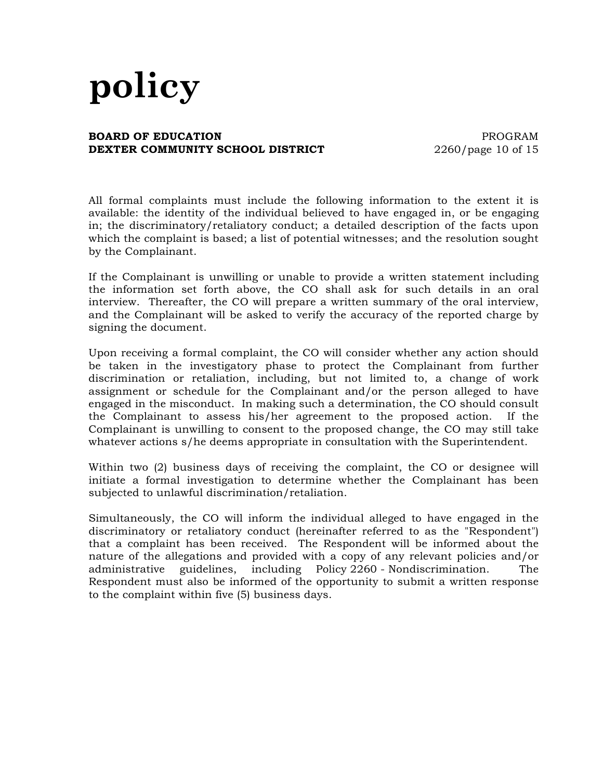### **BOARD OF EDUCATION EXECUTE: PROGRAM DEXTER COMMUNITY SCHOOL DISTRICT** 2260/page 10 of 15

All formal complaints must include the following information to the extent it is available: the identity of the individual believed to have engaged in, or be engaging in; the discriminatory/retaliatory conduct; a detailed description of the facts upon which the complaint is based; a list of potential witnesses; and the resolution sought by the Complainant.

If the Complainant is unwilling or unable to provide a written statement including the information set forth above, the CO shall ask for such details in an oral interview. Thereafter, the CO will prepare a written summary of the oral interview, and the Complainant will be asked to verify the accuracy of the reported charge by signing the document.

Upon receiving a formal complaint, the CO will consider whether any action should be taken in the investigatory phase to protect the Complainant from further discrimination or retaliation, including, but not limited to, a change of work assignment or schedule for the Complainant and/or the person alleged to have engaged in the misconduct. In making such a determination, the CO should consult the Complainant to assess his/her agreement to the proposed action. If the Complainant is unwilling to consent to the proposed change, the CO may still take whatever actions s/he deems appropriate in consultation with the Superintendent.

Within two (2) business days of receiving the complaint, the CO or designee will initiate a formal investigation to determine whether the Complainant has been subjected to unlawful discrimination/retaliation.

Simultaneously, the CO will inform the individual alleged to have engaged in the discriminatory or retaliatory conduct (hereinafter referred to as the "Respondent") that a complaint has been received. The Respondent will be informed about the nature of the allegations and provided with a copy of any relevant policies and/or administrative guidelines, including Policy 2260 - Nondiscrimination. The Respondent must also be informed of the opportunity to submit a written response to the complaint within five (5) business days.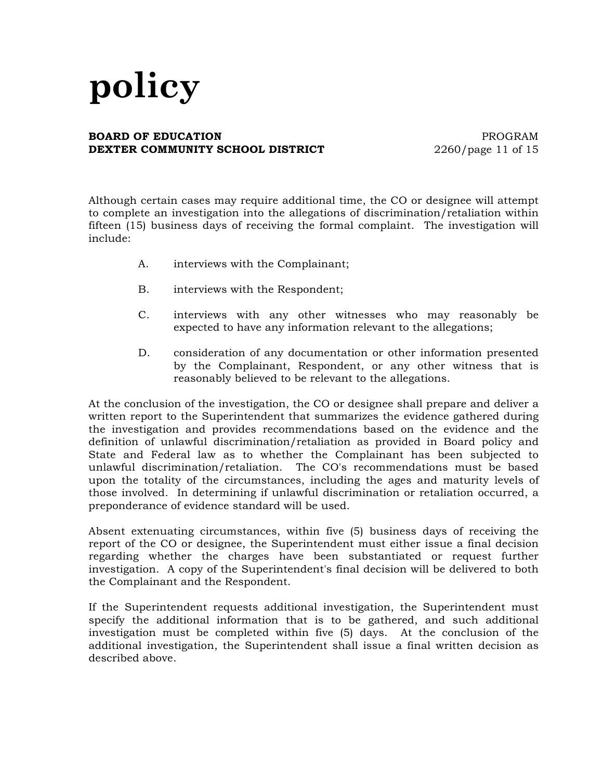### **BOARD OF EDUCATION PROGRAM DEXTER COMMUNITY SCHOOL DISTRICT** 2260/page 11 of 15

Although certain cases may require additional time, the CO or designee will attempt to complete an investigation into the allegations of discrimination/retaliation within fifteen (15) business days of receiving the formal complaint. The investigation will include:

- A. interviews with the Complainant;
- B. interviews with the Respondent;
- C. interviews with any other witnesses who may reasonably be expected to have any information relevant to the allegations;
- D. consideration of any documentation or other information presented by the Complainant, Respondent, or any other witness that is reasonably believed to be relevant to the allegations.

At the conclusion of the investigation, the CO or designee shall prepare and deliver a written report to the Superintendent that summarizes the evidence gathered during the investigation and provides recommendations based on the evidence and the definition of unlawful discrimination/retaliation as provided in Board policy and State and Federal law as to whether the Complainant has been subjected to unlawful discrimination/retaliation. The CO's recommendations must be based upon the totality of the circumstances, including the ages and maturity levels of those involved. In determining if unlawful discrimination or retaliation occurred, a preponderance of evidence standard will be used.

Absent extenuating circumstances, within five (5) business days of receiving the report of the CO or designee, the Superintendent must either issue a final decision regarding whether the charges have been substantiated or request further investigation. A copy of the Superintendent's final decision will be delivered to both the Complainant and the Respondent.

If the Superintendent requests additional investigation, the Superintendent must specify the additional information that is to be gathered, and such additional investigation must be completed within five (5) days. At the conclusion of the additional investigation, the Superintendent shall issue a final written decision as described above.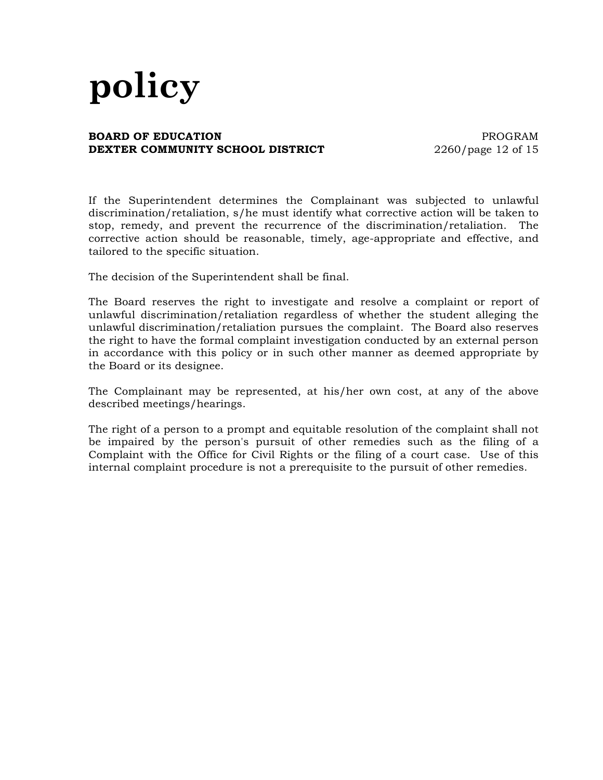### **BOARD OF EDUCATION PROGRAM DEXTER COMMUNITY SCHOOL DISTRICT** 2260/page 12 of 15

If the Superintendent determines the Complainant was subjected to unlawful discrimination/retaliation, s/he must identify what corrective action will be taken to stop, remedy, and prevent the recurrence of the discrimination/retaliation. The corrective action should be reasonable, timely, age-appropriate and effective, and tailored to the specific situation.

The decision of the Superintendent shall be final.

The Board reserves the right to investigate and resolve a complaint or report of unlawful discrimination/retaliation regardless of whether the student alleging the unlawful discrimination/retaliation pursues the complaint. The Board also reserves the right to have the formal complaint investigation conducted by an external person in accordance with this policy or in such other manner as deemed appropriate by the Board or its designee.

The Complainant may be represented, at his/her own cost, at any of the above described meetings/hearings.

The right of a person to a prompt and equitable resolution of the complaint shall not be impaired by the person's pursuit of other remedies such as the filing of a Complaint with the Office for Civil Rights or the filing of a court case. Use of this internal complaint procedure is not a prerequisite to the pursuit of other remedies.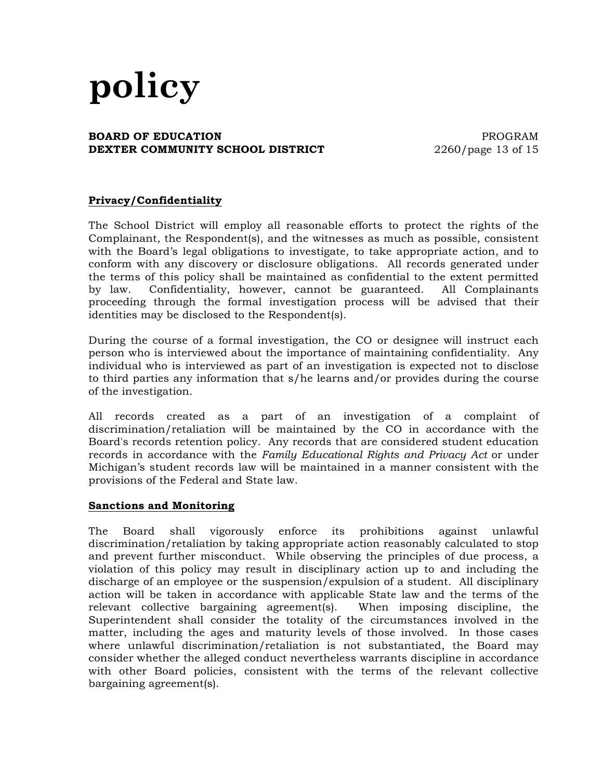### **BOARD OF EDUCATION PROGRAM DEXTER COMMUNITY SCHOOL DISTRICT** 2260/page 13 of 15

# **Privacy/Confidentiality**

The School District will employ all reasonable efforts to protect the rights of the Complainant, the Respondent(s), and the witnesses as much as possible, consistent with the Board's legal obligations to investigate, to take appropriate action, and to conform with any discovery or disclosure obligations. All records generated under the terms of this policy shall be maintained as confidential to the extent permitted by law. Confidentiality, however, cannot be guaranteed. All Complainants proceeding through the formal investigation process will be advised that their identities may be disclosed to the Respondent(s).

During the course of a formal investigation, the CO or designee will instruct each person who is interviewed about the importance of maintaining confidentiality. Any individual who is interviewed as part of an investigation is expected not to disclose to third parties any information that s/he learns and/or provides during the course of the investigation.

All records created as a part of an investigation of a complaint of discrimination/retaliation will be maintained by the CO in accordance with the Board's records retention policy. Any records that are considered student education records in accordance with the *Family Educational Rights and Privacy Act* or under Michigan's student records law will be maintained in a manner consistent with the provisions of the Federal and State law.

#### **Sanctions and Monitoring**

The Board shall vigorously enforce its prohibitions against unlawful discrimination/retaliation by taking appropriate action reasonably calculated to stop and prevent further misconduct. While observing the principles of due process, a violation of this policy may result in disciplinary action up to and including the discharge of an employee or the suspension/expulsion of a student. All disciplinary action will be taken in accordance with applicable State law and the terms of the relevant collective bargaining agreement(s). When imposing discipline, the Superintendent shall consider the totality of the circumstances involved in the matter, including the ages and maturity levels of those involved. In those cases where unlawful discrimination/retaliation is not substantiated, the Board may consider whether the alleged conduct nevertheless warrants discipline in accordance with other Board policies, consistent with the terms of the relevant collective bargaining agreement(s).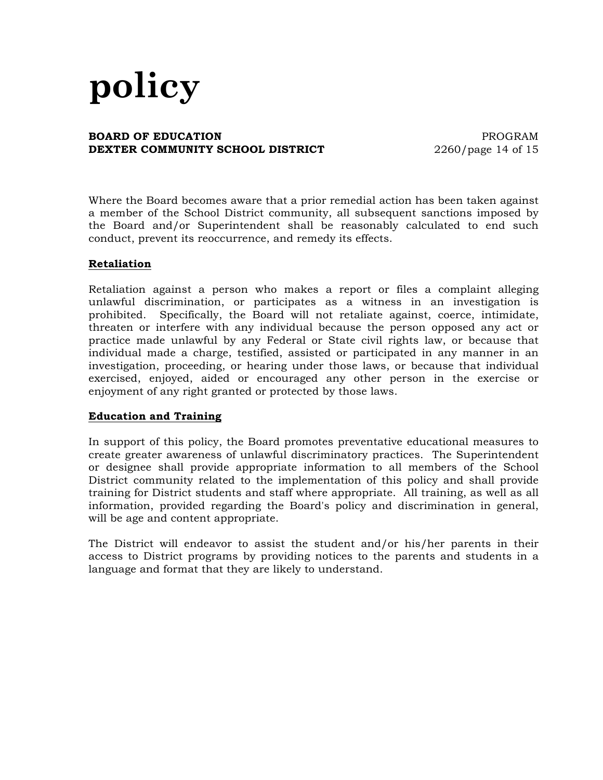### **BOARD OF EDUCATION PROGRAM DEXTER COMMUNITY SCHOOL DISTRICT** 2260/page 14 of 15

Where the Board becomes aware that a prior remedial action has been taken against a member of the School District community, all subsequent sanctions imposed by the Board and/or Superintendent shall be reasonably calculated to end such conduct, prevent its reoccurrence, and remedy its effects.

# **Retaliation**

Retaliation against a person who makes a report or files a complaint alleging unlawful discrimination, or participates as a witness in an investigation is prohibited. Specifically, the Board will not retaliate against, coerce, intimidate, threaten or interfere with any individual because the person opposed any act or practice made unlawful by any Federal or State civil rights law, or because that individual made a charge, testified, assisted or participated in any manner in an investigation, proceeding, or hearing under those laws, or because that individual exercised, enjoyed, aided or encouraged any other person in the exercise or enjoyment of any right granted or protected by those laws.

# **Education and Training**

In support of this policy, the Board promotes preventative educational measures to create greater awareness of unlawful discriminatory practices. The Superintendent or designee shall provide appropriate information to all members of the School District community related to the implementation of this policy and shall provide training for District students and staff where appropriate. All training, as well as all information, provided regarding the Board's policy and discrimination in general, will be age and content appropriate.

The District will endeavor to assist the student and/or his/her parents in their access to District programs by providing notices to the parents and students in a language and format that they are likely to understand.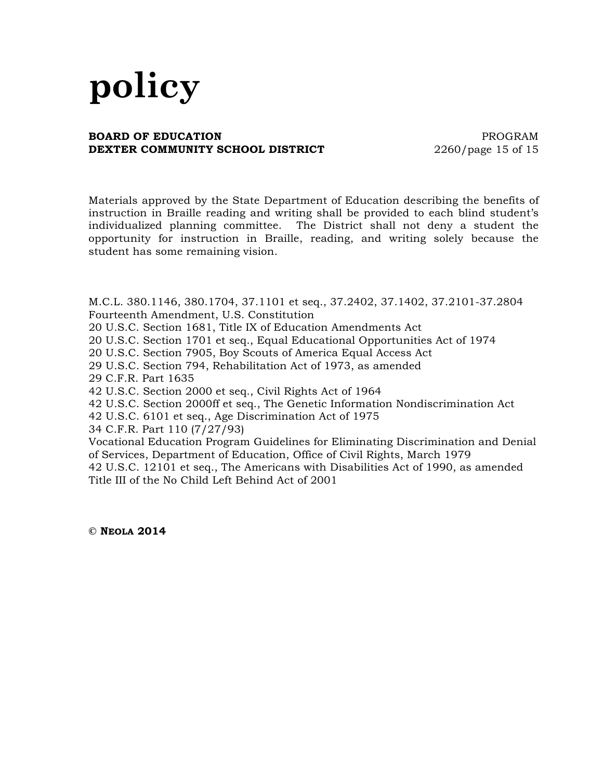## **BOARD OF EDUCATION EXECUTE:** THE RESERVE ENDING PROGRAM **DEXTER COMMUNITY SCHOOL DISTRICT** 2260/page 15 of 15

Materials approved by the State Department of Education describing the benefits of instruction in Braille reading and writing shall be provided to each blind student's individualized planning committee. The District shall not deny a student the opportunity for instruction in Braille, reading, and writing solely because the student has some remaining vision.

M.C.L. 380.1146, 380.1704, 37.1101 et seq., 37.2402, 37.1402, 37.2101-37.2804 Fourteenth Amendment, U.S. Constitution

20 U.S.C. Section 1681, Title IX of Education Amendments Act

20 U.S.C. Section 1701 et seq., Equal Educational Opportunities Act of 1974

20 U.S.C. Section 7905, Boy Scouts of America Equal Access Act

29 U.S.C. Section 794, Rehabilitation Act of 1973, as amended

29 C.F.R. Part 1635

42 U.S.C. Section 2000 et seq., Civil Rights Act of 1964

42 U.S.C. Section 2000ff et seq., The Genetic Information Nondiscrimination Act

42 U.S.C. 6101 et seq., Age Discrimination Act of 1975

34 C.F.R. Part 110 (7/27/93)

Vocational Education Program Guidelines for Eliminating Discrimination and Denial of Services, Department of Education, Office of Civil Rights, March 1979 42 U.S.C. 12101 et seq., The Americans with Disabilities Act of 1990, as amended Title III of the No Child Left Behind Act of 2001

**© NEOLA 2014**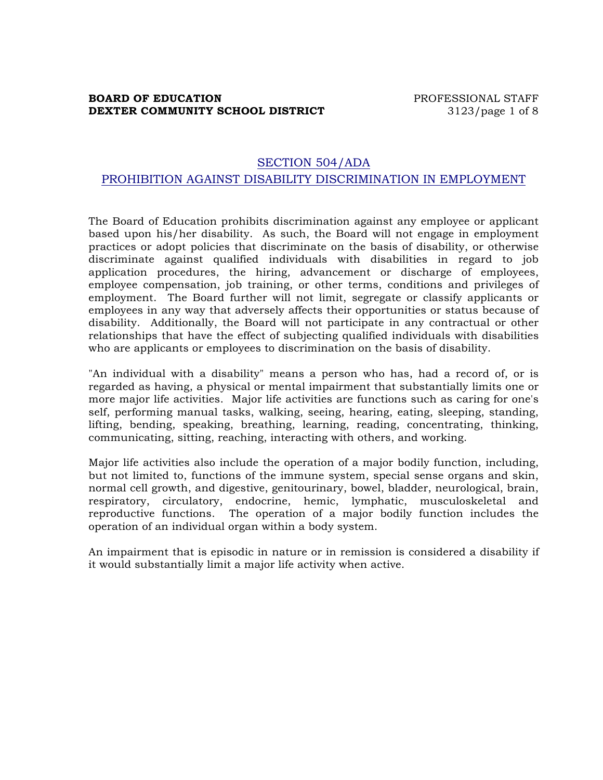# **BOARD OF EDUCATION EXECUTE:** PROFESSIONAL STAFF **DEXTER COMMUNITY SCHOOL DISTRICT** 3123/page 1 of 8

# SECTION 504/ADA PROHIBITION AGAINST DISABILITY DISCRIMINATION IN EMPLOYMENT

The Board of Education prohibits discrimination against any employee or applicant based upon his/her disability. As such, the Board will not engage in employment practices or adopt policies that discriminate on the basis of disability, or otherwise discriminate against qualified individuals with disabilities in regard to job application procedures, the hiring, advancement or discharge of employees, employee compensation, job training, or other terms, conditions and privileges of employment. The Board further will not limit, segregate or classify applicants or employees in any way that adversely affects their opportunities or status because of disability. Additionally, the Board will not participate in any contractual or other relationships that have the effect of subjecting qualified individuals with disabilities who are applicants or employees to discrimination on the basis of disability.

"An individual with a disability" means a person who has, had a record of, or is regarded as having, a physical or mental impairment that substantially limits one or more major life activities. Major life activities are functions such as caring for one's self, performing manual tasks, walking, seeing, hearing, eating, sleeping, standing, lifting, bending, speaking, breathing, learning, reading, concentrating, thinking, communicating, sitting, reaching, interacting with others, and working.

Major life activities also include the operation of a major bodily function, including, but not limited to, functions of the immune system, special sense organs and skin, normal cell growth, and digestive, genitourinary, bowel, bladder, neurological, brain, respiratory, circulatory, endocrine, hemic, lymphatic, musculoskeletal and reproductive functions. The operation of a major bodily function includes the operation of an individual organ within a body system.

An impairment that is episodic in nature or in remission is considered a disability if it would substantially limit a major life activity when active.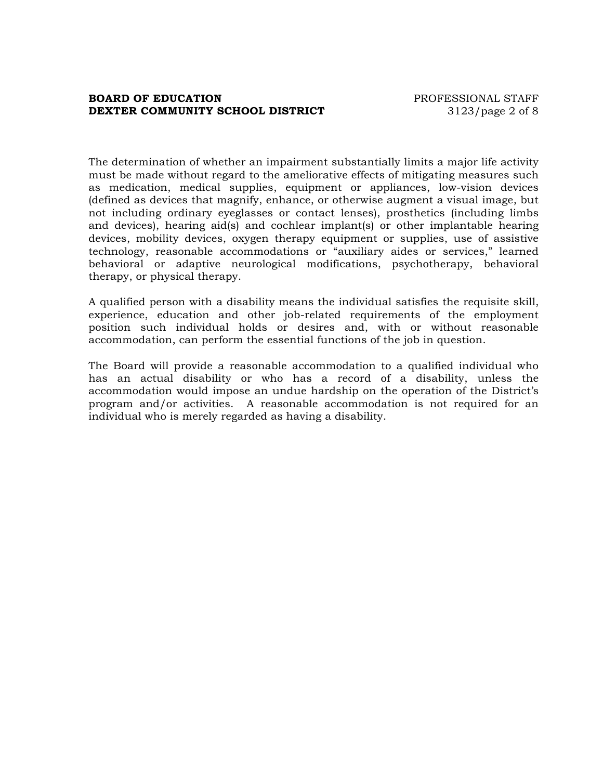## **BOARD OF EDUCATION EXECUTE:** PROFESSIONAL STAFF **DEXTER COMMUNITY SCHOOL DISTRICT** 3123/page 2 of 8

The determination of whether an impairment substantially limits a major life activity must be made without regard to the ameliorative effects of mitigating measures such as medication, medical supplies, equipment or appliances, low-vision devices (defined as devices that magnify, enhance, or otherwise augment a visual image, but not including ordinary eyeglasses or contact lenses), prosthetics (including limbs and devices), hearing aid(s) and cochlear implant(s) or other implantable hearing devices, mobility devices, oxygen therapy equipment or supplies, use of assistive technology, reasonable accommodations or "auxiliary aides or services," learned behavioral or adaptive neurological modifications, psychotherapy, behavioral therapy, or physical therapy.

A qualified person with a disability means the individual satisfies the requisite skill, experience, education and other job-related requirements of the employment position such individual holds or desires and, with or without reasonable accommodation, can perform the essential functions of the job in question.

The Board will provide a reasonable accommodation to a qualified individual who has an actual disability or who has a record of a disability, unless the accommodation would impose an undue hardship on the operation of the District's program and/or activities. A reasonable accommodation is not required for an individual who is merely regarded as having a disability.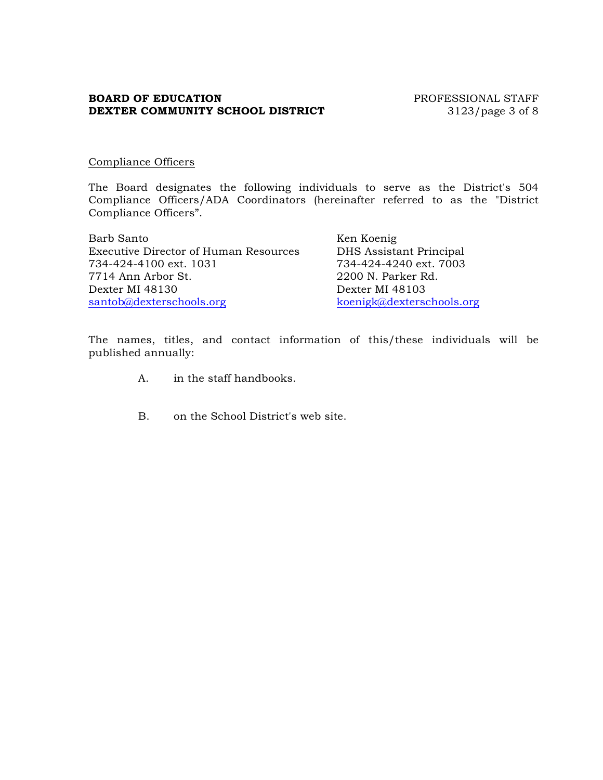# **BOARD OF EDUCATION** PROFESSIONAL STAFF **DEXTER COMMUNITY SCHOOL DISTRICT** 3123/page 3 of 8

## Compliance Officers

The Board designates the following individuals to serve as the District's 504 Compliance Officers/ADA Coordinators (hereinafter referred to as the "District Compliance Officers".

| Barb Santo                                   | Ken Koenig                |
|----------------------------------------------|---------------------------|
| <b>Executive Director of Human Resources</b> | DHS Assistant Principal   |
| 734-424-4100 ext. 1031                       | 734-424-4240 ext. 7003    |
| 7714 Ann Arbor St.                           | 2200 N. Parker Rd.        |
| Dexter MI 48130                              | Dexter MI 48103           |
| santob@dexterschools.org                     | koenigk@dexterschools.org |

The names, titles, and contact information of this/these individuals will be published annually:

- A. in the staff handbooks.
- B. on the School District's web site.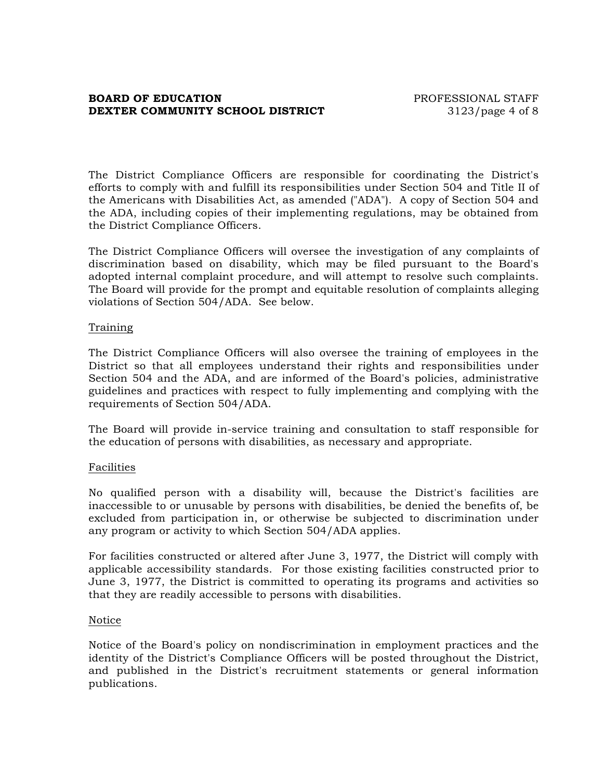## **BOARD OF EDUCATION EXECUTE:** PROFESSIONAL STAFF **DEXTER COMMUNITY SCHOOL DISTRICT** 3123/page 4 of 8

The District Compliance Officers are responsible for coordinating the District's efforts to comply with and fulfill its responsibilities under Section 504 and Title II of the Americans with Disabilities Act, as amended ("ADA"). A copy of Section 504 and the ADA, including copies of their implementing regulations, may be obtained from the District Compliance Officers.

The District Compliance Officers will oversee the investigation of any complaints of discrimination based on disability, which may be filed pursuant to the Board's adopted internal complaint procedure, and will attempt to resolve such complaints. The Board will provide for the prompt and equitable resolution of complaints alleging violations of Section 504/ADA. See below.

## Training

The District Compliance Officers will also oversee the training of employees in the District so that all employees understand their rights and responsibilities under Section 504 and the ADA, and are informed of the Board's policies, administrative guidelines and practices with respect to fully implementing and complying with the requirements of Section 504/ADA.

The Board will provide in-service training and consultation to staff responsible for the education of persons with disabilities, as necessary and appropriate.

# Facilities

No qualified person with a disability will, because the District's facilities are inaccessible to or unusable by persons with disabilities, be denied the benefits of, be excluded from participation in, or otherwise be subjected to discrimination under any program or activity to which Section 504/ADA applies.

For facilities constructed or altered after June 3, 1977, the District will comply with applicable accessibility standards. For those existing facilities constructed prior to June 3, 1977, the District is committed to operating its programs and activities so that they are readily accessible to persons with disabilities.

#### Notice

Notice of the Board's policy on nondiscrimination in employment practices and the identity of the District's Compliance Officers will be posted throughout the District, and published in the District's recruitment statements or general information publications.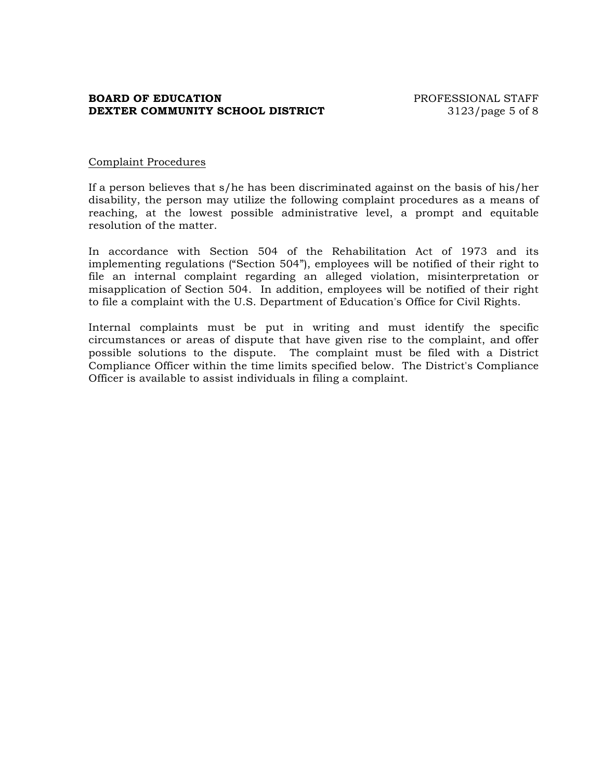# **BOARD OF EDUCATION EXECUTE:** THE PROFESSIONAL STAFF **DEXTER COMMUNITY SCHOOL DISTRICT** 3123/page 5 of 8

## Complaint Procedures

If a person believes that s/he has been discriminated against on the basis of his/her disability, the person may utilize the following complaint procedures as a means of reaching, at the lowest possible administrative level, a prompt and equitable resolution of the matter.

In accordance with Section 504 of the Rehabilitation Act of 1973 and its implementing regulations ("Section 504"), employees will be notified of their right to file an internal complaint regarding an alleged violation, misinterpretation or misapplication of Section 504. In addition, employees will be notified of their right to file a complaint with the U.S. Department of Education's Office for Civil Rights.

Internal complaints must be put in writing and must identify the specific circumstances or areas of dispute that have given rise to the complaint, and offer possible solutions to the dispute. The complaint must be filed with a District Compliance Officer within the time limits specified below. The District's Compliance Officer is available to assist individuals in filing a complaint.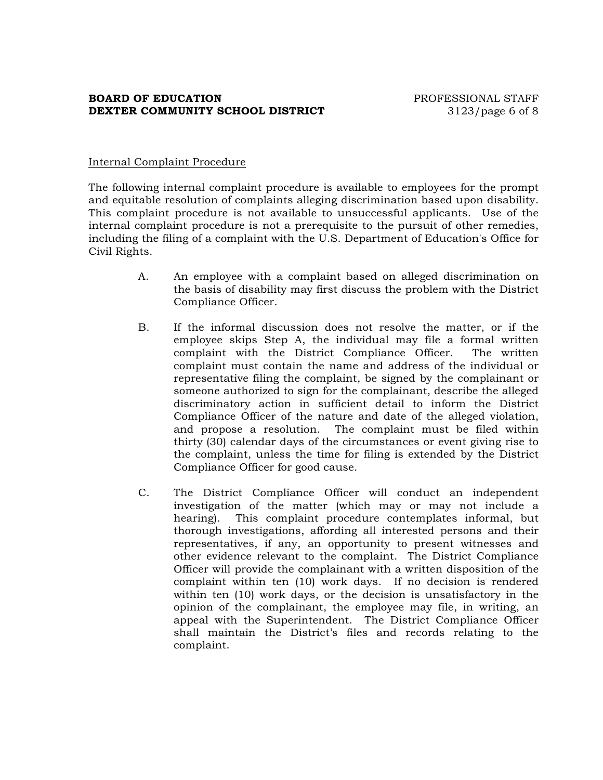# **BOARD OF EDUCATION EXECUTE:** PROFESSIONAL STAFF **DEXTER COMMUNITY SCHOOL DISTRICT** 3123/page 6 of 8

## Internal Complaint Procedure

The following internal complaint procedure is available to employees for the prompt and equitable resolution of complaints alleging discrimination based upon disability. This complaint procedure is not available to unsuccessful applicants. Use of the internal complaint procedure is not a prerequisite to the pursuit of other remedies, including the filing of a complaint with the U.S. Department of Education's Office for Civil Rights.

- A. An employee with a complaint based on alleged discrimination on the basis of disability may first discuss the problem with the District Compliance Officer.
- B. If the informal discussion does not resolve the matter, or if the employee skips Step A, the individual may file a formal written complaint with the District Compliance Officer. The written complaint must contain the name and address of the individual or representative filing the complaint, be signed by the complainant or someone authorized to sign for the complainant, describe the alleged discriminatory action in sufficient detail to inform the District Compliance Officer of the nature and date of the alleged violation, and propose a resolution. The complaint must be filed within thirty (30) calendar days of the circumstances or event giving rise to the complaint, unless the time for filing is extended by the District Compliance Officer for good cause.
- C. The District Compliance Officer will conduct an independent investigation of the matter (which may or may not include a hearing). This complaint procedure contemplates informal, but thorough investigations, affording all interested persons and their representatives, if any, an opportunity to present witnesses and other evidence relevant to the complaint. The District Compliance Officer will provide the complainant with a written disposition of the complaint within ten (10) work days. If no decision is rendered within ten (10) work days, or the decision is unsatisfactory in the opinion of the complainant, the employee may file, in writing, an appeal with the Superintendent. The District Compliance Officer shall maintain the District's files and records relating to the complaint.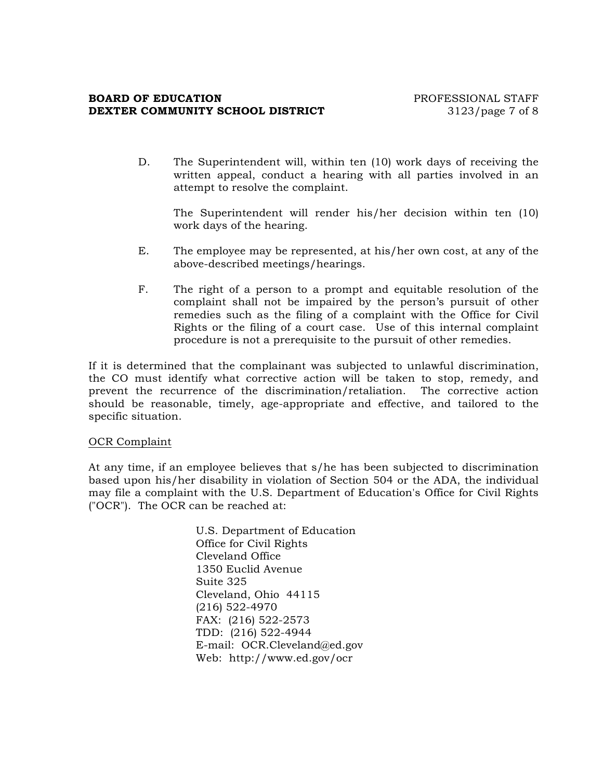### **BOARD OF EDUCATION EXECUTE:** THE PROFESSIONAL STAFF **DEXTER COMMUNITY SCHOOL DISTRICT** 3123/page 7 of 8

D. The Superintendent will, within ten (10) work days of receiving the written appeal, conduct a hearing with all parties involved in an attempt to resolve the complaint.

The Superintendent will render his/her decision within ten (10) work days of the hearing.

- E. The employee may be represented, at his/her own cost, at any of the above-described meetings/hearings.
- F. The right of a person to a prompt and equitable resolution of the complaint shall not be impaired by the person's pursuit of other remedies such as the filing of a complaint with the Office for Civil Rights or the filing of a court case. Use of this internal complaint procedure is not a prerequisite to the pursuit of other remedies.

If it is determined that the complainant was subjected to unlawful discrimination, the CO must identify what corrective action will be taken to stop, remedy, and prevent the recurrence of the discrimination/retaliation. The corrective action should be reasonable, timely, age-appropriate and effective, and tailored to the specific situation.

#### OCR Complaint

At any time, if an employee believes that s/he has been subjected to discrimination based upon his/her disability in violation of Section 504 or the ADA, the individual may file a complaint with the U.S. Department of Education's Office for Civil Rights ("OCR"). The OCR can be reached at:

> U.S. Department of Education Office for Civil Rights Cleveland Office 1350 Euclid Avenue Suite 325 Cleveland, Ohio 44115 (216) 522-4970 FAX: (216) 522-2573 TDD: (216) 522-4944 E-mail: OCR.Cleveland@ed.gov Web: http://www.ed.gov/ocr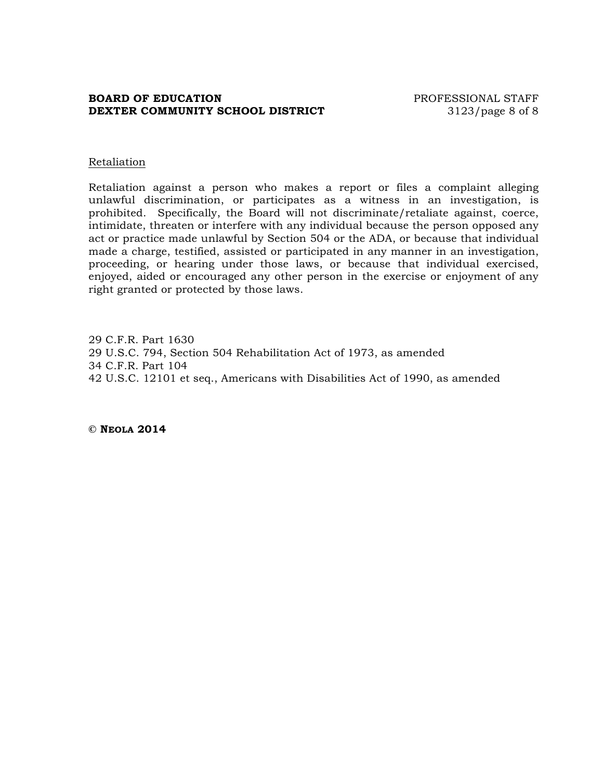## **BOARD OF EDUCATION EXECUTE:** PROFESSIONAL STAFF **DEXTER COMMUNITY SCHOOL DISTRICT** 3123/page 8 of 8

#### Retaliation

Retaliation against a person who makes a report or files a complaint alleging unlawful discrimination, or participates as a witness in an investigation, is prohibited. Specifically, the Board will not discriminate/retaliate against, coerce, intimidate, threaten or interfere with any individual because the person opposed any act or practice made unlawful by Section 504 or the ADA, or because that individual made a charge, testified, assisted or participated in any manner in an investigation, proceeding, or hearing under those laws, or because that individual exercised, enjoyed, aided or encouraged any other person in the exercise or enjoyment of any right granted or protected by those laws.

29 C.F.R. Part 1630 29 U.S.C. 794, Section 504 Rehabilitation Act of 1973, as amended 34 C.F.R. Part 104 42 U.S.C. 12101 et seq., Americans with Disabilities Act of 1990, as amended

**© NEOLA 2014**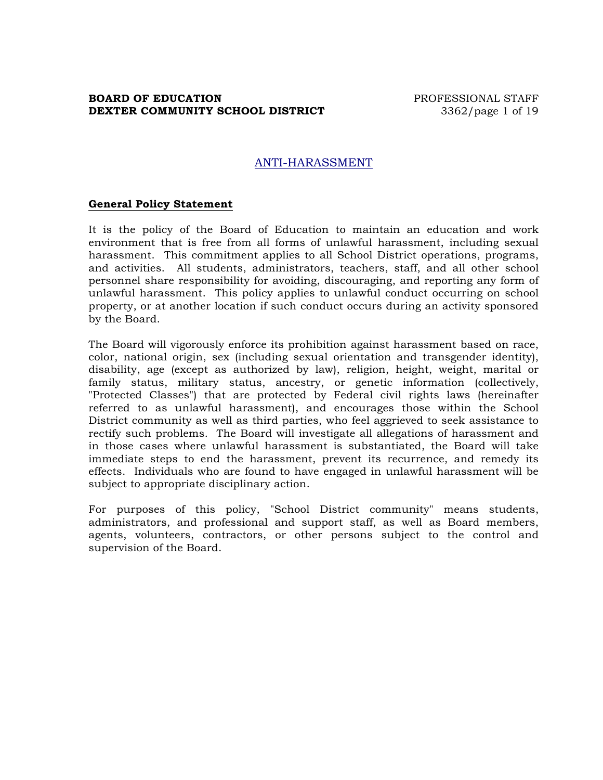## **BOARD OF EDUCATION PROFESSIONAL STAFF DEXTER COMMUNITY SCHOOL DISTRICT** 3362/page 1 of 19

# ANTI-HARASSMENT

#### **General Policy Statement**

It is the policy of the Board of Education to maintain an education and work environment that is free from all forms of unlawful harassment, including sexual harassment. This commitment applies to all School District operations, programs, and activities. All students, administrators, teachers, staff, and all other school personnel share responsibility for avoiding, discouraging, and reporting any form of unlawful harassment. This policy applies to unlawful conduct occurring on school property, or at another location if such conduct occurs during an activity sponsored by the Board.

The Board will vigorously enforce its prohibition against harassment based on race, color, national origin, sex (including sexual orientation and transgender identity), disability, age (except as authorized by law), religion, height, weight, marital or family status, military status, ancestry, or genetic information (collectively, "Protected Classes") that are protected by Federal civil rights laws (hereinafter referred to as unlawful harassment), and encourages those within the School District community as well as third parties, who feel aggrieved to seek assistance to rectify such problems. The Board will investigate all allegations of harassment and in those cases where unlawful harassment is substantiated, the Board will take immediate steps to end the harassment, prevent its recurrence, and remedy its effects. Individuals who are found to have engaged in unlawful harassment will be subject to appropriate disciplinary action.

For purposes of this policy, "School District community" means students, administrators, and professional and support staff, as well as Board members, agents, volunteers, contractors, or other persons subject to the control and supervision of the Board.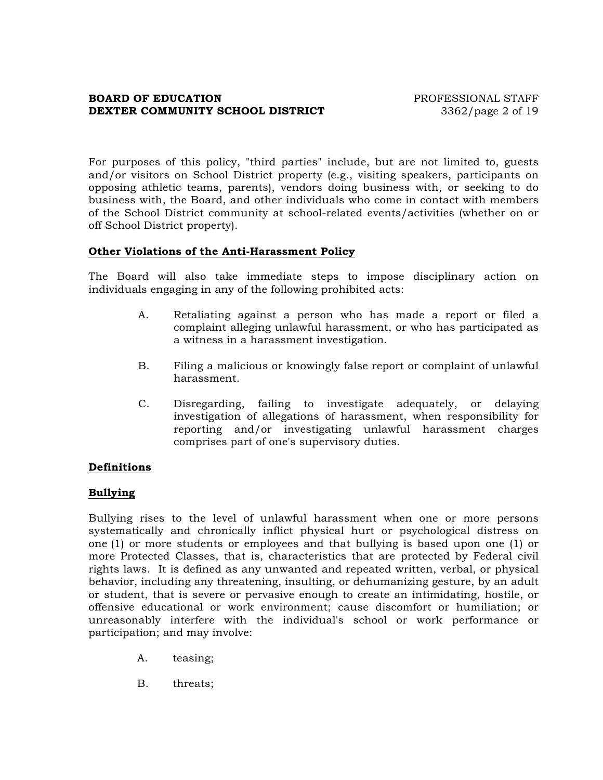# **BOARD OF EDUCATION PROFESSIONAL STAFF DEXTER COMMUNITY SCHOOL DISTRICT** 3362/page 2 of 19

For purposes of this policy, "third parties" include, but are not limited to, guests and/or visitors on School District property (e.g., visiting speakers, participants on opposing athletic teams, parents), vendors doing business with, or seeking to do business with, the Board, and other individuals who come in contact with members of the School District community at school-related events/activities (whether on or off School District property).

## **Other Violations of the Anti-Harassment Policy**

The Board will also take immediate steps to impose disciplinary action on individuals engaging in any of the following prohibited acts:

- A. Retaliating against a person who has made a report or filed a complaint alleging unlawful harassment, or who has participated as a witness in a harassment investigation.
- B. Filing a malicious or knowingly false report or complaint of unlawful harassment.
- C. Disregarding, failing to investigate adequately, or delaying investigation of allegations of harassment, when responsibility for reporting and/or investigating unlawful harassment charges comprises part of one's supervisory duties.

# **Definitions**

# **Bullying**

Bullying rises to the level of unlawful harassment when one or more persons systematically and chronically inflict physical hurt or psychological distress on one (1) or more students or employees and that bullying is based upon one (1) or more Protected Classes, that is, characteristics that are protected by Federal civil rights laws. It is defined as any unwanted and repeated written, verbal, or physical behavior, including any threatening, insulting, or dehumanizing gesture, by an adult or student, that is severe or pervasive enough to create an intimidating, hostile, or offensive educational or work environment; cause discomfort or humiliation; or unreasonably interfere with the individual's school or work performance or participation; and may involve:

- A. teasing;
- B. threats;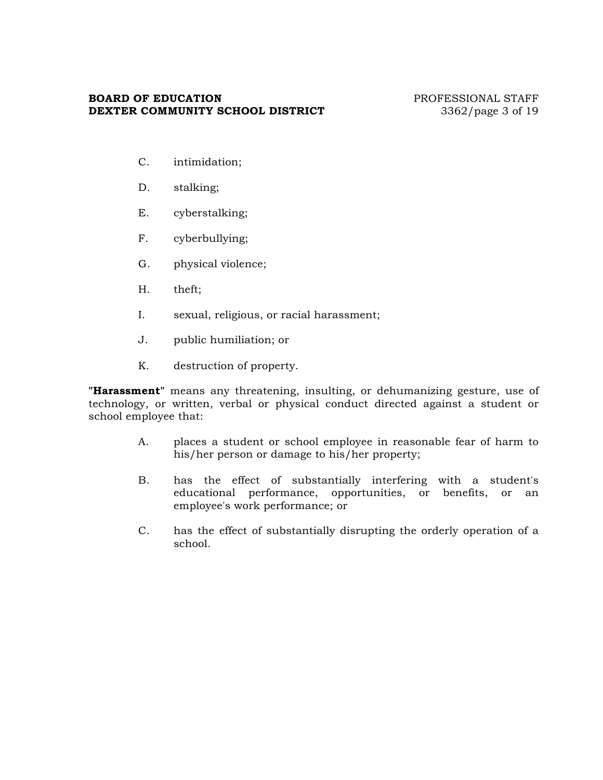# **BOARD OF EDUCATION** PROFESSIONAL STAFF **DEXTER COMMUNITY SCHOOL DISTRICT** 3362/page 3 of 19

- C. intimidation;
- D. stalking;
- E. cyberstalking;
- F. cyberbullying;
- G. physical violence;
- H. theft;
- I. sexual, religious, or racial harassment;
- J. public humiliation; or
- K. destruction of property.

**"Harassment"** means any threatening, insulting, or dehumanizing gesture, use of technology, or written, verbal or physical conduct directed against a student or school employee that:

- A. places a student or school employee in reasonable fear of harm to his/her person or damage to his/her property;
- B. has the effect of substantially interfering with a student's educational performance, opportunities, or benefits, or an employee's work performance; or
- C. has the effect of substantially disrupting the orderly operation of a school.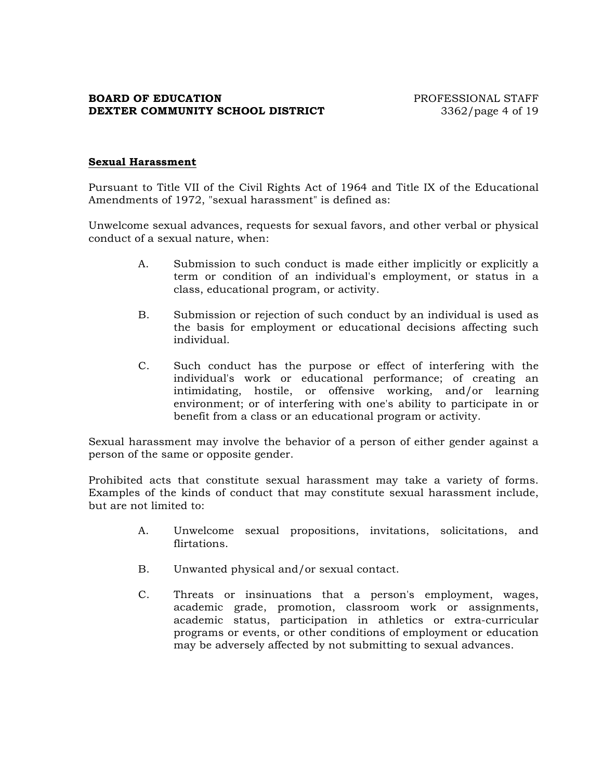# **BOARD OF EDUCATION PROFESSIONAL STAFF DEXTER COMMUNITY SCHOOL DISTRICT** 3362/page 4 of 19

# **Sexual Harassment**

Pursuant to Title VII of the Civil Rights Act of 1964 and Title IX of the Educational Amendments of 1972, "sexual harassment" is defined as:

Unwelcome sexual advances, requests for sexual favors, and other verbal or physical conduct of a sexual nature, when:

- A. Submission to such conduct is made either implicitly or explicitly a term or condition of an individual's employment, or status in a class, educational program, or activity.
- B. Submission or rejection of such conduct by an individual is used as the basis for employment or educational decisions affecting such individual.
- C. Such conduct has the purpose or effect of interfering with the individual's work or educational performance; of creating an intimidating, hostile, or offensive working, and/or learning environment; or of interfering with one's ability to participate in or benefit from a class or an educational program or activity.

Sexual harassment may involve the behavior of a person of either gender against a person of the same or opposite gender.

Prohibited acts that constitute sexual harassment may take a variety of forms. Examples of the kinds of conduct that may constitute sexual harassment include, but are not limited to:

- A. Unwelcome sexual propositions, invitations, solicitations, and flirtations.
- B. Unwanted physical and/or sexual contact.
- C. Threats or insinuations that a person's employment, wages, academic grade, promotion, classroom work or assignments, academic status, participation in athletics or extra-curricular programs or events, or other conditions of employment or education may be adversely affected by not submitting to sexual advances.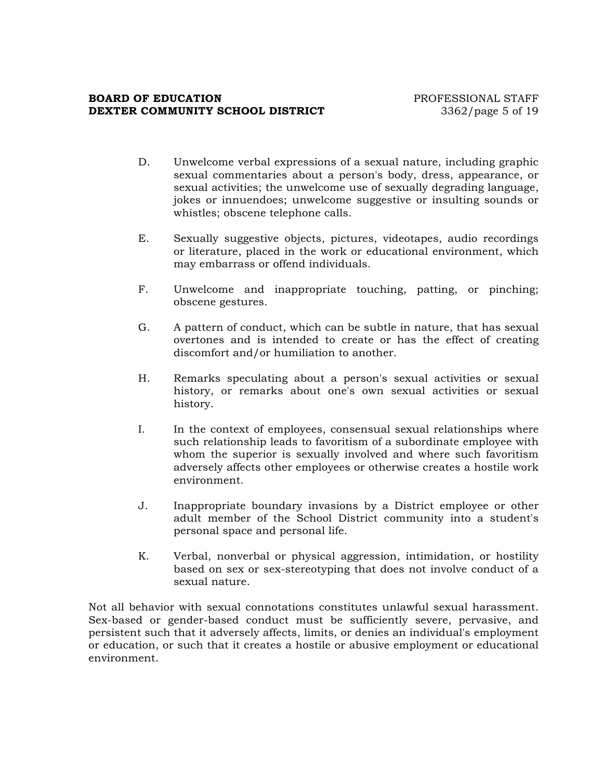### **BOARD OF EDUCATION EXECUTE:** THE PROFESSIONAL STAFF **DEXTER COMMUNITY SCHOOL DISTRICT** 3362/page 5 of 19

- D. Unwelcome verbal expressions of a sexual nature, including graphic sexual commentaries about a person's body, dress, appearance, or sexual activities; the unwelcome use of sexually degrading language, jokes or innuendoes; unwelcome suggestive or insulting sounds or whistles; obscene telephone calls.
- E. Sexually suggestive objects, pictures, videotapes, audio recordings or literature, placed in the work or educational environment, which may embarrass or offend individuals.
- F. Unwelcome and inappropriate touching, patting, or pinching; obscene gestures.
- G. A pattern of conduct, which can be subtle in nature, that has sexual overtones and is intended to create or has the effect of creating discomfort and/or humiliation to another.
- H. Remarks speculating about a person's sexual activities or sexual history, or remarks about one's own sexual activities or sexual history.
- I. In the context of employees, consensual sexual relationships where such relationship leads to favoritism of a subordinate employee with whom the superior is sexually involved and where such favoritism adversely affects other employees or otherwise creates a hostile work environment.
- J. Inappropriate boundary invasions by a District employee or other adult member of the School District community into a student's personal space and personal life.
- K. Verbal, nonverbal or physical aggression, intimidation, or hostility based on sex or sex-stereotyping that does not involve conduct of a sexual nature.

Not all behavior with sexual connotations constitutes unlawful sexual harassment. Sex-based or gender-based conduct must be sufficiently severe, pervasive, and persistent such that it adversely affects, limits, or denies an individual's employment or education, or such that it creates a hostile or abusive employment or educational environment.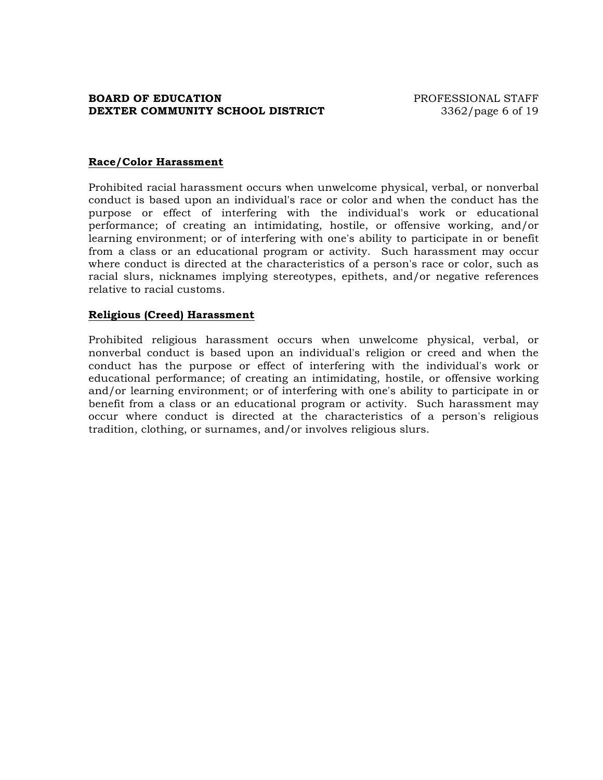# **BOARD OF EDUCATION PROFESSIONAL STAFF DEXTER COMMUNITY SCHOOL DISTRICT** 3362/page 6 of 19

## **Race/Color Harassment**

Prohibited racial harassment occurs when unwelcome physical, verbal, or nonverbal conduct is based upon an individual's race or color and when the conduct has the purpose or effect of interfering with the individual's work or educational performance; of creating an intimidating, hostile, or offensive working, and/or learning environment; or of interfering with one's ability to participate in or benefit from a class or an educational program or activity. Such harassment may occur where conduct is directed at the characteristics of a person's race or color, such as racial slurs, nicknames implying stereotypes, epithets, and/or negative references relative to racial customs.

#### **Religious (Creed) Harassment**

Prohibited religious harassment occurs when unwelcome physical, verbal, or nonverbal conduct is based upon an individual's religion or creed and when the conduct has the purpose or effect of interfering with the individual's work or educational performance; of creating an intimidating, hostile, or offensive working and/or learning environment; or of interfering with one's ability to participate in or benefit from a class or an educational program or activity. Such harassment may occur where conduct is directed at the characteristics of a person's religious tradition, clothing, or surnames, and/or involves religious slurs.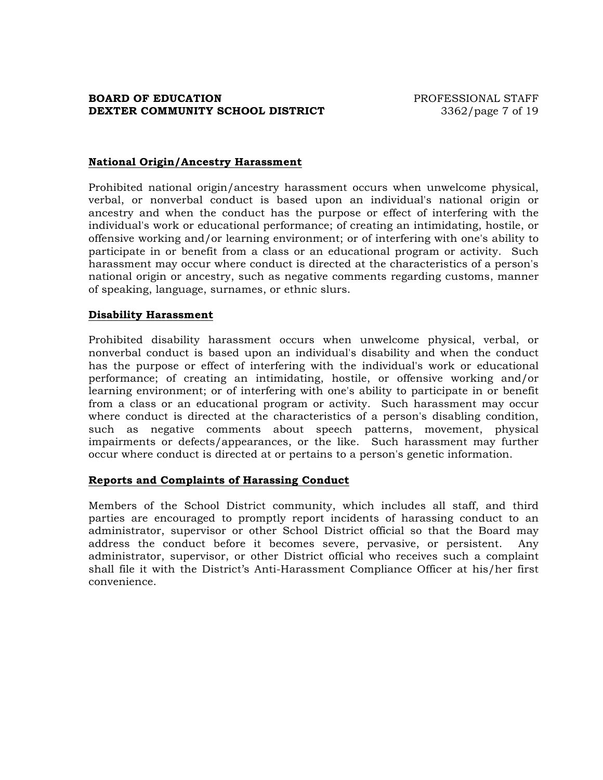## **National Origin/Ancestry Harassment**

Prohibited national origin/ancestry harassment occurs when unwelcome physical, verbal, or nonverbal conduct is based upon an individual's national origin or ancestry and when the conduct has the purpose or effect of interfering with the individual's work or educational performance; of creating an intimidating, hostile, or offensive working and/or learning environment; or of interfering with one's ability to participate in or benefit from a class or an educational program or activity. Such harassment may occur where conduct is directed at the characteristics of a person's national origin or ancestry, such as negative comments regarding customs, manner of speaking, language, surnames, or ethnic slurs.

#### **Disability Harassment**

Prohibited disability harassment occurs when unwelcome physical, verbal, or nonverbal conduct is based upon an individual's disability and when the conduct has the purpose or effect of interfering with the individual's work or educational performance; of creating an intimidating, hostile, or offensive working and/or learning environment; or of interfering with one's ability to participate in or benefit from a class or an educational program or activity. Such harassment may occur where conduct is directed at the characteristics of a person's disabling condition, such as negative comments about speech patterns, movement, physical impairments or defects/appearances, or the like. Such harassment may further occur where conduct is directed at or pertains to a person's genetic information.

#### **Reports and Complaints of Harassing Conduct**

Members of the School District community, which includes all staff, and third parties are encouraged to promptly report incidents of harassing conduct to an administrator, supervisor or other School District official so that the Board may address the conduct before it becomes severe, pervasive, or persistent. Any administrator, supervisor, or other District official who receives such a complaint shall file it with the District's Anti-Harassment Compliance Officer at his/her first convenience.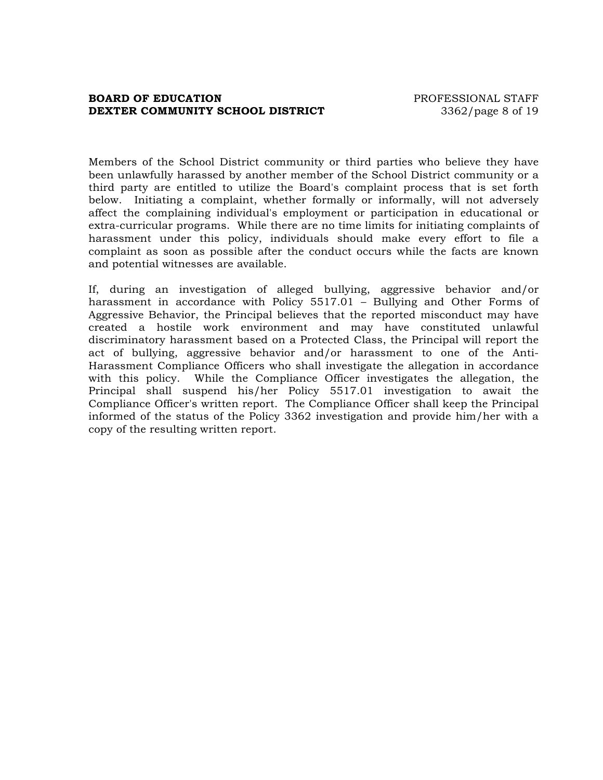## **BOARD OF EDUCATION EXECUTE:** PROFESSIONAL STAFF **DEXTER COMMUNITY SCHOOL DISTRICT** 3362/page 8 of 19

Members of the School District community or third parties who believe they have been unlawfully harassed by another member of the School District community or a third party are entitled to utilize the Board's complaint process that is set forth below. Initiating a complaint, whether formally or informally, will not adversely affect the complaining individual's employment or participation in educational or extra-curricular programs. While there are no time limits for initiating complaints of harassment under this policy, individuals should make every effort to file a complaint as soon as possible after the conduct occurs while the facts are known and potential witnesses are available.

If, during an investigation of alleged bullying, aggressive behavior and/or harassment in accordance with Policy 5517.01 – Bullying and Other Forms of Aggressive Behavior, the Principal believes that the reported misconduct may have created a hostile work environment and may have constituted unlawful discriminatory harassment based on a Protected Class, the Principal will report the act of bullying, aggressive behavior and/or harassment to one of the Anti-Harassment Compliance Officers who shall investigate the allegation in accordance with this policy. While the Compliance Officer investigates the allegation, the Principal shall suspend his/her Policy 5517.01 investigation to await the Compliance Officer's written report. The Compliance Officer shall keep the Principal informed of the status of the Policy 3362 investigation and provide him/her with a copy of the resulting written report.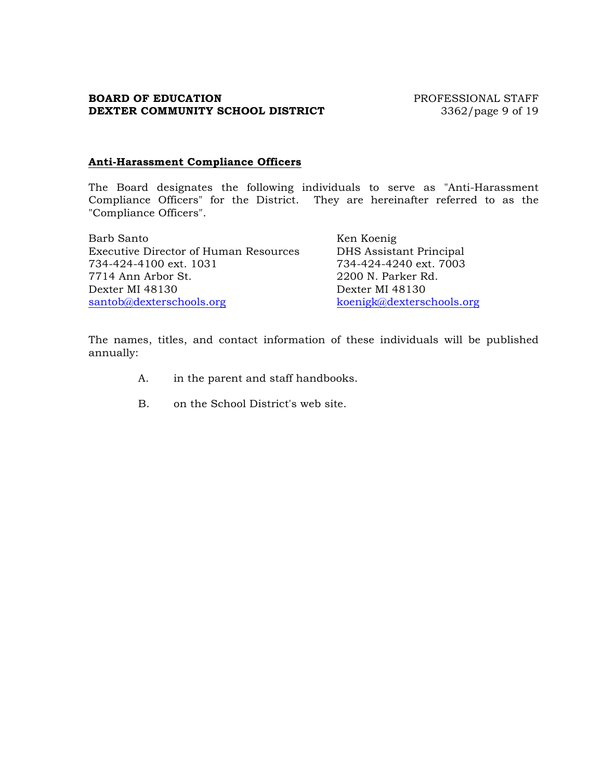# **BOARD OF EDUCATION** PROFESSIONAL STAFF **DEXTER COMMUNITY SCHOOL DISTRICT** 3362/page 9 of 19

### **Anti-Harassment Compliance Officers**

The Board designates the following individuals to serve as "Anti-Harassment Compliance Officers" for the District. They are hereinafter referred to as the "Compliance Officers".

| Barb Santo                                   | Ken Koenig                |
|----------------------------------------------|---------------------------|
| <b>Executive Director of Human Resources</b> | DHS Assistant Principal   |
| 734-424-4100 ext. 1031                       | 734-424-4240 ext. 7003    |
| 7714 Ann Arbor St.                           | 2200 N. Parker Rd.        |
| Dexter MI 48130                              | Dexter MI 48130           |
| santob@dexterschools.org                     | koenigk@dexterschools.org |

The names, titles, and contact information of these individuals will be published annually:

- A. in the parent and staff handbooks.
- B. on the School District's web site.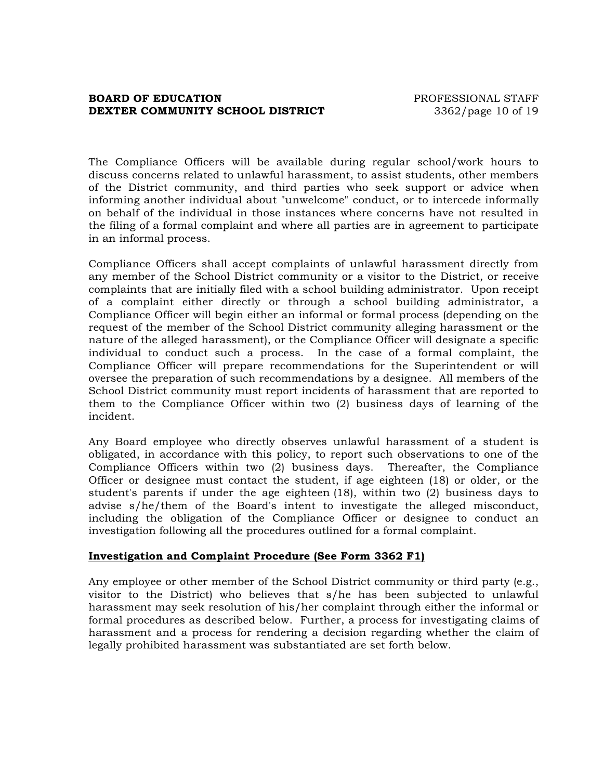## **BOARD OF EDUCATION PROFESSIONAL STAFF DEXTER COMMUNITY SCHOOL DISTRICT** 3362/page 10 of 19

The Compliance Officers will be available during regular school/work hours to discuss concerns related to unlawful harassment, to assist students, other members of the District community, and third parties who seek support or advice when informing another individual about "unwelcome" conduct, or to intercede informally on behalf of the individual in those instances where concerns have not resulted in the filing of a formal complaint and where all parties are in agreement to participate in an informal process.

Compliance Officers shall accept complaints of unlawful harassment directly from any member of the School District community or a visitor to the District, or receive complaints that are initially filed with a school building administrator. Upon receipt of a complaint either directly or through a school building administrator, a Compliance Officer will begin either an informal or formal process (depending on the request of the member of the School District community alleging harassment or the nature of the alleged harassment), or the Compliance Officer will designate a specific individual to conduct such a process. In the case of a formal complaint, the Compliance Officer will prepare recommendations for the Superintendent or will oversee the preparation of such recommendations by a designee. All members of the School District community must report incidents of harassment that are reported to them to the Compliance Officer within two (2) business days of learning of the incident.

Any Board employee who directly observes unlawful harassment of a student is obligated, in accordance with this policy, to report such observations to one of the Compliance Officers within two (2) business days. Thereafter, the Compliance Officer or designee must contact the student, if age eighteen (18) or older, or the student's parents if under the age eighteen (18), within two (2) business days to advise s/he/them of the Board's intent to investigate the alleged misconduct, including the obligation of the Compliance Officer or designee to conduct an investigation following all the procedures outlined for a formal complaint.

# **Investigation and Complaint Procedure (See Form 3362 F1)**

Any employee or other member of the School District community or third party (e.g., visitor to the District) who believes that s/he has been subjected to unlawful harassment may seek resolution of his/her complaint through either the informal or formal procedures as described below. Further, a process for investigating claims of harassment and a process for rendering a decision regarding whether the claim of legally prohibited harassment was substantiated are set forth below.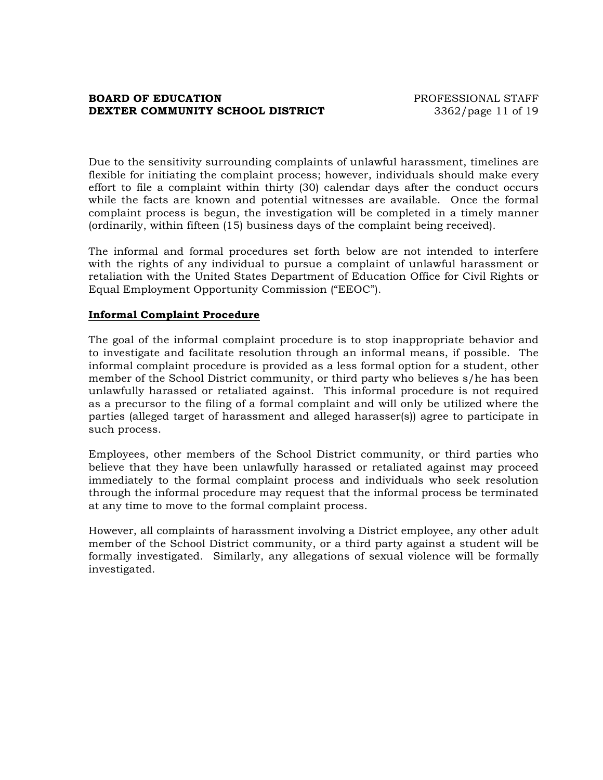## **BOARD OF EDUCATION EXECUTE:** THE PROFESSIONAL STAFF **DEXTER COMMUNITY SCHOOL DISTRICT** 3362/page 11 of 19

Due to the sensitivity surrounding complaints of unlawful harassment, timelines are flexible for initiating the complaint process; however, individuals should make every effort to file a complaint within thirty (30) calendar days after the conduct occurs while the facts are known and potential witnesses are available. Once the formal complaint process is begun, the investigation will be completed in a timely manner (ordinarily, within fifteen (15) business days of the complaint being received).

The informal and formal procedures set forth below are not intended to interfere with the rights of any individual to pursue a complaint of unlawful harassment or retaliation with the United States Department of Education Office for Civil Rights or Equal Employment Opportunity Commission ("EEOC").

## **Informal Complaint Procedure**

The goal of the informal complaint procedure is to stop inappropriate behavior and to investigate and facilitate resolution through an informal means, if possible. The informal complaint procedure is provided as a less formal option for a student, other member of the School District community, or third party who believes s/he has been unlawfully harassed or retaliated against. This informal procedure is not required as a precursor to the filing of a formal complaint and will only be utilized where the parties (alleged target of harassment and alleged harasser(s)) agree to participate in such process.

Employees, other members of the School District community, or third parties who believe that they have been unlawfully harassed or retaliated against may proceed immediately to the formal complaint process and individuals who seek resolution through the informal procedure may request that the informal process be terminated at any time to move to the formal complaint process.

However, all complaints of harassment involving a District employee, any other adult member of the School District community, or a third party against a student will be formally investigated. Similarly, any allegations of sexual violence will be formally investigated.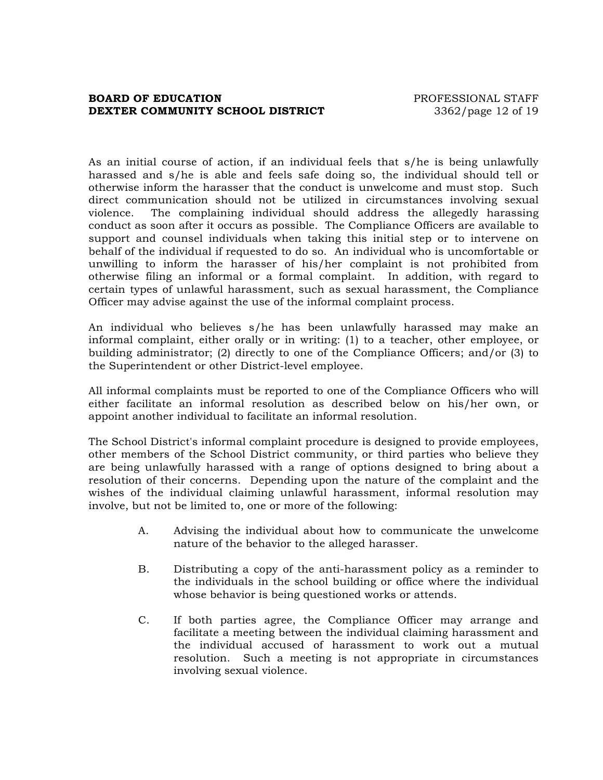## **BOARD OF EDUCATION PROFESSIONAL STAFF DEXTER COMMUNITY SCHOOL DISTRICT** 3362/page 12 of 19

As an initial course of action, if an individual feels that s/he is being unlawfully harassed and s/he is able and feels safe doing so, the individual should tell or otherwise inform the harasser that the conduct is unwelcome and must stop. Such direct communication should not be utilized in circumstances involving sexual violence. The complaining individual should address the allegedly harassing conduct as soon after it occurs as possible. The Compliance Officers are available to support and counsel individuals when taking this initial step or to intervene on behalf of the individual if requested to do so. An individual who is uncomfortable or unwilling to inform the harasser of his/her complaint is not prohibited from otherwise filing an informal or a formal complaint. In addition, with regard to certain types of unlawful harassment, such as sexual harassment, the Compliance Officer may advise against the use of the informal complaint process.

An individual who believes s/he has been unlawfully harassed may make an informal complaint, either orally or in writing: (1) to a teacher, other employee, or building administrator; (2) directly to one of the Compliance Officers; and/or (3) to the Superintendent or other District-level employee.

All informal complaints must be reported to one of the Compliance Officers who will either facilitate an informal resolution as described below on his/her own, or appoint another individual to facilitate an informal resolution.

The School District's informal complaint procedure is designed to provide employees, other members of the School District community, or third parties who believe they are being unlawfully harassed with a range of options designed to bring about a resolution of their concerns. Depending upon the nature of the complaint and the wishes of the individual claiming unlawful harassment, informal resolution may involve, but not be limited to, one or more of the following:

- A. Advising the individual about how to communicate the unwelcome nature of the behavior to the alleged harasser.
- B. Distributing a copy of the anti-harassment policy as a reminder to the individuals in the school building or office where the individual whose behavior is being questioned works or attends.
- C. If both parties agree, the Compliance Officer may arrange and facilitate a meeting between the individual claiming harassment and the individual accused of harassment to work out a mutual resolution. Such a meeting is not appropriate in circumstances involving sexual violence.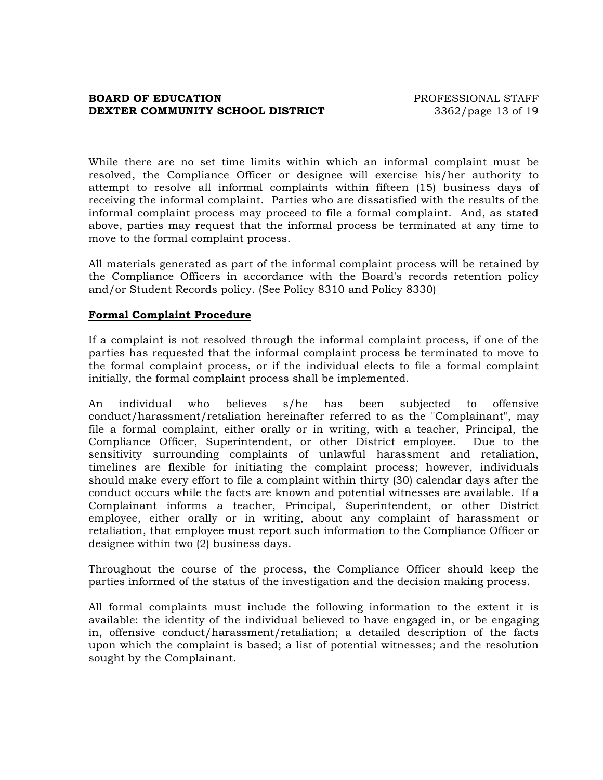## **BOARD OF EDUCATION EXECUTE:** PROFESSIONAL STAFF **DEXTER COMMUNITY SCHOOL DISTRICT** 3362/page 13 of 19

While there are no set time limits within which an informal complaint must be resolved, the Compliance Officer or designee will exercise his/her authority to attempt to resolve all informal complaints within fifteen (15) business days of receiving the informal complaint. Parties who are dissatisfied with the results of the informal complaint process may proceed to file a formal complaint. And, as stated above, parties may request that the informal process be terminated at any time to move to the formal complaint process.

All materials generated as part of the informal complaint process will be retained by the Compliance Officers in accordance with the Board's records retention policy and/or Student Records policy. (See Policy 8310 and Policy 8330)

## **Formal Complaint Procedure**

If a complaint is not resolved through the informal complaint process, if one of the parties has requested that the informal complaint process be terminated to move to the formal complaint process, or if the individual elects to file a formal complaint initially, the formal complaint process shall be implemented.

An individual who believes s/he has been subjected to offensive conduct/harassment/retaliation hereinafter referred to as the "Complainant", may file a formal complaint, either orally or in writing, with a teacher, Principal, the Compliance Officer, Superintendent, or other District employee. Due to the sensitivity surrounding complaints of unlawful harassment and retaliation, timelines are flexible for initiating the complaint process; however, individuals should make every effort to file a complaint within thirty (30) calendar days after the conduct occurs while the facts are known and potential witnesses are available. If a Complainant informs a teacher, Principal, Superintendent, or other District employee, either orally or in writing, about any complaint of harassment or retaliation, that employee must report such information to the Compliance Officer or designee within two (2) business days.

Throughout the course of the process, the Compliance Officer should keep the parties informed of the status of the investigation and the decision making process.

All formal complaints must include the following information to the extent it is available: the identity of the individual believed to have engaged in, or be engaging in, offensive conduct/harassment/retaliation; a detailed description of the facts upon which the complaint is based; a list of potential witnesses; and the resolution sought by the Complainant.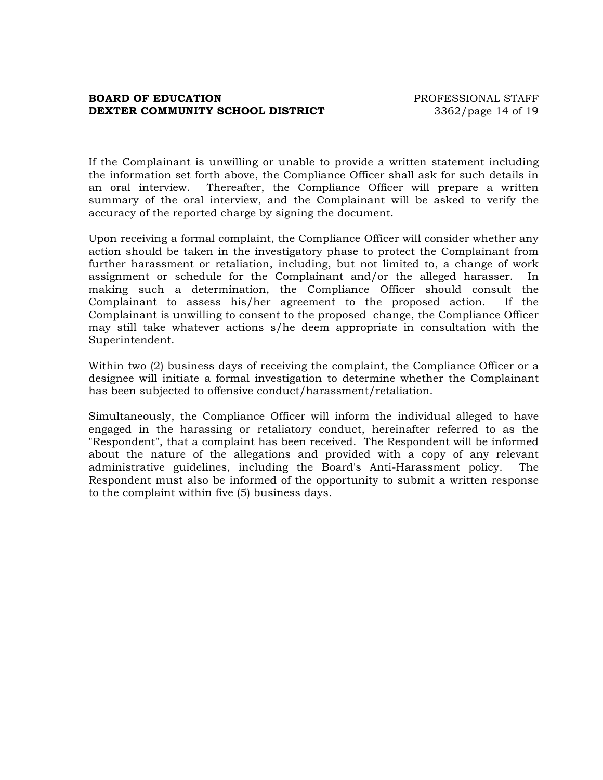## **BOARD OF EDUCATION EXECUTE:** PROFESSIONAL STAFF **DEXTER COMMUNITY SCHOOL DISTRICT** 3362/page 14 of 19

If the Complainant is unwilling or unable to provide a written statement including the information set forth above, the Compliance Officer shall ask for such details in an oral interview. Thereafter, the Compliance Officer will prepare a written summary of the oral interview, and the Complainant will be asked to verify the accuracy of the reported charge by signing the document.

Upon receiving a formal complaint, the Compliance Officer will consider whether any action should be taken in the investigatory phase to protect the Complainant from further harassment or retaliation, including, but not limited to, a change of work assignment or schedule for the Complainant and/or the alleged harasser. In making such a determination, the Compliance Officer should consult the Complainant to assess his/her agreement to the proposed action. If the Complainant is unwilling to consent to the proposed change, the Compliance Officer may still take whatever actions s/he deem appropriate in consultation with the Superintendent.

Within two (2) business days of receiving the complaint, the Compliance Officer or a designee will initiate a formal investigation to determine whether the Complainant has been subjected to offensive conduct/harassment/retaliation.

Simultaneously, the Compliance Officer will inform the individual alleged to have engaged in the harassing or retaliatory conduct, hereinafter referred to as the "Respondent", that a complaint has been received. The Respondent will be informed about the nature of the allegations and provided with a copy of any relevant administrative guidelines, including the Board's Anti-Harassment policy. The Respondent must also be informed of the opportunity to submit a written response to the complaint within five (5) business days.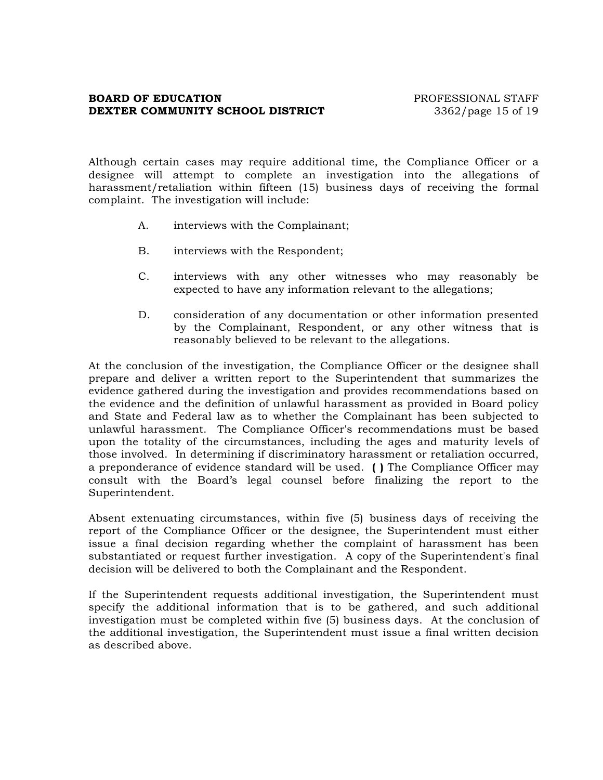## **BOARD OF EDUCATION PROFESSIONAL STAFF DEXTER COMMUNITY SCHOOL DISTRICT** 3362/page 15 of 19

Although certain cases may require additional time, the Compliance Officer or a designee will attempt to complete an investigation into the allegations of harassment/retaliation within fifteen (15) business days of receiving the formal complaint. The investigation will include:

- A. interviews with the Complainant;
- B. interviews with the Respondent;
- C. interviews with any other witnesses who may reasonably be expected to have any information relevant to the allegations;
- D. consideration of any documentation or other information presented by the Complainant, Respondent, or any other witness that is reasonably believed to be relevant to the allegations.

At the conclusion of the investigation, the Compliance Officer or the designee shall prepare and deliver a written report to the Superintendent that summarizes the evidence gathered during the investigation and provides recommendations based on the evidence and the definition of unlawful harassment as provided in Board policy and State and Federal law as to whether the Complainant has been subjected to unlawful harassment. The Compliance Officer's recommendations must be based upon the totality of the circumstances, including the ages and maturity levels of those involved. In determining if discriminatory harassment or retaliation occurred, a preponderance of evidence standard will be used. **( )** The Compliance Officer may consult with the Board's legal counsel before finalizing the report to the Superintendent.

Absent extenuating circumstances, within five (5) business days of receiving the report of the Compliance Officer or the designee, the Superintendent must either issue a final decision regarding whether the complaint of harassment has been substantiated or request further investigation. A copy of the Superintendent's final decision will be delivered to both the Complainant and the Respondent.

If the Superintendent requests additional investigation, the Superintendent must specify the additional information that is to be gathered, and such additional investigation must be completed within five (5) business days. At the conclusion of the additional investigation, the Superintendent must issue a final written decision as described above.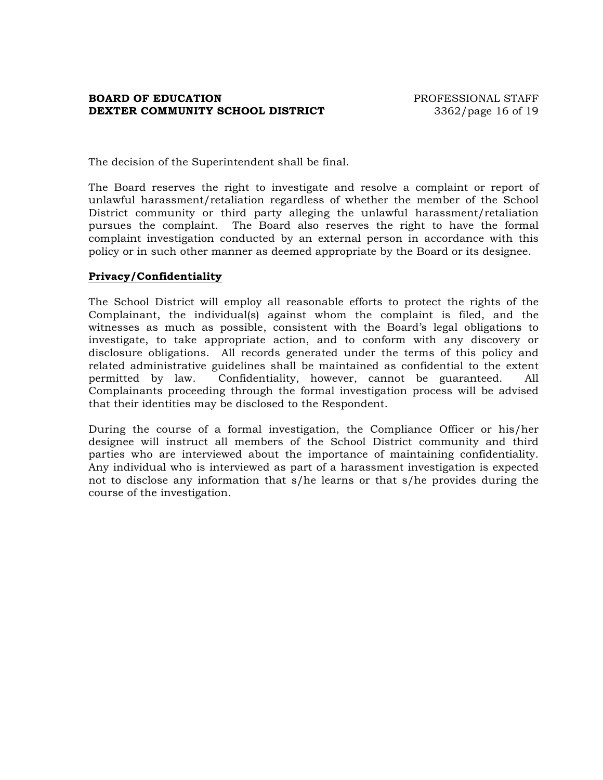## **BOARD OF EDUCATION EXECUTE:** THE PROFESSIONAL STAFF **DEXTER COMMUNITY SCHOOL DISTRICT** 3362/page 16 of 19

The decision of the Superintendent shall be final.

The Board reserves the right to investigate and resolve a complaint or report of unlawful harassment/retaliation regardless of whether the member of the School District community or third party alleging the unlawful harassment/retaliation pursues the complaint. The Board also reserves the right to have the formal complaint investigation conducted by an external person in accordance with this policy or in such other manner as deemed appropriate by the Board or its designee.

### **Privacy/Confidentiality**

The School District will employ all reasonable efforts to protect the rights of the Complainant, the individual(s) against whom the complaint is filed, and the witnesses as much as possible, consistent with the Board's legal obligations to investigate, to take appropriate action, and to conform with any discovery or disclosure obligations. All records generated under the terms of this policy and related administrative guidelines shall be maintained as confidential to the extent permitted by law. Confidentiality, however, cannot be guaranteed. All Complainants proceeding through the formal investigation process will be advised that their identities may be disclosed to the Respondent.

During the course of a formal investigation, the Compliance Officer or his/her designee will instruct all members of the School District community and third parties who are interviewed about the importance of maintaining confidentiality. Any individual who is interviewed as part of a harassment investigation is expected not to disclose any information that s/he learns or that s/he provides during the course of the investigation.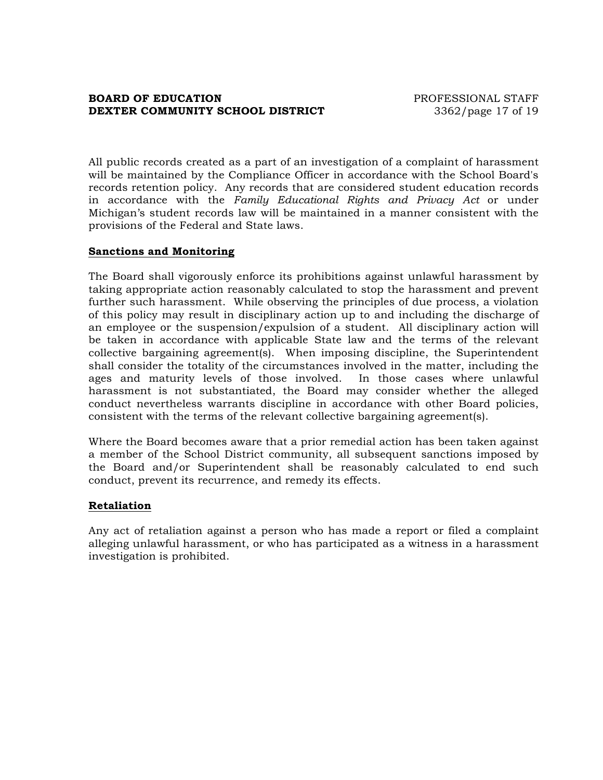## **BOARD OF EDUCATION PROFESSIONAL STAFF DEXTER COMMUNITY SCHOOL DISTRICT** 3362/page 17 of 19

All public records created as a part of an investigation of a complaint of harassment will be maintained by the Compliance Officer in accordance with the School Board's records retention policy. Any records that are considered student education records in accordance with the *Family Educational Rights and Privacy Act* or under Michigan's student records law will be maintained in a manner consistent with the provisions of the Federal and State laws.

### **Sanctions and Monitoring**

The Board shall vigorously enforce its prohibitions against unlawful harassment by taking appropriate action reasonably calculated to stop the harassment and prevent further such harassment. While observing the principles of due process, a violation of this policy may result in disciplinary action up to and including the discharge of an employee or the suspension/expulsion of a student. All disciplinary action will be taken in accordance with applicable State law and the terms of the relevant collective bargaining agreement(s). When imposing discipline, the Superintendent shall consider the totality of the circumstances involved in the matter, including the ages and maturity levels of those involved. In those cases where unlawful harassment is not substantiated, the Board may consider whether the alleged conduct nevertheless warrants discipline in accordance with other Board policies, consistent with the terms of the relevant collective bargaining agreement(s).

Where the Board becomes aware that a prior remedial action has been taken against a member of the School District community, all subsequent sanctions imposed by the Board and/or Superintendent shall be reasonably calculated to end such conduct, prevent its recurrence, and remedy its effects.

#### **Retaliation**

Any act of retaliation against a person who has made a report or filed a complaint alleging unlawful harassment, or who has participated as a witness in a harassment investigation is prohibited.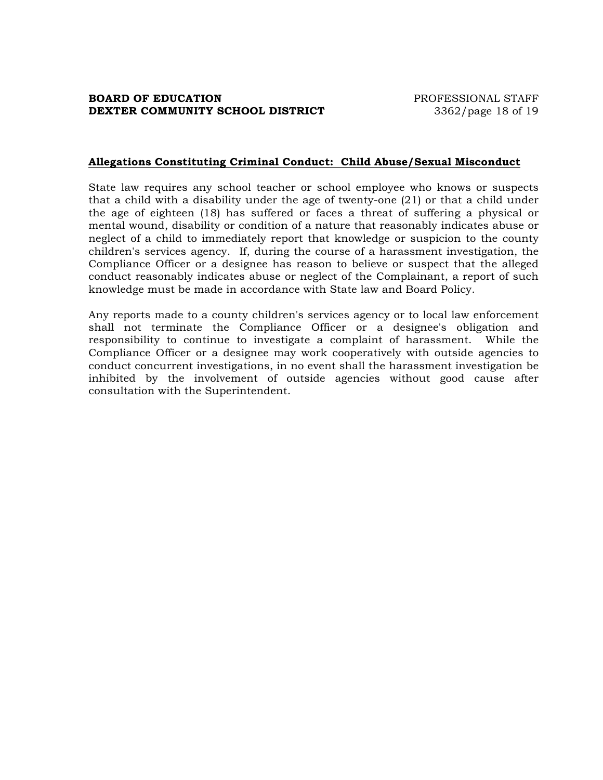#### **Allegations Constituting Criminal Conduct: Child Abuse/Sexual Misconduct**

State law requires any school teacher or school employee who knows or suspects that a child with a disability under the age of twenty-one (21) or that a child under the age of eighteen (18) has suffered or faces a threat of suffering a physical or mental wound, disability or condition of a nature that reasonably indicates abuse or neglect of a child to immediately report that knowledge or suspicion to the county children's services agency. If, during the course of a harassment investigation, the Compliance Officer or a designee has reason to believe or suspect that the alleged conduct reasonably indicates abuse or neglect of the Complainant, a report of such knowledge must be made in accordance with State law and Board Policy.

Any reports made to a county children's services agency or to local law enforcement shall not terminate the Compliance Officer or a designee's obligation and responsibility to continue to investigate a complaint of harassment. While the Compliance Officer or a designee may work cooperatively with outside agencies to conduct concurrent investigations, in no event shall the harassment investigation be inhibited by the involvement of outside agencies without good cause after consultation with the Superintendent.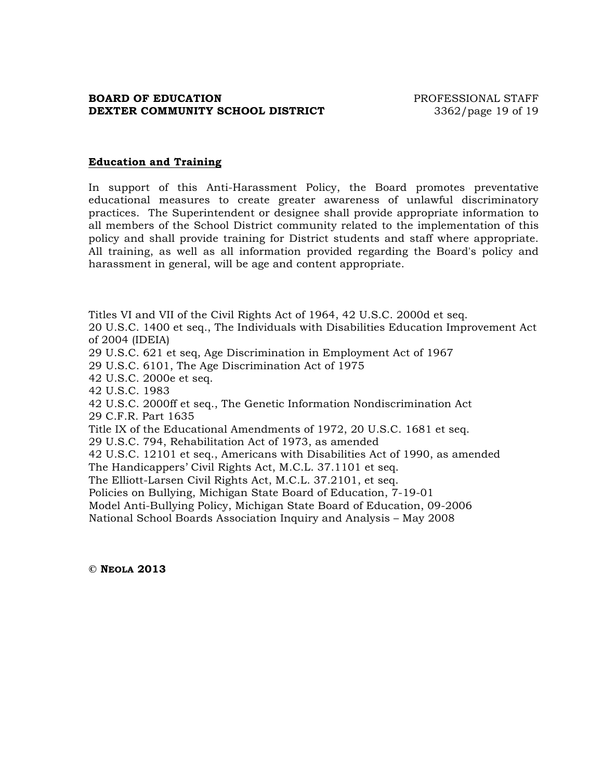## **BOARD OF EDUCATION EXECUTE:** PROFESSIONAL STAFF **DEXTER COMMUNITY SCHOOL DISTRICT** 3362/page 19 of 19

#### **Education and Training**

In support of this Anti-Harassment Policy, the Board promotes preventative educational measures to create greater awareness of unlawful discriminatory practices. The Superintendent or designee shall provide appropriate information to all members of the School District community related to the implementation of this policy and shall provide training for District students and staff where appropriate. All training, as well as all information provided regarding the Board's policy and harassment in general, will be age and content appropriate.

Titles VI and VII of the Civil Rights Act of 1964, 42 U.S.C. 2000d et seq. 20 U.S.C. 1400 et seq., The Individuals with Disabilities Education Improvement Act of 2004 (IDEIA)

29 U.S.C. 621 et seq, Age Discrimination in Employment Act of 1967

29 U.S.C. 6101, The Age Discrimination Act of 1975

42 U.S.C. 2000e et seq.

42 U.S.C. 1983

42 U.S.C. 2000ff et seq., The Genetic Information Nondiscrimination Act 29 C.F.R. Part 1635

Title IX of the Educational Amendments of 1972, 20 U.S.C. 1681 et seq.

29 U.S.C. 794, Rehabilitation Act of 1973, as amended

42 U.S.C. 12101 et seq., Americans with Disabilities Act of 1990, as amended

The Handicappers' Civil Rights Act, M.C.L. 37.1101 et seq.

The Elliott-Larsen Civil Rights Act, M.C.L. 37.2101, et seq.

Policies on Bullying, Michigan State Board of Education, 7-19-01

Model Anti-Bullying Policy, Michigan State Board of Education, 09-2006

National School Boards Association Inquiry and Analysis – May 2008

**© NEOLA 2013**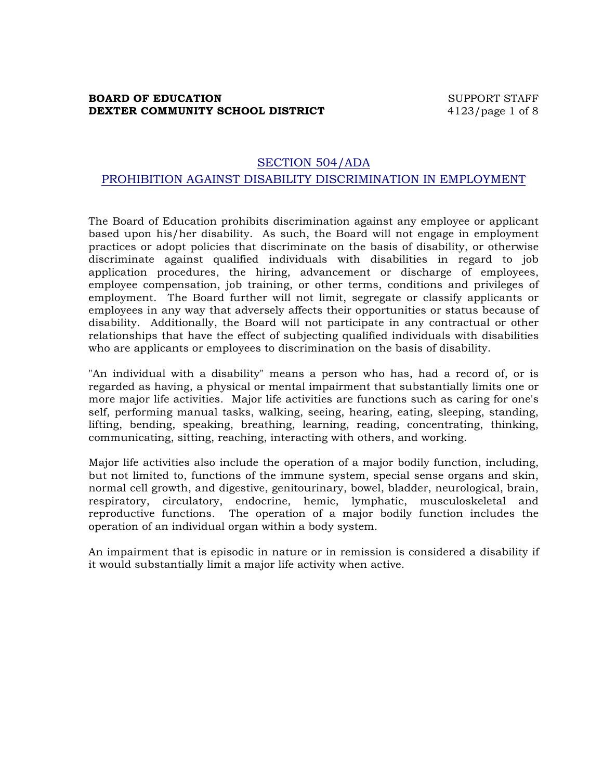## **BOARD OF EDUCATION** SUPPORT STAFF **DEXTER COMMUNITY SCHOOL DISTRICT** 4123/page 1 of 8

## SECTION 504/ADA PROHIBITION AGAINST DISABILITY DISCRIMINATION IN EMPLOYMENT

The Board of Education prohibits discrimination against any employee or applicant based upon his/her disability. As such, the Board will not engage in employment practices or adopt policies that discriminate on the basis of disability, or otherwise discriminate against qualified individuals with disabilities in regard to job application procedures, the hiring, advancement or discharge of employees, employee compensation, job training, or other terms, conditions and privileges of employment. The Board further will not limit, segregate or classify applicants or employees in any way that adversely affects their opportunities or status because of disability. Additionally, the Board will not participate in any contractual or other relationships that have the effect of subjecting qualified individuals with disabilities who are applicants or employees to discrimination on the basis of disability.

"An individual with a disability" means a person who has, had a record of, or is regarded as having, a physical or mental impairment that substantially limits one or more major life activities. Major life activities are functions such as caring for one's self, performing manual tasks, walking, seeing, hearing, eating, sleeping, standing, lifting, bending, speaking, breathing, learning, reading, concentrating, thinking, communicating, sitting, reaching, interacting with others, and working.

Major life activities also include the operation of a major bodily function, including, but not limited to, functions of the immune system, special sense organs and skin, normal cell growth, and digestive, genitourinary, bowel, bladder, neurological, brain, respiratory, circulatory, endocrine, hemic, lymphatic, musculoskeletal and reproductive functions. The operation of a major bodily function includes the operation of an individual organ within a body system.

An impairment that is episodic in nature or in remission is considered a disability if it would substantially limit a major life activity when active.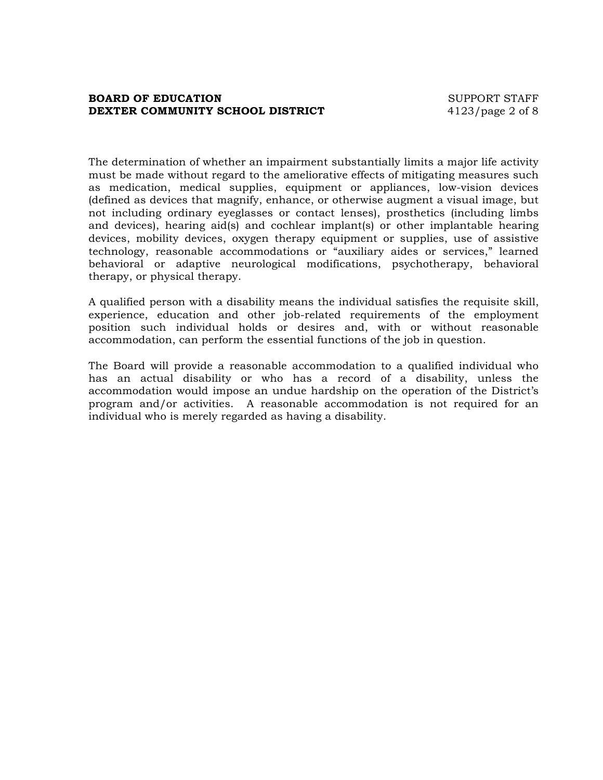## **BOARD OF EDUCATION** SUPPORT STAFF **DEXTER COMMUNITY SCHOOL DISTRICT** 4123/page 2 of 8

The determination of whether an impairment substantially limits a major life activity must be made without regard to the ameliorative effects of mitigating measures such as medication, medical supplies, equipment or appliances, low-vision devices (defined as devices that magnify, enhance, or otherwise augment a visual image, but not including ordinary eyeglasses or contact lenses), prosthetics (including limbs and devices), hearing aid(s) and cochlear implant(s) or other implantable hearing devices, mobility devices, oxygen therapy equipment or supplies, use of assistive technology, reasonable accommodations or "auxiliary aides or services," learned behavioral or adaptive neurological modifications, psychotherapy, behavioral therapy, or physical therapy.

A qualified person with a disability means the individual satisfies the requisite skill, experience, education and other job-related requirements of the employment position such individual holds or desires and, with or without reasonable accommodation, can perform the essential functions of the job in question.

The Board will provide a reasonable accommodation to a qualified individual who has an actual disability or who has a record of a disability, unless the accommodation would impose an undue hardship on the operation of the District's program and/or activities. A reasonable accommodation is not required for an individual who is merely regarded as having a disability.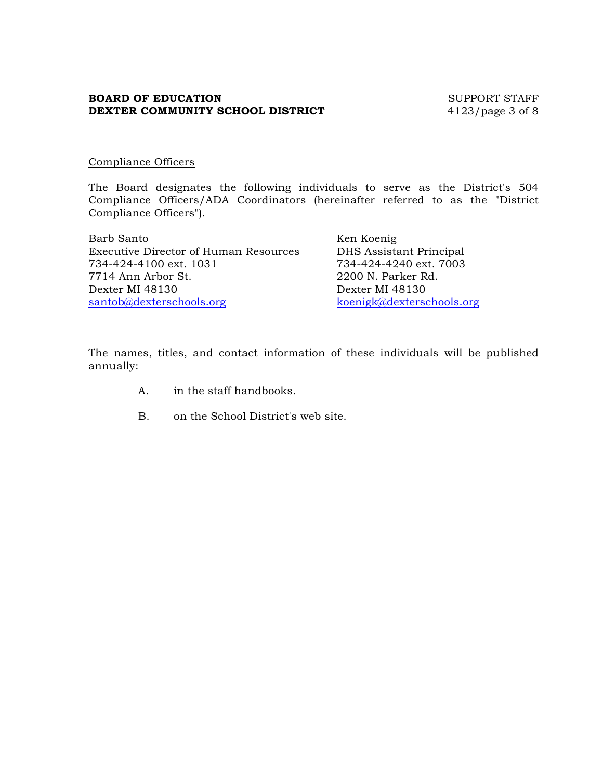## **BOARD OF EDUCATION** SUPPORT STAFF **DEXTER COMMUNITY SCHOOL DISTRICT** 4123/page 3 of 8

## Compliance Officers

The Board designates the following individuals to serve as the District's 504 Compliance Officers/ADA Coordinators (hereinafter referred to as the "District Compliance Officers").

Barb Santo Ken Koenig Executive Director of Human Resources DHS Assistant Principal 734-424-4100 ext. 1031 734-424-4240 ext. 7003 7714 Ann Arbor St. 2200 N. Parker Rd. Dexter MI 48130 Dexter MI 48130 santob@dexterschools.org koenigk@dexterschools.org

The names, titles, and contact information of these individuals will be published annually:

- A. in the staff handbooks.
- B. on the School District's web site.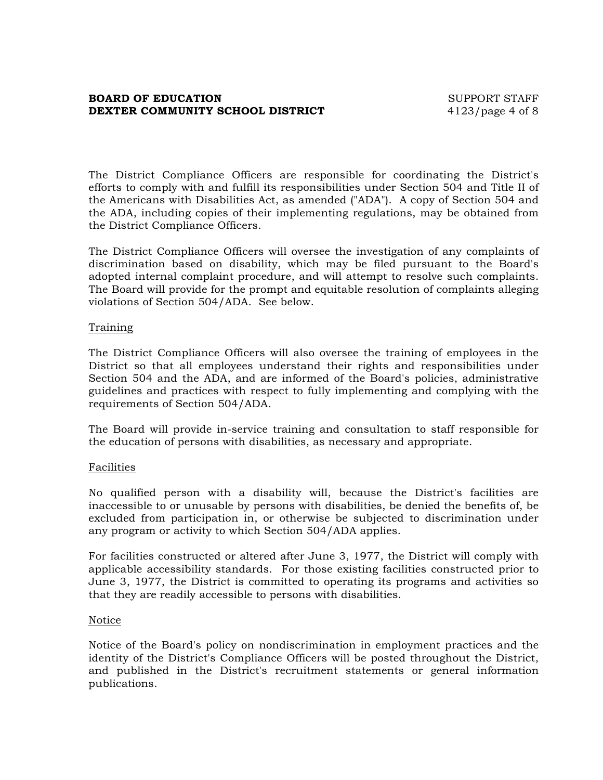## **BOARD OF EDUCATION** SUPPORT STAFF **DEXTER COMMUNITY SCHOOL DISTRICT** 4123/page 4 of 8

The District Compliance Officers are responsible for coordinating the District's efforts to comply with and fulfill its responsibilities under Section 504 and Title II of the Americans with Disabilities Act, as amended ("ADA"). A copy of Section 504 and the ADA, including copies of their implementing regulations, may be obtained from the District Compliance Officers.

The District Compliance Officers will oversee the investigation of any complaints of discrimination based on disability, which may be filed pursuant to the Board's adopted internal complaint procedure, and will attempt to resolve such complaints. The Board will provide for the prompt and equitable resolution of complaints alleging violations of Section 504/ADA. See below.

#### Training

The District Compliance Officers will also oversee the training of employees in the District so that all employees understand their rights and responsibilities under Section 504 and the ADA, and are informed of the Board's policies, administrative guidelines and practices with respect to fully implementing and complying with the requirements of Section 504/ADA.

The Board will provide in-service training and consultation to staff responsible for the education of persons with disabilities, as necessary and appropriate.

#### Facilities

No qualified person with a disability will, because the District's facilities are inaccessible to or unusable by persons with disabilities, be denied the benefits of, be excluded from participation in, or otherwise be subjected to discrimination under any program or activity to which Section 504/ADA applies.

For facilities constructed or altered after June 3, 1977, the District will comply with applicable accessibility standards. For those existing facilities constructed prior to June 3, 1977, the District is committed to operating its programs and activities so that they are readily accessible to persons with disabilities.

#### Notice

Notice of the Board's policy on nondiscrimination in employment practices and the identity of the District's Compliance Officers will be posted throughout the District, and published in the District's recruitment statements or general information publications.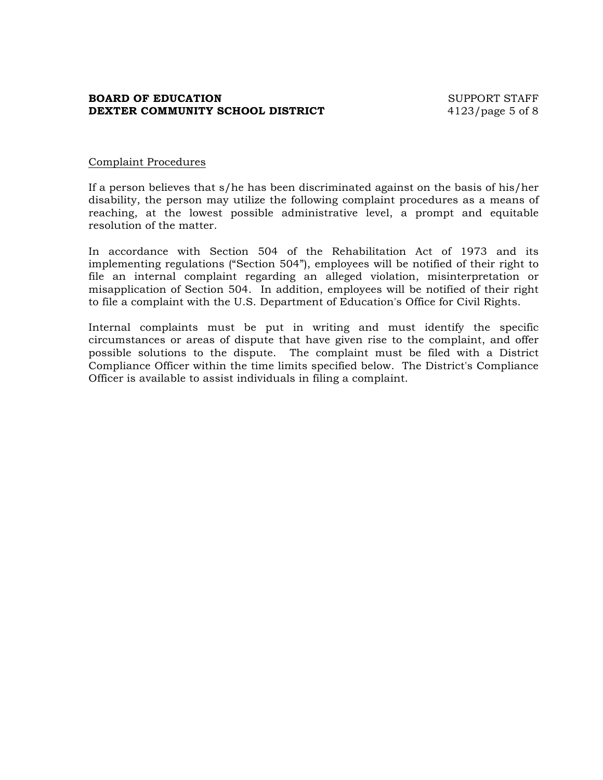## **BOARD OF EDUCATION** SUPPORT STAFF **DEXTER COMMUNITY SCHOOL DISTRICT** 4123/page 5 of 8

### Complaint Procedures

If a person believes that s/he has been discriminated against on the basis of his/her disability, the person may utilize the following complaint procedures as a means of reaching, at the lowest possible administrative level, a prompt and equitable resolution of the matter.

In accordance with Section 504 of the Rehabilitation Act of 1973 and its implementing regulations ("Section 504"), employees will be notified of their right to file an internal complaint regarding an alleged violation, misinterpretation or misapplication of Section 504. In addition, employees will be notified of their right to file a complaint with the U.S. Department of Education's Office for Civil Rights.

Internal complaints must be put in writing and must identify the specific circumstances or areas of dispute that have given rise to the complaint, and offer possible solutions to the dispute. The complaint must be filed with a District Compliance Officer within the time limits specified below. The District's Compliance Officer is available to assist individuals in filing a complaint.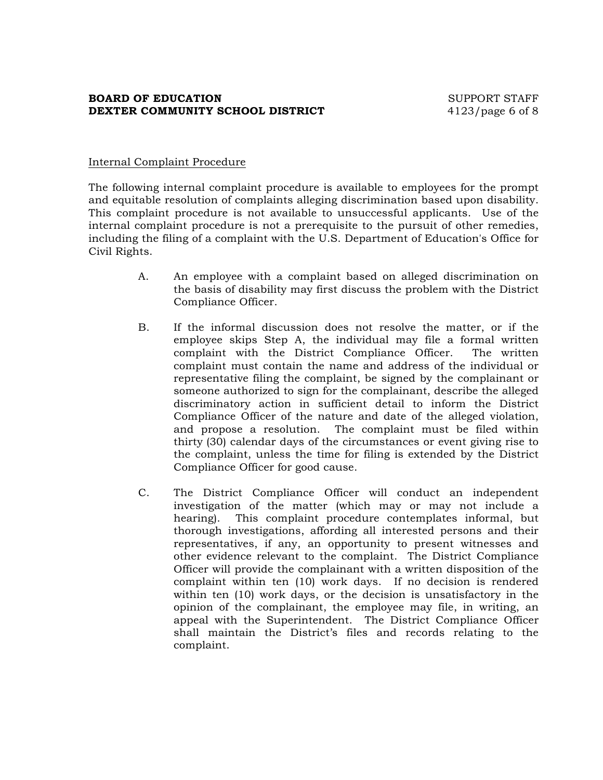## **BOARD OF EDUCATION** SUPPORT STAFF **DEXTER COMMUNITY SCHOOL DISTRICT** 4123/page 6 of 8

## Internal Complaint Procedure

The following internal complaint procedure is available to employees for the prompt and equitable resolution of complaints alleging discrimination based upon disability. This complaint procedure is not available to unsuccessful applicants. Use of the internal complaint procedure is not a prerequisite to the pursuit of other remedies, including the filing of a complaint with the U.S. Department of Education's Office for Civil Rights.

- A. An employee with a complaint based on alleged discrimination on the basis of disability may first discuss the problem with the District Compliance Officer.
- B. If the informal discussion does not resolve the matter, or if the employee skips Step A, the individual may file a formal written complaint with the District Compliance Officer. The written complaint must contain the name and address of the individual or representative filing the complaint, be signed by the complainant or someone authorized to sign for the complainant, describe the alleged discriminatory action in sufficient detail to inform the District Compliance Officer of the nature and date of the alleged violation, and propose a resolution. The complaint must be filed within thirty (30) calendar days of the circumstances or event giving rise to the complaint, unless the time for filing is extended by the District Compliance Officer for good cause.
- C. The District Compliance Officer will conduct an independent investigation of the matter (which may or may not include a hearing). This complaint procedure contemplates informal, but thorough investigations, affording all interested persons and their representatives, if any, an opportunity to present witnesses and other evidence relevant to the complaint. The District Compliance Officer will provide the complainant with a written disposition of the complaint within ten (10) work days. If no decision is rendered within ten (10) work days, or the decision is unsatisfactory in the opinion of the complainant, the employee may file, in writing, an appeal with the Superintendent. The District Compliance Officer shall maintain the District's files and records relating to the complaint.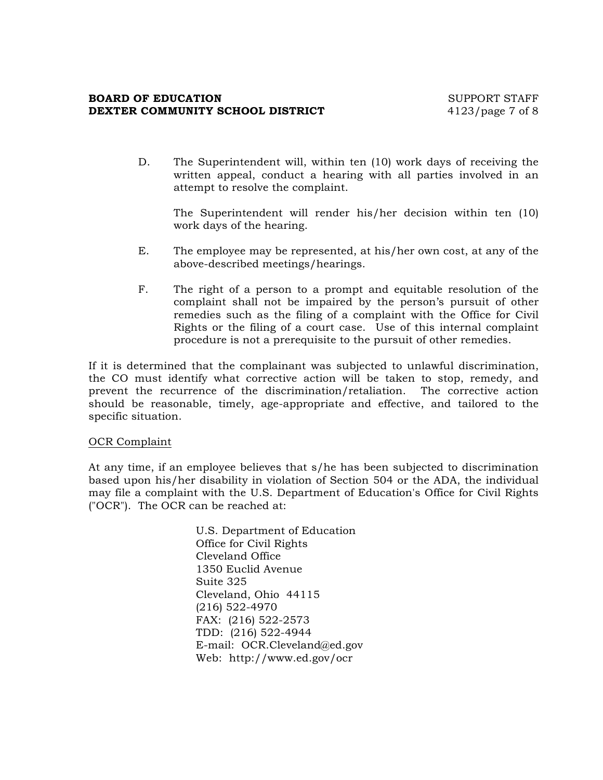#### **BOARD OF EDUCATION** SUPPORT STAFF **DEXTER COMMUNITY SCHOOL DISTRICT** 4123/page 7 of 8

D. The Superintendent will, within ten (10) work days of receiving the written appeal, conduct a hearing with all parties involved in an attempt to resolve the complaint.

The Superintendent will render his/her decision within ten (10) work days of the hearing.

- E. The employee may be represented, at his/her own cost, at any of the above-described meetings/hearings.
- F. The right of a person to a prompt and equitable resolution of the complaint shall not be impaired by the person's pursuit of other remedies such as the filing of a complaint with the Office for Civil Rights or the filing of a court case. Use of this internal complaint procedure is not a prerequisite to the pursuit of other remedies.

If it is determined that the complainant was subjected to unlawful discrimination, the CO must identify what corrective action will be taken to stop, remedy, and prevent the recurrence of the discrimination/retaliation. The corrective action should be reasonable, timely, age-appropriate and effective, and tailored to the specific situation.

#### OCR Complaint

At any time, if an employee believes that s/he has been subjected to discrimination based upon his/her disability in violation of Section 504 or the ADA, the individual may file a complaint with the U.S. Department of Education's Office for Civil Rights ("OCR"). The OCR can be reached at:

> U.S. Department of Education Office for Civil Rights Cleveland Office 1350 Euclid Avenue Suite 325 Cleveland, Ohio 44115 (216) 522-4970 FAX: (216) 522-2573 TDD: (216) 522-4944 E-mail: OCR.Cleveland@ed.gov Web: http://www.ed.gov/ocr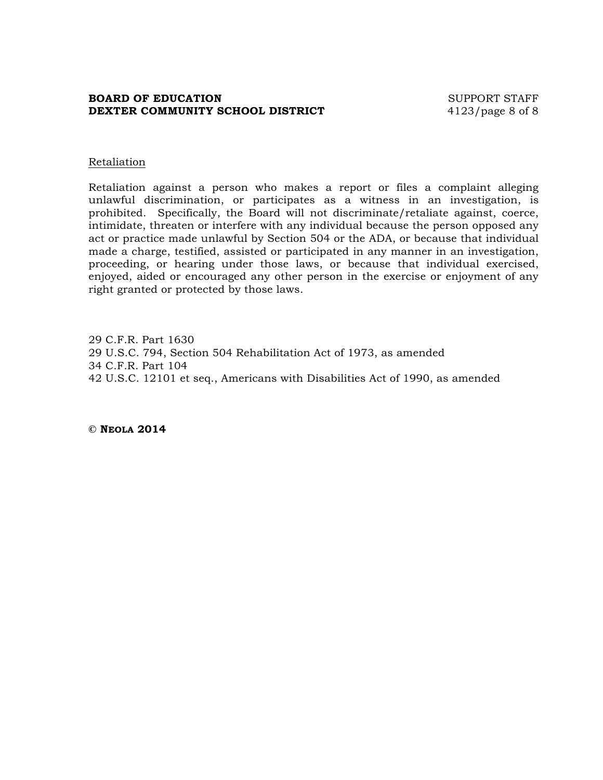## **BOARD OF EDUCATION** SUPPORT STAFF **DEXTER COMMUNITY SCHOOL DISTRICT** 4123/page 8 of 8

#### Retaliation

Retaliation against a person who makes a report or files a complaint alleging unlawful discrimination, or participates as a witness in an investigation, is prohibited. Specifically, the Board will not discriminate/retaliate against, coerce, intimidate, threaten or interfere with any individual because the person opposed any act or practice made unlawful by Section 504 or the ADA, or because that individual made a charge, testified, assisted or participated in any manner in an investigation, proceeding, or hearing under those laws, or because that individual exercised, enjoyed, aided or encouraged any other person in the exercise or enjoyment of any right granted or protected by those laws.

29 C.F.R. Part 1630 29 U.S.C. 794, Section 504 Rehabilitation Act of 1973, as amended 34 C.F.R. Part 104 42 U.S.C. 12101 et seq., Americans with Disabilities Act of 1990, as amended

**© NEOLA 2014**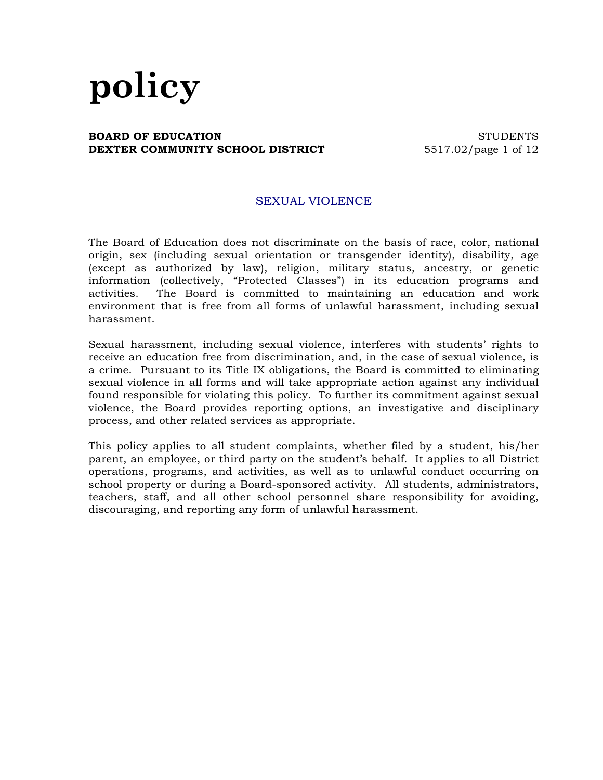#### **BOARD OF EDUCATION** STUDENTS **DEXTER COMMUNITY SCHOOL DISTRICT** 5517.02/page 1 of 12

## SEXUAL VIOLENCE

The Board of Education does not discriminate on the basis of race, color, national origin, sex (including sexual orientation or transgender identity), disability, age (except as authorized by law), religion, military status, ancestry, or genetic information (collectively, "Protected Classes") in its education programs and activities. The Board is committed to maintaining an education and work environment that is free from all forms of unlawful harassment, including sexual harassment.

Sexual harassment, including sexual violence, interferes with students' rights to receive an education free from discrimination, and, in the case of sexual violence, is a crime. Pursuant to its Title IX obligations, the Board is committed to eliminating sexual violence in all forms and will take appropriate action against any individual found responsible for violating this policy. To further its commitment against sexual violence, the Board provides reporting options, an investigative and disciplinary process, and other related services as appropriate.

This policy applies to all student complaints, whether filed by a student, his/her parent, an employee, or third party on the student's behalf. It applies to all District operations, programs, and activities, as well as to unlawful conduct occurring on school property or during a Board-sponsored activity. All students, administrators, teachers, staff, and all other school personnel share responsibility for avoiding, discouraging, and reporting any form of unlawful harassment.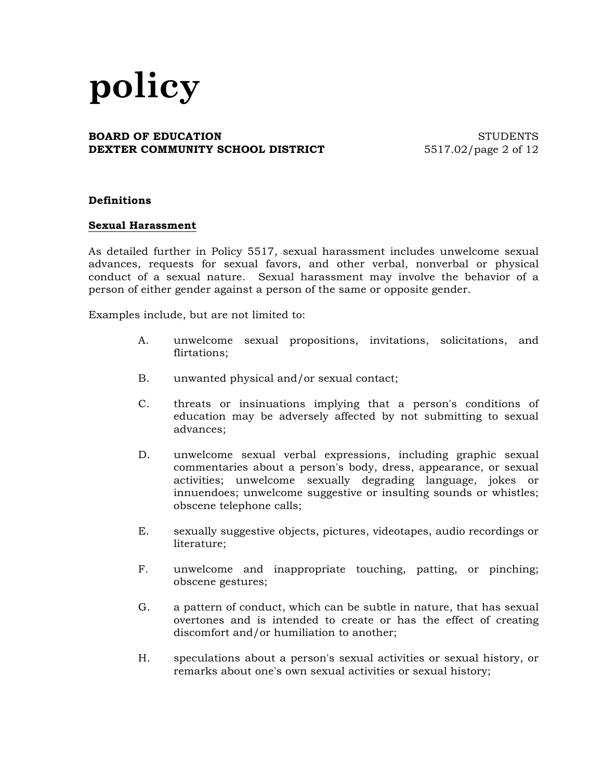#### **BOARD OF EDUCATION** STUDENTS **DEXTER COMMUNITY SCHOOL DISTRICT** 5517.02/page 2 of 12

#### **Definitions**

#### **Sexual Harassment**

As detailed further in Policy 5517, sexual harassment includes unwelcome sexual advances, requests for sexual favors, and other verbal, nonverbal or physical conduct of a sexual nature. Sexual harassment may involve the behavior of a person of either gender against a person of the same or opposite gender.

Examples include, but are not limited to:

- A. unwelcome sexual propositions, invitations, solicitations, and flirtations;
- B. unwanted physical and/or sexual contact;
- C. threats or insinuations implying that a person's conditions of education may be adversely affected by not submitting to sexual advances;
- D. unwelcome sexual verbal expressions, including graphic sexual commentaries about a person's body, dress, appearance, or sexual activities; unwelcome sexually degrading language, jokes or innuendoes; unwelcome suggestive or insulting sounds or whistles; obscene telephone calls;
- E. sexually suggestive objects, pictures, videotapes, audio recordings or literature;
- F. unwelcome and inappropriate touching, patting, or pinching; obscene gestures;
- G. a pattern of conduct, which can be subtle in nature, that has sexual overtones and is intended to create or has the effect of creating discomfort and/or humiliation to another;
- H. speculations about a person's sexual activities or sexual history, or remarks about one's own sexual activities or sexual history;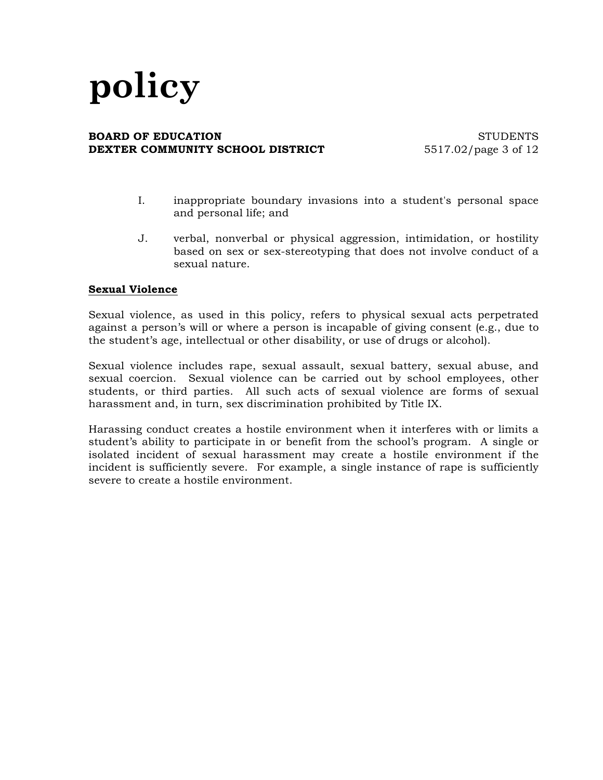#### **BOARD OF EDUCATION** STUDENTS **DEXTER COMMUNITY SCHOOL DISTRICT** 5517.02/page 3 of 12

- I. inappropriate boundary invasions into a student's personal space and personal life; and
- J. verbal, nonverbal or physical aggression, intimidation, or hostility based on sex or sex-stereotyping that does not involve conduct of a sexual nature.

#### **Sexual Violence**

Sexual violence, as used in this policy, refers to physical sexual acts perpetrated against a person's will or where a person is incapable of giving consent (e.g., due to the student's age, intellectual or other disability, or use of drugs or alcohol).

Sexual violence includes rape, sexual assault, sexual battery, sexual abuse, and sexual coercion. Sexual violence can be carried out by school employees, other students, or third parties. All such acts of sexual violence are forms of sexual harassment and, in turn, sex discrimination prohibited by Title IX.

Harassing conduct creates a hostile environment when it interferes with or limits a student's ability to participate in or benefit from the school's program. A single or isolated incident of sexual harassment may create a hostile environment if the incident is sufficiently severe. For example, a single instance of rape is sufficiently severe to create a hostile environment.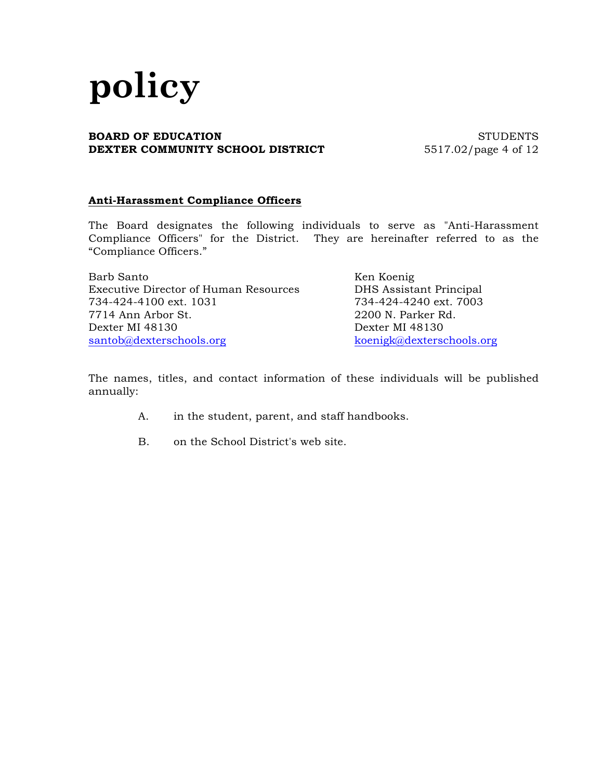#### **BOARD OF EDUCATION** STUDENTS **DEXTER COMMUNITY SCHOOL DISTRICT** 5517.02/page 4 of 12

## **Anti-Harassment Compliance Officers**

The Board designates the following individuals to serve as "Anti-Harassment Compliance Officers" for the District. They are hereinafter referred to as the "Compliance Officers."

| Barb Santo                                   | Ken Koenig                |
|----------------------------------------------|---------------------------|
| <b>Executive Director of Human Resources</b> | DHS Assistant Principal   |
| 734-424-4100 ext. 1031                       | 734-424-4240 ext. 7003    |
| 7714 Ann Arbor St.                           | 2200 N. Parker Rd.        |
| Dexter MI 48130                              | Dexter MI 48130           |
| santob@dexterschools.org                     | koenigk@dexterschools.org |

The names, titles, and contact information of these individuals will be published annually:

- A. in the student, parent, and staff handbooks.
- B. on the School District's web site.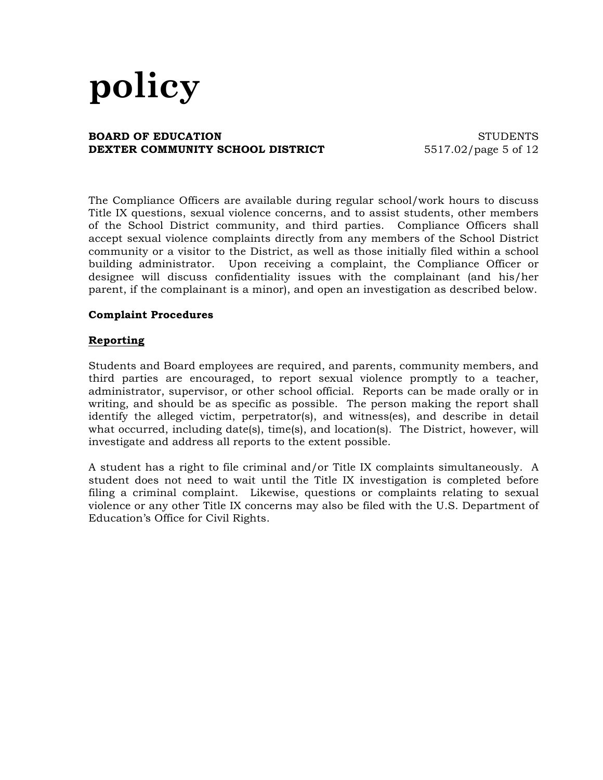#### **BOARD OF EDUCATION** STUDENTS **DEXTER COMMUNITY SCHOOL DISTRICT** 5517.02/page 5 of 12

The Compliance Officers are available during regular school/work hours to discuss Title IX questions, sexual violence concerns, and to assist students, other members of the School District community, and third parties. Compliance Officers shall accept sexual violence complaints directly from any members of the School District community or a visitor to the District, as well as those initially filed within a school building administrator. Upon receiving a complaint, the Compliance Officer or designee will discuss confidentiality issues with the complainant (and his/her parent, if the complainant is a minor), and open an investigation as described below.

### **Complaint Procedures**

### **Reporting**

Students and Board employees are required, and parents, community members, and third parties are encouraged, to report sexual violence promptly to a teacher, administrator, supervisor, or other school official. Reports can be made orally or in writing, and should be as specific as possible. The person making the report shall identify the alleged victim, perpetrator(s), and witness(es), and describe in detail what occurred, including date(s), time(s), and location(s). The District, however, will investigate and address all reports to the extent possible.

A student has a right to file criminal and/or Title IX complaints simultaneously. A student does not need to wait until the Title IX investigation is completed before filing a criminal complaint. Likewise, questions or complaints relating to sexual violence or any other Title IX concerns may also be filed with the U.S. Department of Education's Office for Civil Rights.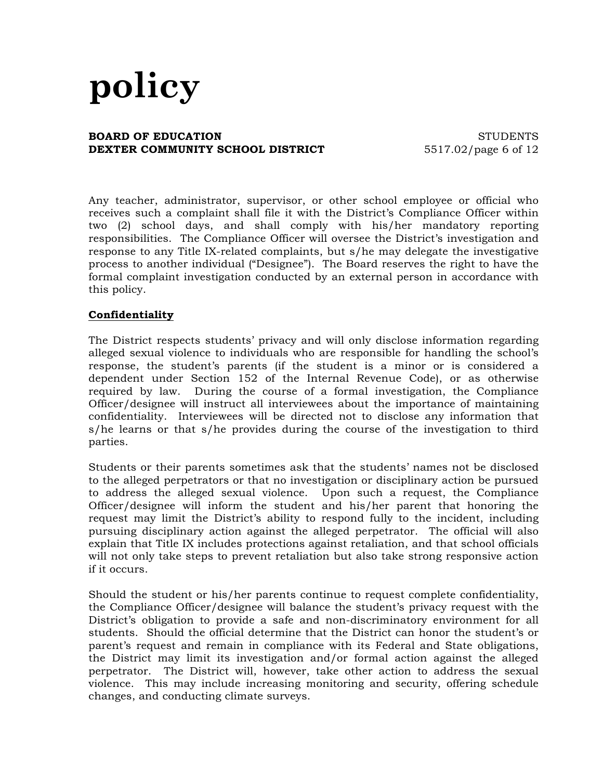#### **BOARD OF EDUCATION** STUDENTS **DEXTER COMMUNITY SCHOOL DISTRICT** 5517.02/page 6 of 12

Any teacher, administrator, supervisor, or other school employee or official who receives such a complaint shall file it with the District's Compliance Officer within two (2) school days, and shall comply with his/her mandatory reporting responsibilities. The Compliance Officer will oversee the District's investigation and response to any Title IX-related complaints, but s/he may delegate the investigative process to another individual ("Designee"). The Board reserves the right to have the formal complaint investigation conducted by an external person in accordance with this policy.

### **Confidentiality**

The District respects students' privacy and will only disclose information regarding alleged sexual violence to individuals who are responsible for handling the school's response, the student's parents (if the student is a minor or is considered a dependent under Section 152 of the Internal Revenue Code), or as otherwise required by law. During the course of a formal investigation, the Compliance Officer/designee will instruct all interviewees about the importance of maintaining confidentiality. Interviewees will be directed not to disclose any information that s/he learns or that s/he provides during the course of the investigation to third parties.

Students or their parents sometimes ask that the students' names not be disclosed to the alleged perpetrators or that no investigation or disciplinary action be pursued to address the alleged sexual violence. Upon such a request, the Compliance Officer/designee will inform the student and his/her parent that honoring the request may limit the District's ability to respond fully to the incident, including pursuing disciplinary action against the alleged perpetrator. The official will also explain that Title IX includes protections against retaliation, and that school officials will not only take steps to prevent retaliation but also take strong responsive action if it occurs.

Should the student or his/her parents continue to request complete confidentiality, the Compliance Officer/designee will balance the student's privacy request with the District's obligation to provide a safe and non-discriminatory environment for all students. Should the official determine that the District can honor the student's or parent's request and remain in compliance with its Federal and State obligations, the District may limit its investigation and/or formal action against the alleged perpetrator. The District will, however, take other action to address the sexual violence. This may include increasing monitoring and security, offering schedule changes, and conducting climate surveys.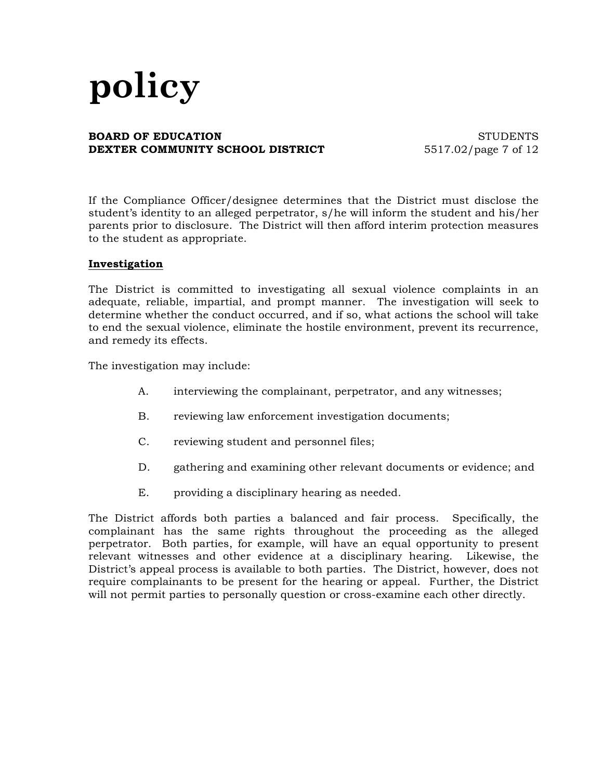#### **BOARD OF EDUCATION** STUDENTS **DEXTER COMMUNITY SCHOOL DISTRICT** 5517.02/page 7 of 12

If the Compliance Officer/designee determines that the District must disclose the student's identity to an alleged perpetrator, s/he will inform the student and his/her parents prior to disclosure. The District will then afford interim protection measures to the student as appropriate.

### **Investigation**

The District is committed to investigating all sexual violence complaints in an adequate, reliable, impartial, and prompt manner. The investigation will seek to determine whether the conduct occurred, and if so, what actions the school will take to end the sexual violence, eliminate the hostile environment, prevent its recurrence, and remedy its effects.

The investigation may include:

- A. interviewing the complainant, perpetrator, and any witnesses;
- B. reviewing law enforcement investigation documents;
- C. reviewing student and personnel files;
- D. gathering and examining other relevant documents or evidence; and
- E. providing a disciplinary hearing as needed.

The District affords both parties a balanced and fair process. Specifically, the complainant has the same rights throughout the proceeding as the alleged perpetrator. Both parties, for example, will have an equal opportunity to present relevant witnesses and other evidence at a disciplinary hearing. Likewise, the District's appeal process is available to both parties. The District, however, does not require complainants to be present for the hearing or appeal. Further, the District will not permit parties to personally question or cross-examine each other directly.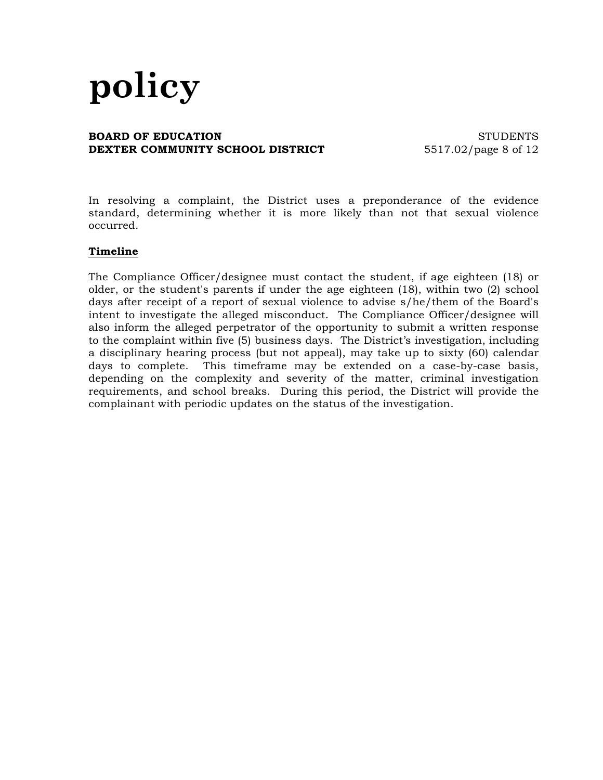#### **BOARD OF EDUCATION** STUDENTS **DEXTER COMMUNITY SCHOOL DISTRICT** 5517.02/page 8 of 12

In resolving a complaint, the District uses a preponderance of the evidence standard, determining whether it is more likely than not that sexual violence occurred.

#### **Timeline**

The Compliance Officer/designee must contact the student, if age eighteen (18) or older, or the student's parents if under the age eighteen (18), within two (2) school days after receipt of a report of sexual violence to advise s/he/them of the Board's intent to investigate the alleged misconduct. The Compliance Officer/designee will also inform the alleged perpetrator of the opportunity to submit a written response to the complaint within five (5) business days. The District's investigation, including a disciplinary hearing process (but not appeal), may take up to sixty (60) calendar days to complete. This timeframe may be extended on a case-by-case basis, depending on the complexity and severity of the matter, criminal investigation requirements, and school breaks. During this period, the District will provide the complainant with periodic updates on the status of the investigation.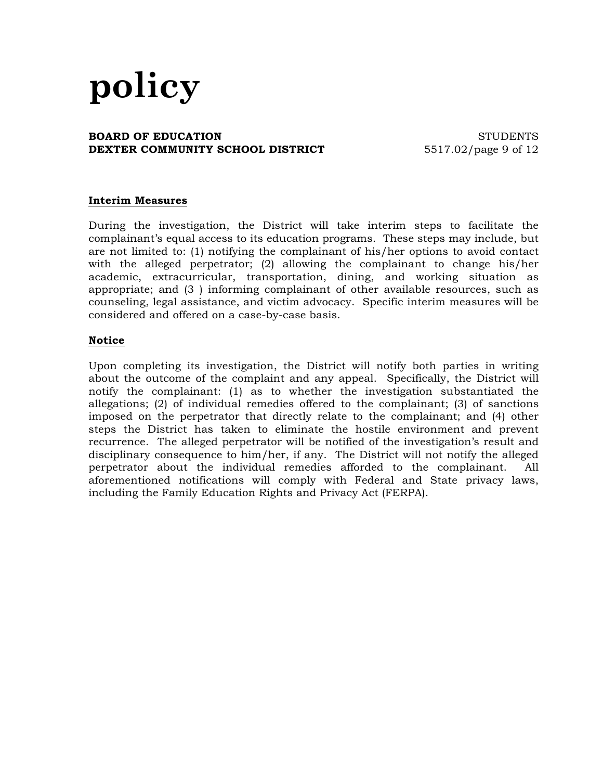#### **BOARD OF EDUCATION** STUDENTS **DEXTER COMMUNITY SCHOOL DISTRICT** 5517.02/page 9 of 12

## **Interim Measures**

During the investigation, the District will take interim steps to facilitate the complainant's equal access to its education programs. These steps may include, but are not limited to: (1) notifying the complainant of his/her options to avoid contact with the alleged perpetrator; (2) allowing the complainant to change his/her academic, extracurricular, transportation, dining, and working situation as appropriate; and (3 ) informing complainant of other available resources, such as counseling, legal assistance, and victim advocacy. Specific interim measures will be considered and offered on a case-by-case basis.

### **Notice**

Upon completing its investigation, the District will notify both parties in writing about the outcome of the complaint and any appeal. Specifically, the District will notify the complainant: (1) as to whether the investigation substantiated the allegations; (2) of individual remedies offered to the complainant; (3) of sanctions imposed on the perpetrator that directly relate to the complainant; and (4) other steps the District has taken to eliminate the hostile environment and prevent recurrence. The alleged perpetrator will be notified of the investigation's result and disciplinary consequence to him/her, if any. The District will not notify the alleged perpetrator about the individual remedies afforded to the complainant. All aforementioned notifications will comply with Federal and State privacy laws, including the Family Education Rights and Privacy Act (FERPA).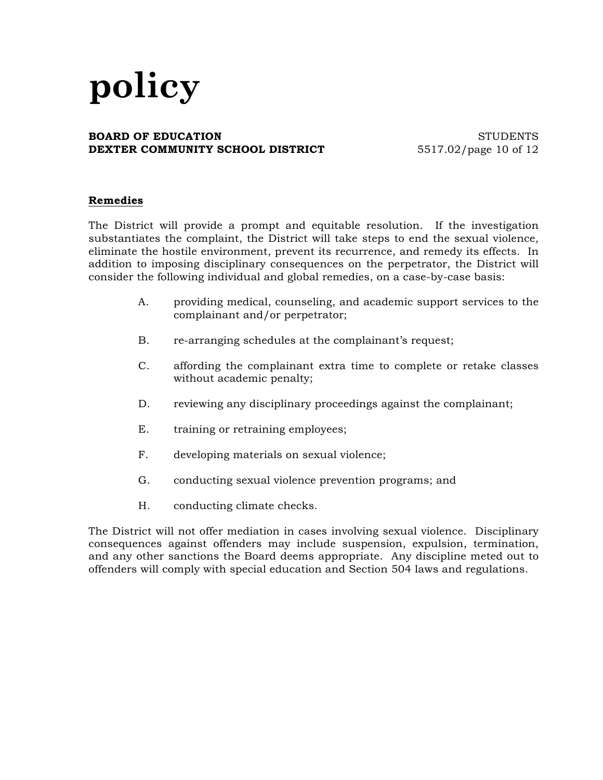#### **BOARD OF EDUCATION** STUDENTS **DEXTER COMMUNITY SCHOOL DISTRICT** 5517.02/page 10 of 12

## **Remedies**

The District will provide a prompt and equitable resolution. If the investigation substantiates the complaint, the District will take steps to end the sexual violence, eliminate the hostile environment, prevent its recurrence, and remedy its effects. In addition to imposing disciplinary consequences on the perpetrator, the District will consider the following individual and global remedies, on a case-by-case basis:

- A. providing medical, counseling, and academic support services to the complainant and/or perpetrator;
- B. re-arranging schedules at the complainant's request;
- C. affording the complainant extra time to complete or retake classes without academic penalty;
- D. reviewing any disciplinary proceedings against the complainant;
- E. training or retraining employees;
- F. developing materials on sexual violence;
- G. conducting sexual violence prevention programs; and
- H. conducting climate checks.

The District will not offer mediation in cases involving sexual violence. Disciplinary consequences against offenders may include suspension, expulsion, termination, and any other sanctions the Board deems appropriate. Any discipline meted out to offenders will comply with special education and Section 504 laws and regulations.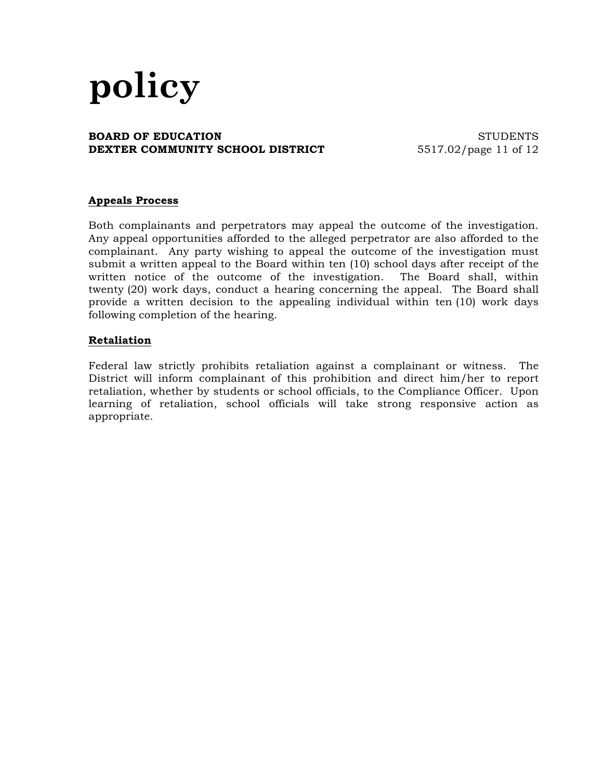#### **BOARD OF EDUCATION** STUDENTS **DEXTER COMMUNITY SCHOOL DISTRICT** 5517.02/page 11 of 12

## **Appeals Process**

Both complainants and perpetrators may appeal the outcome of the investigation. Any appeal opportunities afforded to the alleged perpetrator are also afforded to the complainant. Any party wishing to appeal the outcome of the investigation must submit a written appeal to the Board within ten (10) school days after receipt of the written notice of the outcome of the investigation. The Board shall, within twenty (20) work days, conduct a hearing concerning the appeal. The Board shall provide a written decision to the appealing individual within ten (10) work days following completion of the hearing.

## **Retaliation**

Federal law strictly prohibits retaliation against a complainant or witness. The District will inform complainant of this prohibition and direct him/her to report retaliation, whether by students or school officials, to the Compliance Officer. Upon learning of retaliation, school officials will take strong responsive action as appropriate.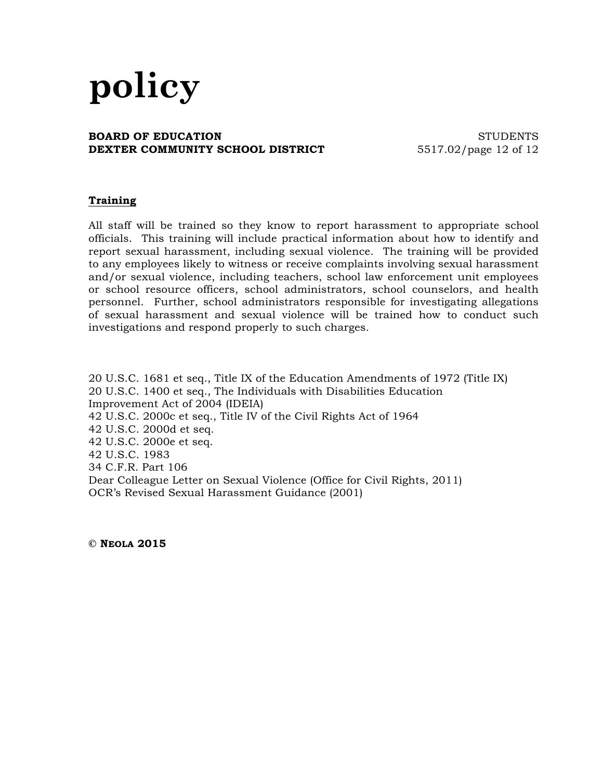#### **BOARD OF EDUCATION** STUDENTS **DEXTER COMMUNITY SCHOOL DISTRICT** 5517.02/page 12 of 12

## **Training**

All staff will be trained so they know to report harassment to appropriate school officials. This training will include practical information about how to identify and report sexual harassment, including sexual violence. The training will be provided to any employees likely to witness or receive complaints involving sexual harassment and/or sexual violence, including teachers, school law enforcement unit employees or school resource officers, school administrators, school counselors, and health personnel. Further, school administrators responsible for investigating allegations of sexual harassment and sexual violence will be trained how to conduct such investigations and respond properly to such charges.

20 U.S.C. 1681 et seq., Title IX of the Education Amendments of 1972 (Title IX) 20 U.S.C. 1400 et seq., The Individuals with Disabilities Education Improvement Act of 2004 (IDEIA) 42 U.S.C. 2000c et seq., Title IV of the Civil Rights Act of 1964 42 U.S.C. 2000d et seq. 42 U.S.C. 2000e et seq. 42 U.S.C. 1983 34 C.F.R. Part 106 Dear Colleague Letter on Sexual Violence (Office for Civil Rights, 2011) OCR's Revised Sexual Harassment Guidance (2001)

**© NEOLA 2015**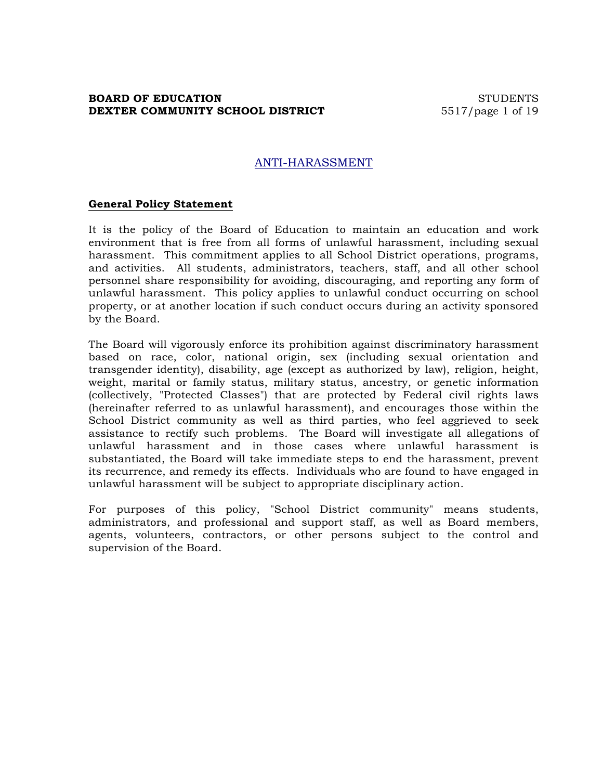## **BOARD OF EDUCATION** STUDENTS **DEXTER COMMUNITY SCHOOL DISTRICT** 5517/page 1 of 19

## ANTI-HARASSMENT

#### **General Policy Statement**

It is the policy of the Board of Education to maintain an education and work environment that is free from all forms of unlawful harassment, including sexual harassment. This commitment applies to all School District operations, programs, and activities. All students, administrators, teachers, staff, and all other school personnel share responsibility for avoiding, discouraging, and reporting any form of unlawful harassment. This policy applies to unlawful conduct occurring on school property, or at another location if such conduct occurs during an activity sponsored by the Board.

The Board will vigorously enforce its prohibition against discriminatory harassment based on race, color, national origin, sex (including sexual orientation and transgender identity), disability, age (except as authorized by law), religion, height, weight, marital or family status, military status, ancestry, or genetic information (collectively, "Protected Classes") that are protected by Federal civil rights laws (hereinafter referred to as unlawful harassment), and encourages those within the School District community as well as third parties, who feel aggrieved to seek assistance to rectify such problems. The Board will investigate all allegations of unlawful harassment and in those cases where unlawful harassment is substantiated, the Board will take immediate steps to end the harassment, prevent its recurrence, and remedy its effects. Individuals who are found to have engaged in unlawful harassment will be subject to appropriate disciplinary action.

For purposes of this policy, "School District community" means students, administrators, and professional and support staff, as well as Board members, agents, volunteers, contractors, or other persons subject to the control and supervision of the Board.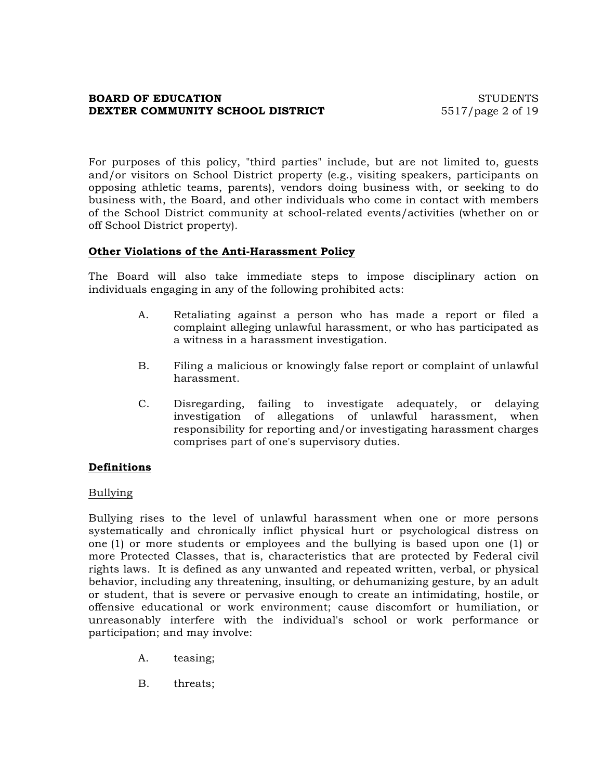## **BOARD OF EDUCATION** STUDENTS **DEXTER COMMUNITY SCHOOL DISTRICT** 5517/page 2 of 19

For purposes of this policy, "third parties" include, but are not limited to, guests and/or visitors on School District property (e.g., visiting speakers, participants on opposing athletic teams, parents), vendors doing business with, or seeking to do business with, the Board, and other individuals who come in contact with members of the School District community at school-related events/activities (whether on or off School District property).

### **Other Violations of the Anti-Harassment Policy**

The Board will also take immediate steps to impose disciplinary action on individuals engaging in any of the following prohibited acts:

- A. Retaliating against a person who has made a report or filed a complaint alleging unlawful harassment, or who has participated as a witness in a harassment investigation.
- B. Filing a malicious or knowingly false report or complaint of unlawful harassment.
- C. Disregarding, failing to investigate adequately, or delaying investigation of allegations of unlawful harassment, when responsibility for reporting and/or investigating harassment charges comprises part of one's supervisory duties.

#### **Definitions**

#### Bullying

Bullying rises to the level of unlawful harassment when one or more persons systematically and chronically inflict physical hurt or psychological distress on one (1) or more students or employees and the bullying is based upon one (1) or more Protected Classes, that is, characteristics that are protected by Federal civil rights laws. It is defined as any unwanted and repeated written, verbal, or physical behavior, including any threatening, insulting, or dehumanizing gesture, by an adult or student, that is severe or pervasive enough to create an intimidating, hostile, or offensive educational or work environment; cause discomfort or humiliation, or unreasonably interfere with the individual's school or work performance or participation; and may involve:

- A. teasing;
- B. threats;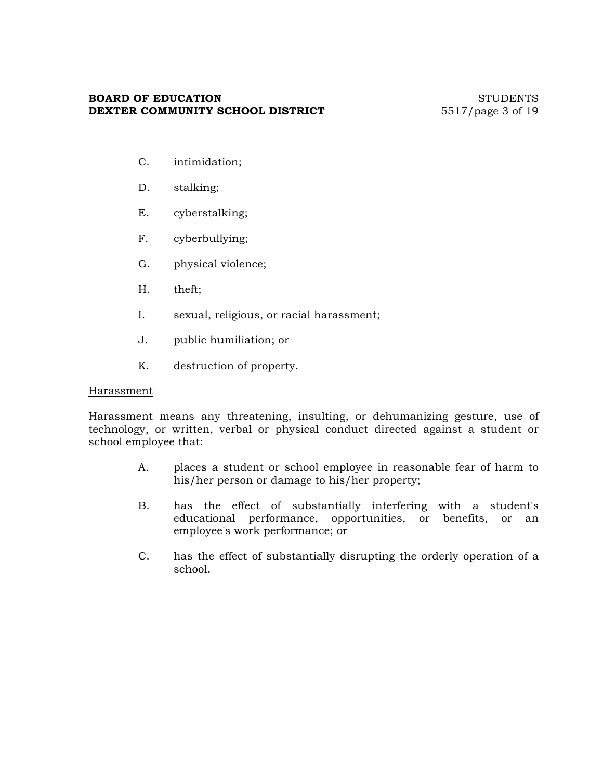## **BOARD OF EDUCATION** STUDENTS **DEXTER COMMUNITY SCHOOL DISTRICT** 5517/page 3 of 19

- C. intimidation;
- D. stalking;
- E. cyberstalking;
- F. cyberbullying;
- G. physical violence;
- H. theft;
- I. sexual, religious, or racial harassment;
- J. public humiliation; or
- K. destruction of property.

#### Harassment

Harassment means any threatening, insulting, or dehumanizing gesture, use of technology, or written, verbal or physical conduct directed against a student or school employee that:

- A. places a student or school employee in reasonable fear of harm to his/her person or damage to his/her property;
- B. has the effect of substantially interfering with a student's educational performance, opportunities, or benefits, or an employee's work performance; or
- C. has the effect of substantially disrupting the orderly operation of a school.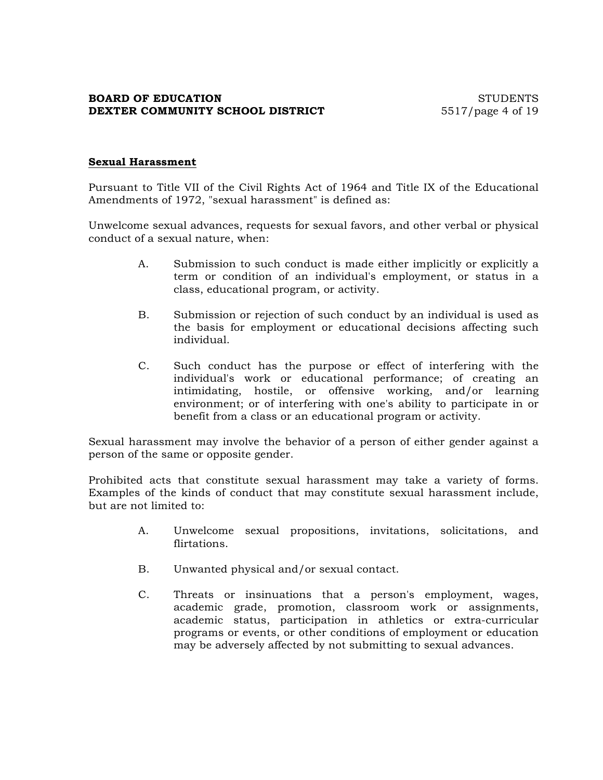## **BOARD OF EDUCATION** STUDENTS **DEXTER COMMUNITY SCHOOL DISTRICT** 5517/page 4 of 19

## **Sexual Harassment**

Pursuant to Title VII of the Civil Rights Act of 1964 and Title IX of the Educational Amendments of 1972, "sexual harassment" is defined as:

Unwelcome sexual advances, requests for sexual favors, and other verbal or physical conduct of a sexual nature, when:

- A. Submission to such conduct is made either implicitly or explicitly a term or condition of an individual's employment, or status in a class, educational program, or activity.
- B. Submission or rejection of such conduct by an individual is used as the basis for employment or educational decisions affecting such individual.
- C. Such conduct has the purpose or effect of interfering with the individual's work or educational performance; of creating an intimidating, hostile, or offensive working, and/or learning environment; or of interfering with one's ability to participate in or benefit from a class or an educational program or activity.

Sexual harassment may involve the behavior of a person of either gender against a person of the same or opposite gender.

Prohibited acts that constitute sexual harassment may take a variety of forms. Examples of the kinds of conduct that may constitute sexual harassment include, but are not limited to:

- A. Unwelcome sexual propositions, invitations, solicitations, and flirtations.
- B. Unwanted physical and/or sexual contact.
- C. Threats or insinuations that a person's employment, wages, academic grade, promotion, classroom work or assignments, academic status, participation in athletics or extra-curricular programs or events, or other conditions of employment or education may be adversely affected by not submitting to sexual advances.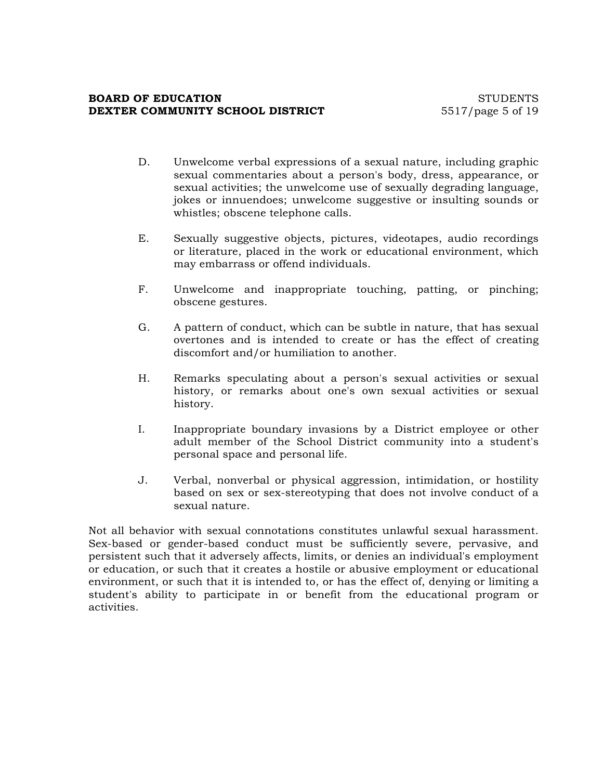## **BOARD OF EDUCATION** STUDENTS **DEXTER COMMUNITY SCHOOL DISTRICT** 5517/page 5 of 19

- D. Unwelcome verbal expressions of a sexual nature, including graphic sexual commentaries about a person's body, dress, appearance, or sexual activities; the unwelcome use of sexually degrading language, jokes or innuendoes; unwelcome suggestive or insulting sounds or whistles; obscene telephone calls.
- E. Sexually suggestive objects, pictures, videotapes, audio recordings or literature, placed in the work or educational environment, which may embarrass or offend individuals.
- F. Unwelcome and inappropriate touching, patting, or pinching; obscene gestures.
- G. A pattern of conduct, which can be subtle in nature, that has sexual overtones and is intended to create or has the effect of creating discomfort and/or humiliation to another.
- H. Remarks speculating about a person's sexual activities or sexual history, or remarks about one's own sexual activities or sexual history.
- I. Inappropriate boundary invasions by a District employee or other adult member of the School District community into a student's personal space and personal life.
- J. Verbal, nonverbal or physical aggression, intimidation, or hostility based on sex or sex-stereotyping that does not involve conduct of a sexual nature.

Not all behavior with sexual connotations constitutes unlawful sexual harassment. Sex-based or gender-based conduct must be sufficiently severe, pervasive, and persistent such that it adversely affects, limits, or denies an individual's employment or education, or such that it creates a hostile or abusive employment or educational environment, or such that it is intended to, or has the effect of, denying or limiting a student's ability to participate in or benefit from the educational program or activities.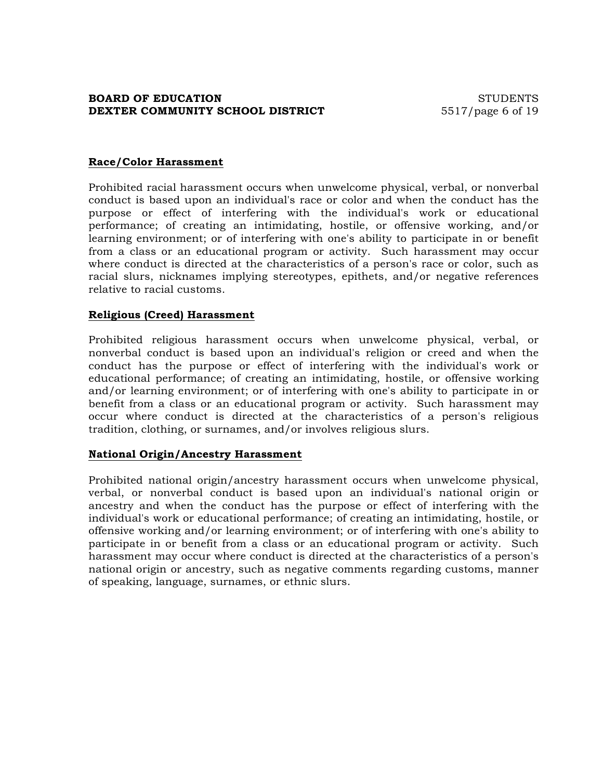## **BOARD OF EDUCATION** STUDENTS **DEXTER COMMUNITY SCHOOL DISTRICT** 5517/page 6 of 19

## **Race/Color Harassment**

Prohibited racial harassment occurs when unwelcome physical, verbal, or nonverbal conduct is based upon an individual's race or color and when the conduct has the purpose or effect of interfering with the individual's work or educational performance; of creating an intimidating, hostile, or offensive working, and/or learning environment; or of interfering with one's ability to participate in or benefit from a class or an educational program or activity. Such harassment may occur where conduct is directed at the characteristics of a person's race or color, such as racial slurs, nicknames implying stereotypes, epithets, and/or negative references relative to racial customs.

#### **Religious (Creed) Harassment**

Prohibited religious harassment occurs when unwelcome physical, verbal, or nonverbal conduct is based upon an individual's religion or creed and when the conduct has the purpose or effect of interfering with the individual's work or educational performance; of creating an intimidating, hostile, or offensive working and/or learning environment; or of interfering with one's ability to participate in or benefit from a class or an educational program or activity. Such harassment may occur where conduct is directed at the characteristics of a person's religious tradition, clothing, or surnames, and/or involves religious slurs.

#### **National Origin/Ancestry Harassment**

Prohibited national origin/ancestry harassment occurs when unwelcome physical, verbal, or nonverbal conduct is based upon an individual's national origin or ancestry and when the conduct has the purpose or effect of interfering with the individual's work or educational performance; of creating an intimidating, hostile, or offensive working and/or learning environment; or of interfering with one's ability to participate in or benefit from a class or an educational program or activity. Such harassment may occur where conduct is directed at the characteristics of a person's national origin or ancestry, such as negative comments regarding customs, manner of speaking, language, surnames, or ethnic slurs.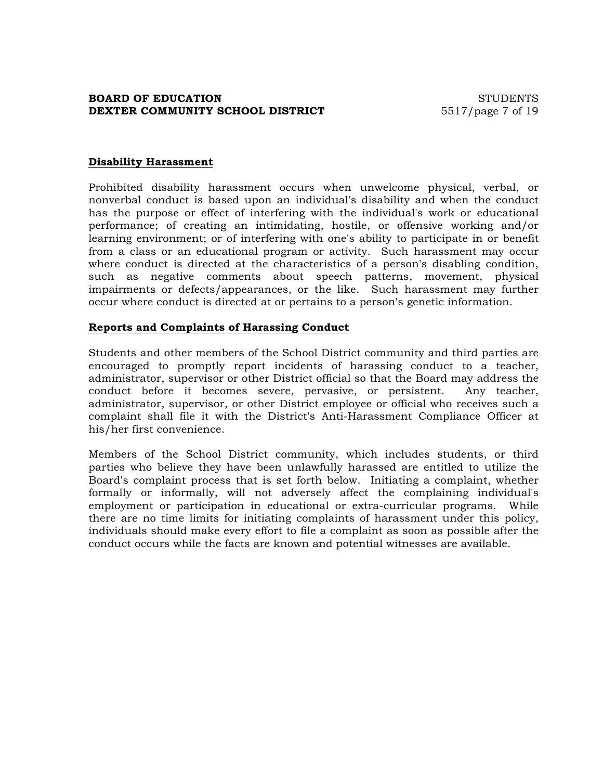## **BOARD OF EDUCATION** STUDENTS **DEXTER COMMUNITY SCHOOL DISTRICT** 5517/page 7 of 19

### **Disability Harassment**

Prohibited disability harassment occurs when unwelcome physical, verbal, or nonverbal conduct is based upon an individual's disability and when the conduct has the purpose or effect of interfering with the individual's work or educational performance; of creating an intimidating, hostile, or offensive working and/or learning environment; or of interfering with one's ability to participate in or benefit from a class or an educational program or activity. Such harassment may occur where conduct is directed at the characteristics of a person's disabling condition, such as negative comments about speech patterns, movement, physical impairments or defects/appearances, or the like. Such harassment may further occur where conduct is directed at or pertains to a person's genetic information.

#### **Reports and Complaints of Harassing Conduct**

Students and other members of the School District community and third parties are encouraged to promptly report incidents of harassing conduct to a teacher, administrator, supervisor or other District official so that the Board may address the conduct before it becomes severe, pervasive, or persistent. Any teacher, administrator, supervisor, or other District employee or official who receives such a complaint shall file it with the District's Anti-Harassment Compliance Officer at his/her first convenience.

Members of the School District community, which includes students, or third parties who believe they have been unlawfully harassed are entitled to utilize the Board's complaint process that is set forth below. Initiating a complaint, whether formally or informally, will not adversely affect the complaining individual's employment or participation in educational or extra-curricular programs. While there are no time limits for initiating complaints of harassment under this policy, individuals should make every effort to file a complaint as soon as possible after the conduct occurs while the facts are known and potential witnesses are available.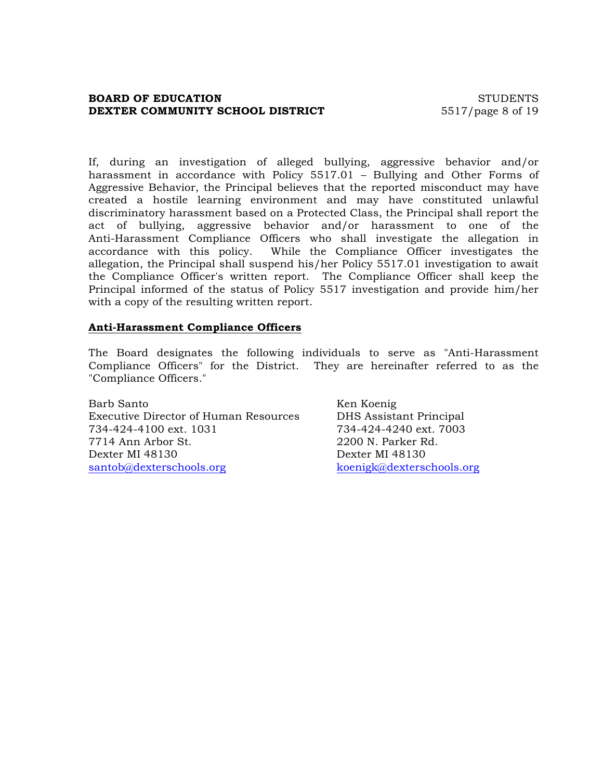### **BOARD OF EDUCATION** STUDENTS **DEXTER COMMUNITY SCHOOL DISTRICT** 5517/page 8 of 19

If, during an investigation of alleged bullying, aggressive behavior and/or harassment in accordance with Policy 5517.01 – Bullying and Other Forms of Aggressive Behavior, the Principal believes that the reported misconduct may have created a hostile learning environment and may have constituted unlawful discriminatory harassment based on a Protected Class, the Principal shall report the act of bullying, aggressive behavior and/or harassment to one of the Anti-Harassment Compliance Officers who shall investigate the allegation in accordance with this policy. While the Compliance Officer investigates the allegation, the Principal shall suspend his/her Policy 5517.01 investigation to await the Compliance Officer's written report. The Compliance Officer shall keep the Principal informed of the status of Policy 5517 investigation and provide him/her with a copy of the resulting written report.

### **Anti-Harassment Compliance Officers**

The Board designates the following individuals to serve as "Anti-Harassment Compliance Officers" for the District. They are hereinafter referred to as the "Compliance Officers."

Barb Santo Ken Koenig Executive Director of Human Resources DHS Assistant Principal 734-424-4100 ext. 1031 734-424-4240 ext. 7003 7714 Ann Arbor St. 2200 N. Parker Rd. Dexter MI 48130 Dexter MI 48130 santob@dexterschools.org koenigk@dexterschools.org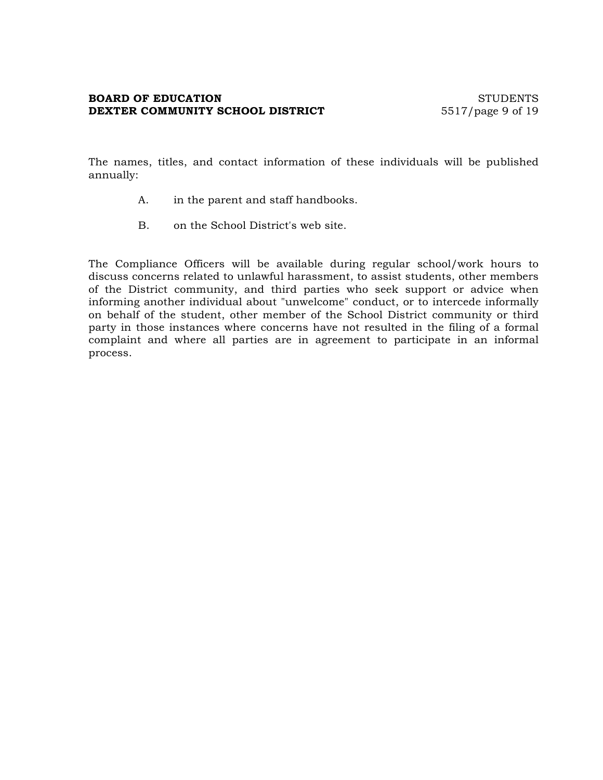## **BOARD OF EDUCATION** STUDENTS **DEXTER COMMUNITY SCHOOL DISTRICT** 5517/page 9 of 19

The names, titles, and contact information of these individuals will be published annually:

- A. in the parent and staff handbooks.
- B. on the School District's web site.

The Compliance Officers will be available during regular school/work hours to discuss concerns related to unlawful harassment, to assist students, other members of the District community, and third parties who seek support or advice when informing another individual about "unwelcome" conduct, or to intercede informally on behalf of the student, other member of the School District community or third party in those instances where concerns have not resulted in the filing of a formal complaint and where all parties are in agreement to participate in an informal process.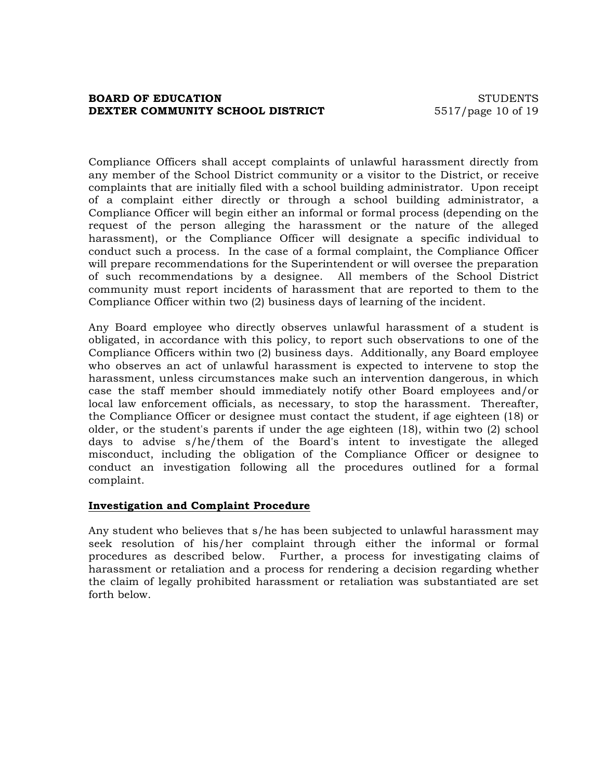## **BOARD OF EDUCATION** STUDENTS **DEXTER COMMUNITY SCHOOL DISTRICT** 5517/page 10 of 19

Compliance Officers shall accept complaints of unlawful harassment directly from any member of the School District community or a visitor to the District, or receive complaints that are initially filed with a school building administrator. Upon receipt of a complaint either directly or through a school building administrator, a Compliance Officer will begin either an informal or formal process (depending on the request of the person alleging the harassment or the nature of the alleged harassment), or the Compliance Officer will designate a specific individual to conduct such a process. In the case of a formal complaint, the Compliance Officer will prepare recommendations for the Superintendent or will oversee the preparation of such recommendations by a designee. All members of the School District community must report incidents of harassment that are reported to them to the Compliance Officer within two (2) business days of learning of the incident.

Any Board employee who directly observes unlawful harassment of a student is obligated, in accordance with this policy, to report such observations to one of the Compliance Officers within two (2) business days. Additionally, any Board employee who observes an act of unlawful harassment is expected to intervene to stop the harassment, unless circumstances make such an intervention dangerous, in which case the staff member should immediately notify other Board employees and/or local law enforcement officials, as necessary, to stop the harassment. Thereafter, the Compliance Officer or designee must contact the student, if age eighteen (18) or older, or the student's parents if under the age eighteen (18), within two (2) school days to advise s/he/them of the Board's intent to investigate the alleged misconduct, including the obligation of the Compliance Officer or designee to conduct an investigation following all the procedures outlined for a formal complaint.

#### **Investigation and Complaint Procedure**

Any student who believes that s/he has been subjected to unlawful harassment may seek resolution of his/her complaint through either the informal or formal procedures as described below. Further, a process for investigating claims of harassment or retaliation and a process for rendering a decision regarding whether the claim of legally prohibited harassment or retaliation was substantiated are set forth below.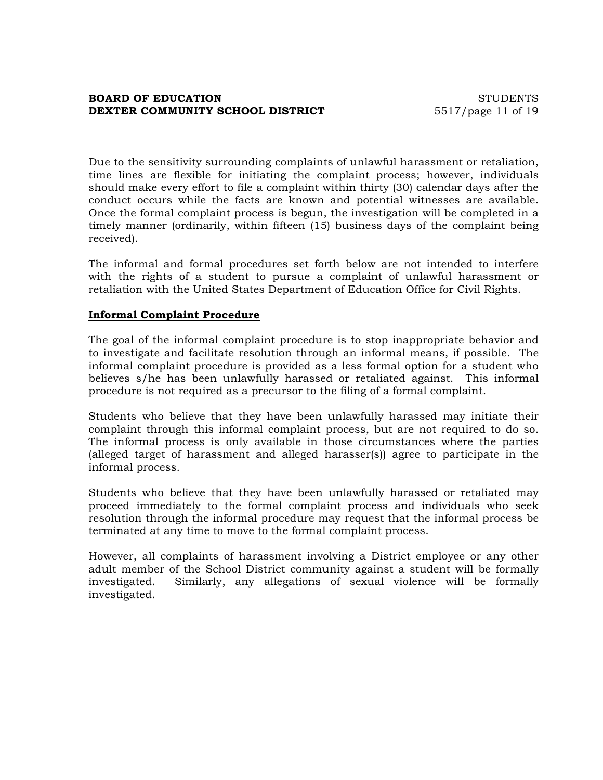## **BOARD OF EDUCATION** STUDENTS **DEXTER COMMUNITY SCHOOL DISTRICT** 5517/page 11 of 19

Due to the sensitivity surrounding complaints of unlawful harassment or retaliation, time lines are flexible for initiating the complaint process; however, individuals should make every effort to file a complaint within thirty (30) calendar days after the conduct occurs while the facts are known and potential witnesses are available. Once the formal complaint process is begun, the investigation will be completed in a timely manner (ordinarily, within fifteen (15) business days of the complaint being received).

The informal and formal procedures set forth below are not intended to interfere with the rights of a student to pursue a complaint of unlawful harassment or retaliation with the United States Department of Education Office for Civil Rights.

### **Informal Complaint Procedure**

The goal of the informal complaint procedure is to stop inappropriate behavior and to investigate and facilitate resolution through an informal means, if possible. The informal complaint procedure is provided as a less formal option for a student who believes s/he has been unlawfully harassed or retaliated against. This informal procedure is not required as a precursor to the filing of a formal complaint.

Students who believe that they have been unlawfully harassed may initiate their complaint through this informal complaint process, but are not required to do so. The informal process is only available in those circumstances where the parties (alleged target of harassment and alleged harasser(s)) agree to participate in the informal process.

Students who believe that they have been unlawfully harassed or retaliated may proceed immediately to the formal complaint process and individuals who seek resolution through the informal procedure may request that the informal process be terminated at any time to move to the formal complaint process.

However, all complaints of harassment involving a District employee or any other adult member of the School District community against a student will be formally investigated. Similarly, any allegations of sexual violence will be formally investigated.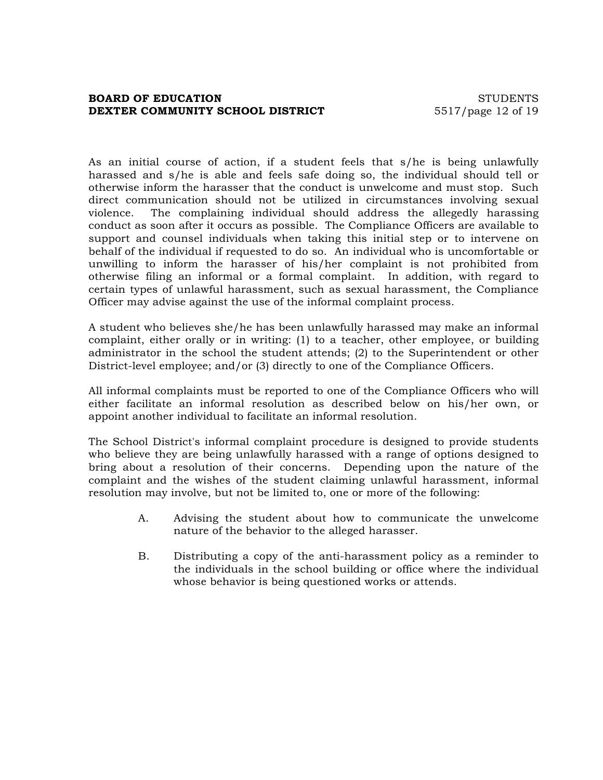## **BOARD OF EDUCATION** STUDENTS **DEXTER COMMUNITY SCHOOL DISTRICT** 5517/page 12 of 19

As an initial course of action, if a student feels that s/he is being unlawfully harassed and s/he is able and feels safe doing so, the individual should tell or otherwise inform the harasser that the conduct is unwelcome and must stop. Such direct communication should not be utilized in circumstances involving sexual violence. The complaining individual should address the allegedly harassing conduct as soon after it occurs as possible. The Compliance Officers are available to support and counsel individuals when taking this initial step or to intervene on behalf of the individual if requested to do so. An individual who is uncomfortable or unwilling to inform the harasser of his/her complaint is not prohibited from otherwise filing an informal or a formal complaint. In addition, with regard to certain types of unlawful harassment, such as sexual harassment, the Compliance Officer may advise against the use of the informal complaint process.

A student who believes she/he has been unlawfully harassed may make an informal complaint, either orally or in writing: (1) to a teacher, other employee, or building administrator in the school the student attends; (2) to the Superintendent or other District-level employee; and/or (3) directly to one of the Compliance Officers.

All informal complaints must be reported to one of the Compliance Officers who will either facilitate an informal resolution as described below on his/her own, or appoint another individual to facilitate an informal resolution.

The School District's informal complaint procedure is designed to provide students who believe they are being unlawfully harassed with a range of options designed to bring about a resolution of their concerns. Depending upon the nature of the complaint and the wishes of the student claiming unlawful harassment, informal resolution may involve, but not be limited to, one or more of the following:

- A. Advising the student about how to communicate the unwelcome nature of the behavior to the alleged harasser.
- B. Distributing a copy of the anti-harassment policy as a reminder to the individuals in the school building or office where the individual whose behavior is being questioned works or attends.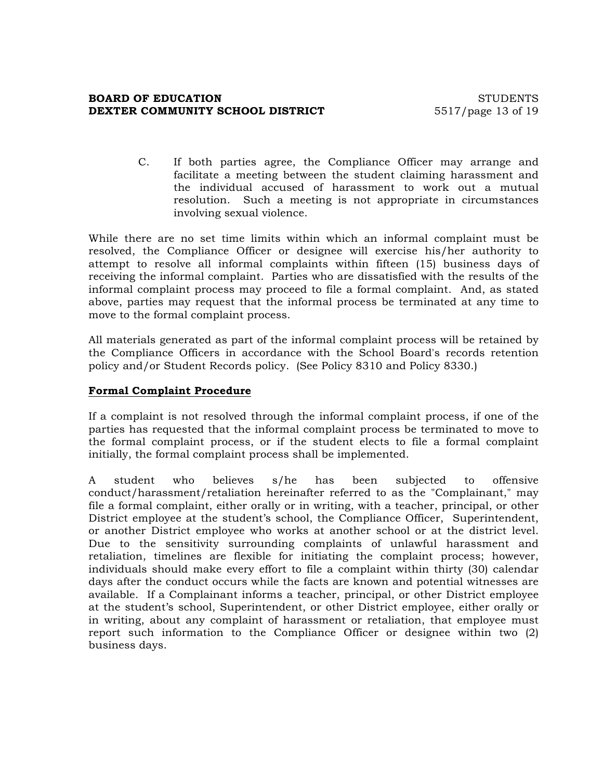## **BOARD OF EDUCATION** STUDENTS **DEXTER COMMUNITY SCHOOL DISTRICT** 5517/page 13 of 19

C. If both parties agree, the Compliance Officer may arrange and facilitate a meeting between the student claiming harassment and the individual accused of harassment to work out a mutual resolution. Such a meeting is not appropriate in circumstances involving sexual violence.

While there are no set time limits within which an informal complaint must be resolved, the Compliance Officer or designee will exercise his/her authority to attempt to resolve all informal complaints within fifteen (15) business days of receiving the informal complaint. Parties who are dissatisfied with the results of the informal complaint process may proceed to file a formal complaint. And, as stated above, parties may request that the informal process be terminated at any time to move to the formal complaint process.

All materials generated as part of the informal complaint process will be retained by the Compliance Officers in accordance with the School Board's records retention policy and/or Student Records policy. (See Policy 8310 and Policy 8330.)

### **Formal Complaint Procedure**

If a complaint is not resolved through the informal complaint process, if one of the parties has requested that the informal complaint process be terminated to move to the formal complaint process, or if the student elects to file a formal complaint initially, the formal complaint process shall be implemented.

A student who believes s/he has been subjected to offensive conduct/harassment/retaliation hereinafter referred to as the "Complainant," may file a formal complaint, either orally or in writing, with a teacher, principal, or other District employee at the student's school, the Compliance Officer, Superintendent, or another District employee who works at another school or at the district level. Due to the sensitivity surrounding complaints of unlawful harassment and retaliation, timelines are flexible for initiating the complaint process; however, individuals should make every effort to file a complaint within thirty (30) calendar days after the conduct occurs while the facts are known and potential witnesses are available. If a Complainant informs a teacher, principal, or other District employee at the student's school, Superintendent, or other District employee, either orally or in writing, about any complaint of harassment or retaliation, that employee must report such information to the Compliance Officer or designee within two (2) business days.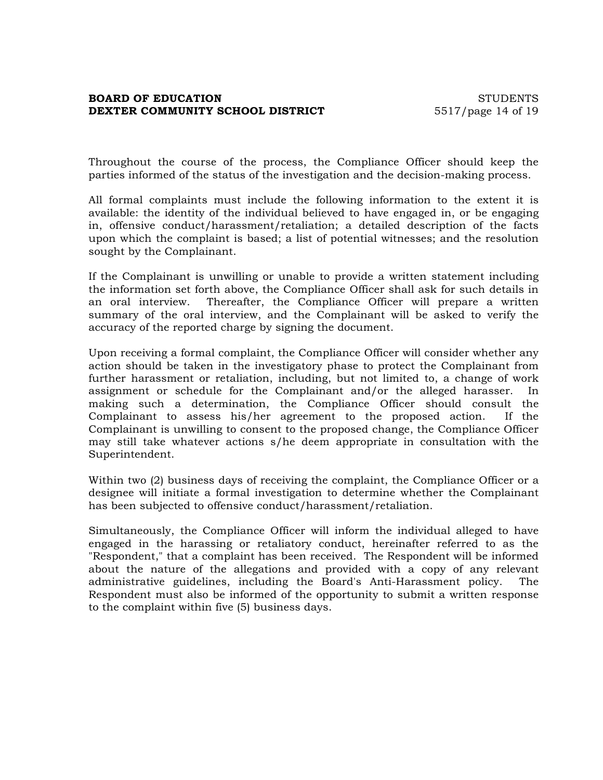# **BOARD OF EDUCATION** STUDENTS **DEXTER COMMUNITY SCHOOL DISTRICT** 5517/page 14 of 19

Throughout the course of the process, the Compliance Officer should keep the parties informed of the status of the investigation and the decision-making process.

All formal complaints must include the following information to the extent it is available: the identity of the individual believed to have engaged in, or be engaging in, offensive conduct/harassment/retaliation; a detailed description of the facts upon which the complaint is based; a list of potential witnesses; and the resolution sought by the Complainant.

If the Complainant is unwilling or unable to provide a written statement including the information set forth above, the Compliance Officer shall ask for such details in an oral interview. Thereafter, the Compliance Officer will prepare a written summary of the oral interview, and the Complainant will be asked to verify the accuracy of the reported charge by signing the document.

Upon receiving a formal complaint, the Compliance Officer will consider whether any action should be taken in the investigatory phase to protect the Complainant from further harassment or retaliation, including, but not limited to, a change of work assignment or schedule for the Complainant and/or the alleged harasser. In making such a determination, the Compliance Officer should consult the Complainant to assess his/her agreement to the proposed action. If the Complainant is unwilling to consent to the proposed change, the Compliance Officer may still take whatever actions s/he deem appropriate in consultation with the Superintendent.

Within two (2) business days of receiving the complaint, the Compliance Officer or a designee will initiate a formal investigation to determine whether the Complainant has been subjected to offensive conduct/harassment/retaliation.

Simultaneously, the Compliance Officer will inform the individual alleged to have engaged in the harassing or retaliatory conduct, hereinafter referred to as the "Respondent," that a complaint has been received. The Respondent will be informed about the nature of the allegations and provided with a copy of any relevant administrative guidelines, including the Board's Anti-Harassment policy. The Respondent must also be informed of the opportunity to submit a written response to the complaint within five (5) business days.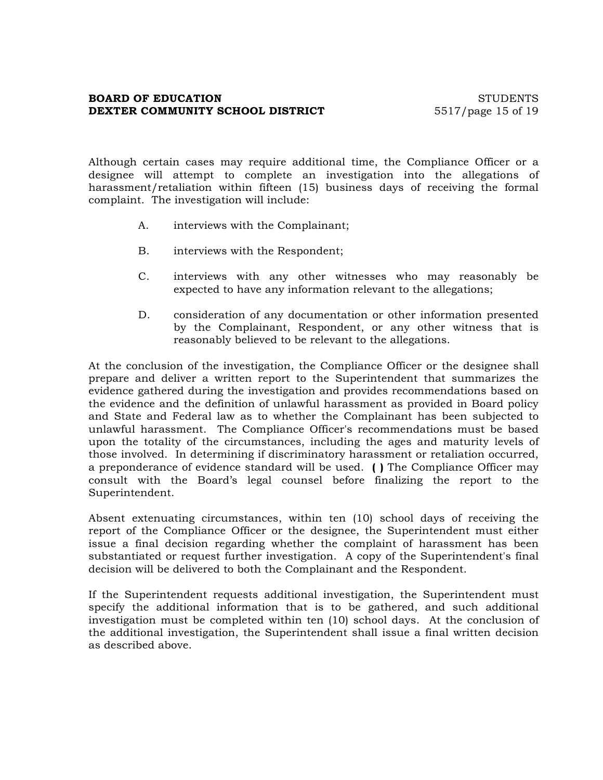# **BOARD OF EDUCATION** STUDENTS **DEXTER COMMUNITY SCHOOL DISTRICT** 5517/page 15 of 19

Although certain cases may require additional time, the Compliance Officer or a designee will attempt to complete an investigation into the allegations of harassment/retaliation within fifteen (15) business days of receiving the formal complaint. The investigation will include:

- A. interviews with the Complainant;
- B. interviews with the Respondent;
- C. interviews with any other witnesses who may reasonably be expected to have any information relevant to the allegations;
- D. consideration of any documentation or other information presented by the Complainant, Respondent, or any other witness that is reasonably believed to be relevant to the allegations.

At the conclusion of the investigation, the Compliance Officer or the designee shall prepare and deliver a written report to the Superintendent that summarizes the evidence gathered during the investigation and provides recommendations based on the evidence and the definition of unlawful harassment as provided in Board policy and State and Federal law as to whether the Complainant has been subjected to unlawful harassment. The Compliance Officer's recommendations must be based upon the totality of the circumstances, including the ages and maturity levels of those involved. In determining if discriminatory harassment or retaliation occurred, a preponderance of evidence standard will be used. **( )** The Compliance Officer may consult with the Board's legal counsel before finalizing the report to the Superintendent.

Absent extenuating circumstances, within ten (10) school days of receiving the report of the Compliance Officer or the designee, the Superintendent must either issue a final decision regarding whether the complaint of harassment has been substantiated or request further investigation. A copy of the Superintendent's final decision will be delivered to both the Complainant and the Respondent.

If the Superintendent requests additional investigation, the Superintendent must specify the additional information that is to be gathered, and such additional investigation must be completed within ten (10) school days. At the conclusion of the additional investigation, the Superintendent shall issue a final written decision as described above.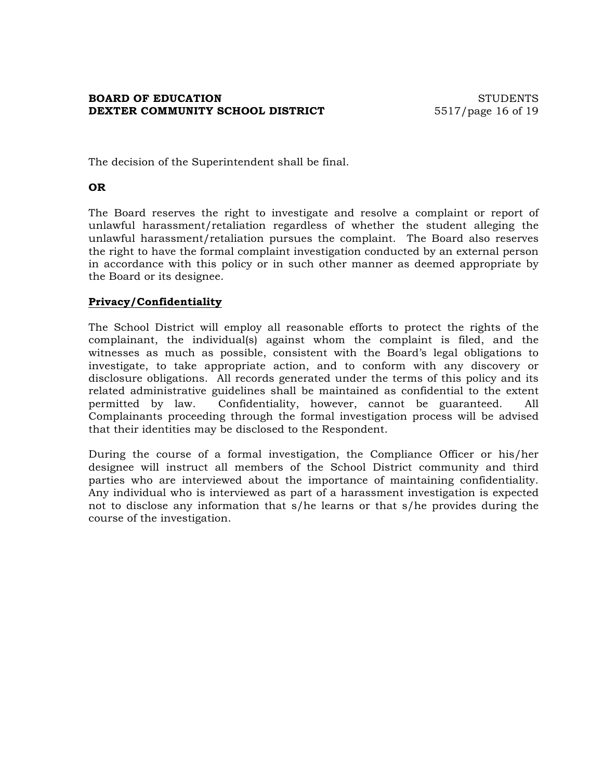# **BOARD OF EDUCATION** STUDENTS **DEXTER COMMUNITY SCHOOL DISTRICT** 5517/page 16 of 19

The decision of the Superintendent shall be final.

# **OR**

The Board reserves the right to investigate and resolve a complaint or report of unlawful harassment/retaliation regardless of whether the student alleging the unlawful harassment/retaliation pursues the complaint. The Board also reserves the right to have the formal complaint investigation conducted by an external person in accordance with this policy or in such other manner as deemed appropriate by the Board or its designee.

## **Privacy/Confidentiality**

The School District will employ all reasonable efforts to protect the rights of the complainant, the individual(s) against whom the complaint is filed, and the witnesses as much as possible, consistent with the Board's legal obligations to investigate, to take appropriate action, and to conform with any discovery or disclosure obligations. All records generated under the terms of this policy and its related administrative guidelines shall be maintained as confidential to the extent permitted by law. Confidentiality, however, cannot be guaranteed. All Complainants proceeding through the formal investigation process will be advised that their identities may be disclosed to the Respondent.

During the course of a formal investigation, the Compliance Officer or his/her designee will instruct all members of the School District community and third parties who are interviewed about the importance of maintaining confidentiality. Any individual who is interviewed as part of a harassment investigation is expected not to disclose any information that s/he learns or that s/he provides during the course of the investigation.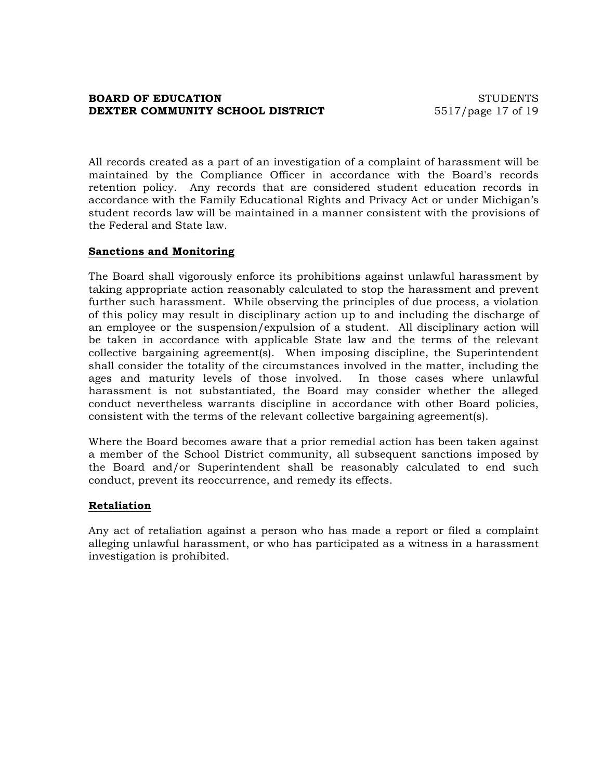# **BOARD OF EDUCATION** STUDENTS **DEXTER COMMUNITY SCHOOL DISTRICT** 5517/page 17 of 19

All records created as a part of an investigation of a complaint of harassment will be maintained by the Compliance Officer in accordance with the Board's records retention policy. Any records that are considered student education records in accordance with the Family Educational Rights and Privacy Act or under Michigan's student records law will be maintained in a manner consistent with the provisions of the Federal and State law.

## **Sanctions and Monitoring**

The Board shall vigorously enforce its prohibitions against unlawful harassment by taking appropriate action reasonably calculated to stop the harassment and prevent further such harassment. While observing the principles of due process, a violation of this policy may result in disciplinary action up to and including the discharge of an employee or the suspension/expulsion of a student. All disciplinary action will be taken in accordance with applicable State law and the terms of the relevant collective bargaining agreement(s). When imposing discipline, the Superintendent shall consider the totality of the circumstances involved in the matter, including the ages and maturity levels of those involved. In those cases where unlawful harassment is not substantiated, the Board may consider whether the alleged conduct nevertheless warrants discipline in accordance with other Board policies, consistent with the terms of the relevant collective bargaining agreement(s).

Where the Board becomes aware that a prior remedial action has been taken against a member of the School District community, all subsequent sanctions imposed by the Board and/or Superintendent shall be reasonably calculated to end such conduct, prevent its reoccurrence, and remedy its effects.

#### **Retaliation**

Any act of retaliation against a person who has made a report or filed a complaint alleging unlawful harassment, or who has participated as a witness in a harassment investigation is prohibited.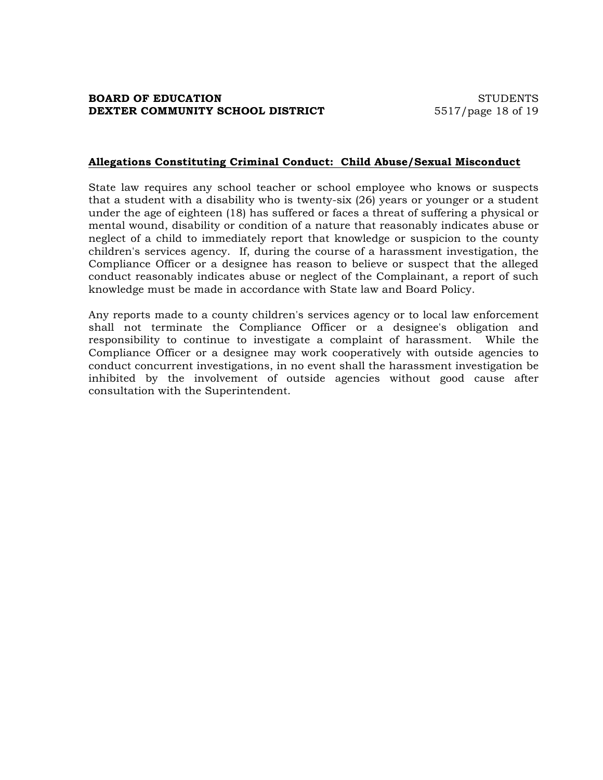#### **Allegations Constituting Criminal Conduct: Child Abuse/Sexual Misconduct**

State law requires any school teacher or school employee who knows or suspects that a student with a disability who is twenty-six (26) years or younger or a student under the age of eighteen (18) has suffered or faces a threat of suffering a physical or mental wound, disability or condition of a nature that reasonably indicates abuse or neglect of a child to immediately report that knowledge or suspicion to the county children's services agency. If, during the course of a harassment investigation, the Compliance Officer or a designee has reason to believe or suspect that the alleged conduct reasonably indicates abuse or neglect of the Complainant, a report of such knowledge must be made in accordance with State law and Board Policy.

Any reports made to a county children's services agency or to local law enforcement shall not terminate the Compliance Officer or a designee's obligation and responsibility to continue to investigate a complaint of harassment. While the Compliance Officer or a designee may work cooperatively with outside agencies to conduct concurrent investigations, in no event shall the harassment investigation be inhibited by the involvement of outside agencies without good cause after consultation with the Superintendent.